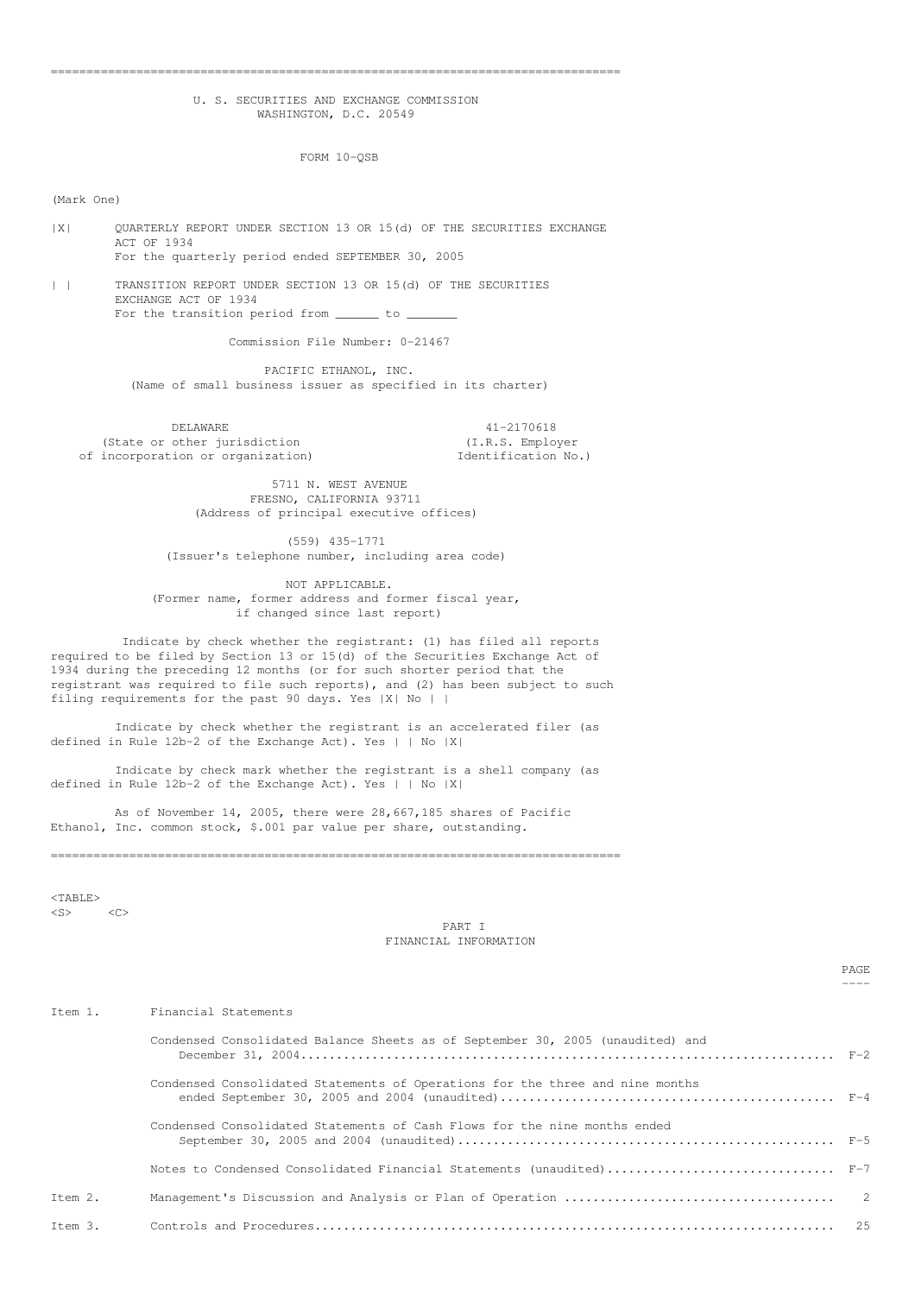## U. S. SECURITIES AND EXCHANGE COMMISSION WASHINGTON, D.C. 20549

================================================================================

## FORM 10-OSB

(Mark One)

- |X| QUARTERLY REPORT UNDER SECTION 13 OR 15(d) OF THE SECURITIES EXCHANGE ACT OF 1934 For the quarterly period ended SEPTEMBER 30, 2005
- | | TRANSITION REPORT UNDER SECTION 13 OR 15(d) OF THE SECURITIES EXCHANGE ACT OF 1934 For the transition period from \_\_\_\_\_\_ to \_\_\_\_\_\_\_

Commission File Number: 0-21467

PACIFIC ETHANOL, INC. (Name of small business issuer as specified in its charter)

DELAWARE 41-2170618 (State or other jurisdiction (I.R.S. Employer of incorporation or organization) Identification No.)

5711 N. WEST AVENUE FRESNO, CALIFORNIA 93711 (Address of principal executive offices)

(559) 435-1771 (Issuer's telephone number, including area code)

NOT APPLICABLE. (Former name, former address and former fiscal year, if changed since last report)

Indicate by check whether the registrant: (1) has filed all reports required to be filed by Section 13 or 15(d) of the Securities Exchange Act of 1934 during the preceding 12 months (or for such shorter period that the registrant was required to file such reports), and (2) has been subject to such filing requirements for the past 90 days. Yes |X| No | |

Indicate by check whether the registrant is an accelerated filer (as defined in Rule 12b-2 of the Exchange Act). Yes | | No |X|

Indicate by check mark whether the registrant is a shell company (as defined in Rule 12b-2 of the Exchange Act). Yes | | No |X|

================================================================================

As of November 14, 2005, there were 28,667,185 shares of Pacific Ethanol, Inc. common stock, \$.001 par value per share, outstanding.

<TABLE>  $\langle$ S>  $\langle$ C>

> PART I FINANCIAL INFORMATION

> > PAGE ----

## Item 1. Financial Statements

|         | Condensed Consolidated Balance Sheets as of September 30, 2005 (unaudited) and |  |
|---------|--------------------------------------------------------------------------------|--|
|         | Condensed Consolidated Statements of Operations for the three and nine months  |  |
|         | Condensed Consolidated Statements of Cash Flows for the nine months ended      |  |
|         | Notes to Condensed Consolidated Financial Statements (unaudited) F-7           |  |
| Item 2. |                                                                                |  |
| Item 3. |                                                                                |  |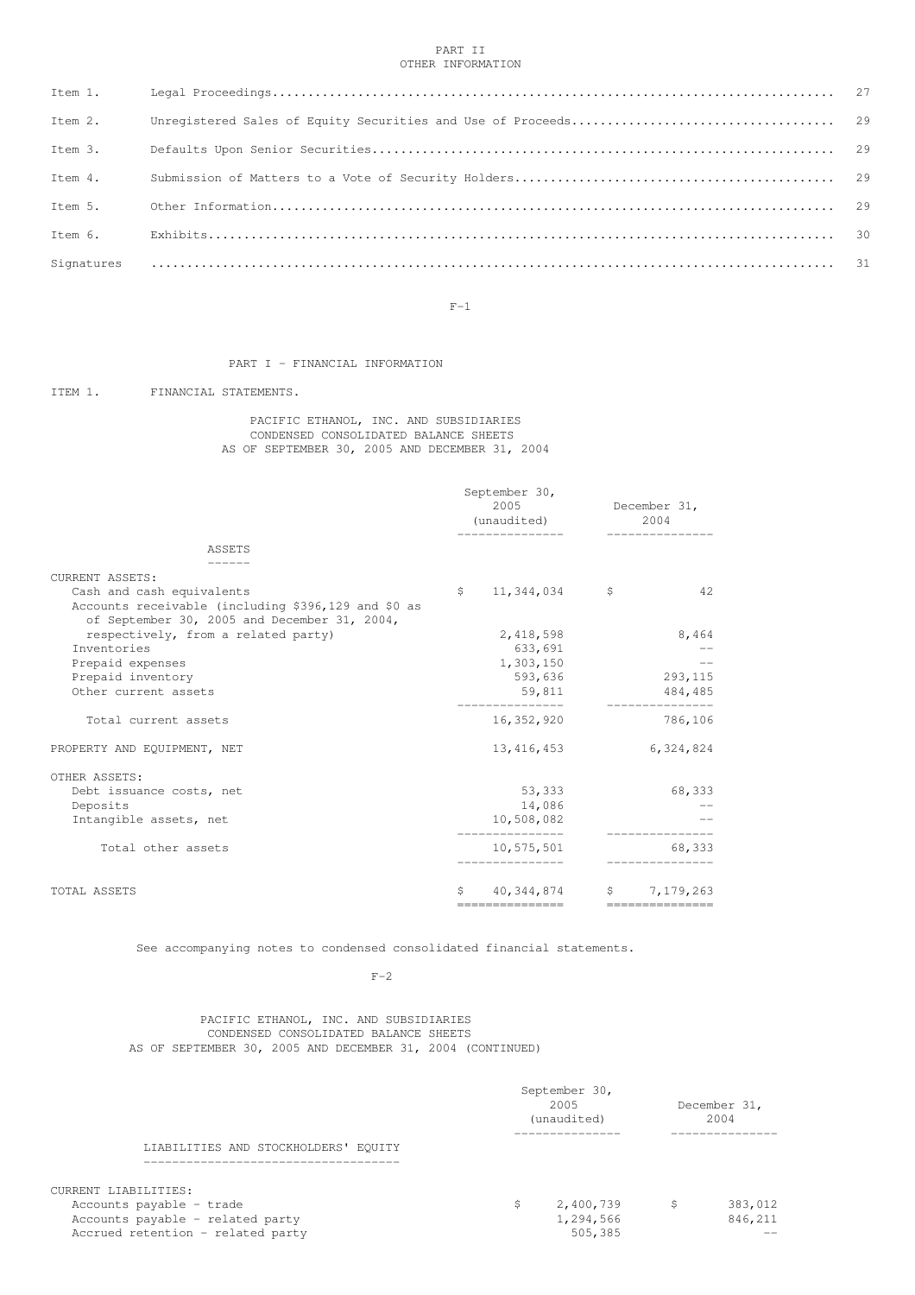## PART II OTHER INFORMATION

| Item 2.    |                                                           |  |
|------------|-----------------------------------------------------------|--|
| Item 3.    |                                                           |  |
| Item 4.    |                                                           |  |
| Item 5.    |                                                           |  |
| Item 6.    | $Exhibits, , , , , , , , , , , , , , , , , , , , , , , ,$ |  |
| Signatures |                                                           |  |

 $F-1$ 

# PART I - FINANCIAL INFORMATION

ITEM 1. FINANCIAL STATEMENTS.

PACIFIC ETHANOL, INC. AND SUBSIDIARIES CONDENSED CONSOLIDATED BALANCE SHEETS AS OF SEPTEMBER 30, 2005 AND DECEMBER 31, 2004

|                                                                                                     | September 30,<br>2005<br>(unaudited) |                          | December 31,<br>2004 |                           |
|-----------------------------------------------------------------------------------------------------|--------------------------------------|--------------------------|----------------------|---------------------------|
| ASSETS                                                                                              |                                      |                          |                      |                           |
| CURRENT ASSETS:                                                                                     |                                      |                          |                      |                           |
| Cash and cash equivalents                                                                           |                                      | $$11,344,034$ \$         |                      | 42                        |
| Accounts receivable (including \$396,129 and \$0 as<br>of September 30, 2005 and December 31, 2004, |                                      |                          |                      |                           |
| respectively, from a related party)                                                                 |                                      | 2,418,598                |                      | 8,464                     |
| Inventories                                                                                         |                                      | 633,691                  |                      |                           |
| Prepaid expenses                                                                                    |                                      | 1,303,150                |                      |                           |
| Prepaid inventory                                                                                   |                                      | 593,636                  |                      | 293, 115                  |
| Other current assets                                                                                |                                      | 59,811<br>-------------- |                      | 484,485<br>-------------- |
| Total current assets                                                                                |                                      | 16,352,920               |                      | 786,106                   |
| PROPERTY AND EQUIPMENT, NET                                                                         |                                      | 13,416,453               |                      | 6,324,824                 |
| OTHER ASSETS:                                                                                       |                                      |                          |                      |                           |
| Debt issuance costs, net                                                                            |                                      | 53,333                   |                      | 68,333                    |
| Deposits                                                                                            |                                      | 14,086                   |                      |                           |
| Intangible assets, net                                                                              |                                      | 10,508,082               |                      |                           |
| Total other assets                                                                                  |                                      | 10,575,501               |                      | 68,333                    |
| TOTAL ASSETS                                                                                        | \$                                   | 40,344,874 \$ 7,179,263  |                      |                           |
|                                                                                                     |                                      | ---------------          |                      | ================          |

See accompanying notes to condensed consolidated financial statements.

# $F-2$

PACIFIC ETHANOL, INC. AND SUBSIDIARIES CONDENSED CONSOLIDATED BALANCE SHEETS AS OF SEPTEMBER 30, 2005 AND DECEMBER 31, 2004 (CONTINUED)

|                                      |   | September 30,<br>2005<br>(unaudited) |    | December 31,<br>2004 |
|--------------------------------------|---|--------------------------------------|----|----------------------|
| LIABILITIES AND STOCKHOLDERS' EQUITY |   |                                      |    |                      |
|                                      |   |                                      |    |                      |
| CURRENT LIABILITIES:                 |   |                                      |    |                      |
| Accounts payable - trade             | Ŝ | 2,400,739                            | S. | 383,012              |
| Accounts payable - related party     |   | 1,294,566                            |    | 846,211              |
| Accrued retention - related party    |   | 505,385                              |    |                      |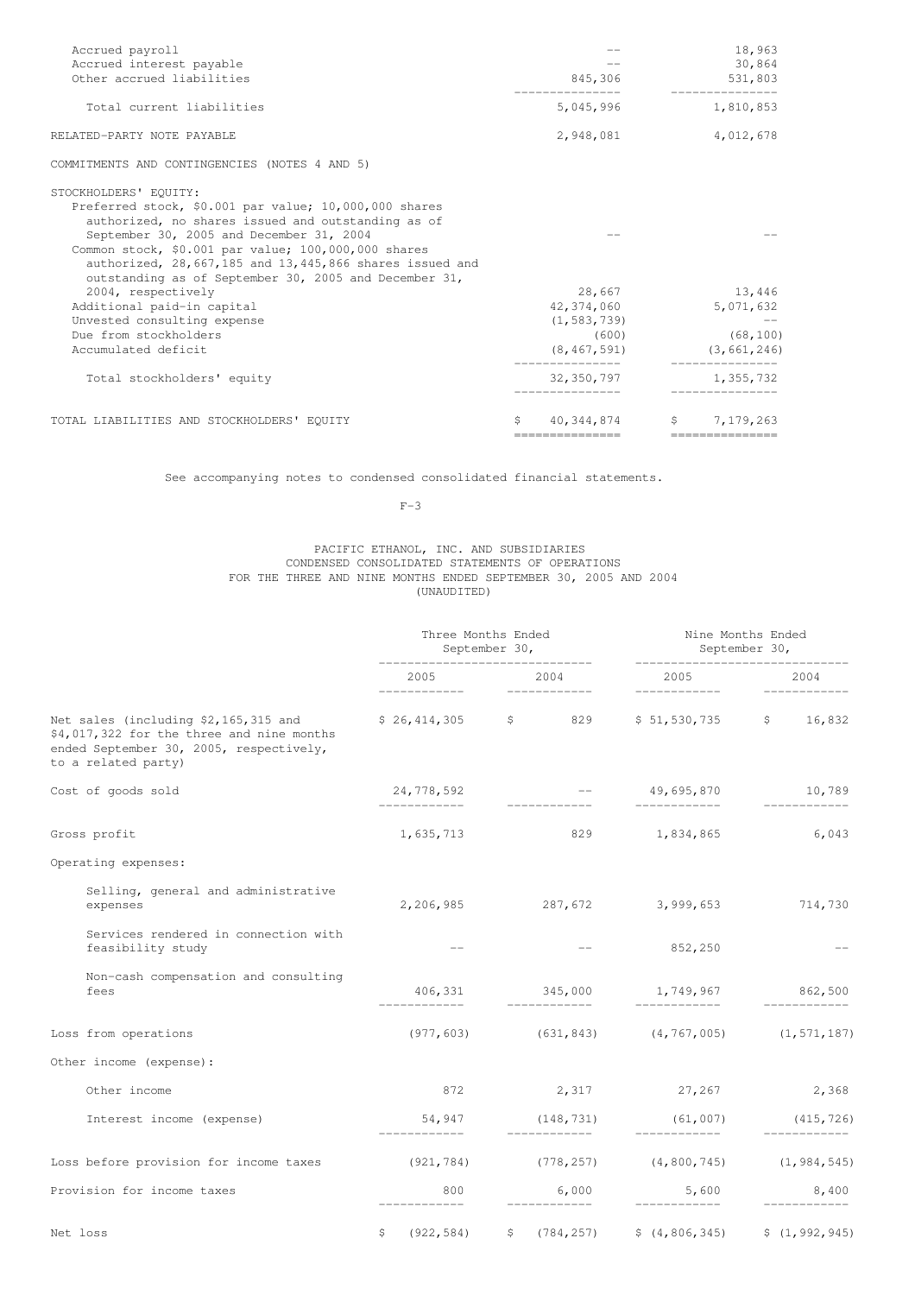| Accrued payroll                                         |                                 | 18,963                      |
|---------------------------------------------------------|---------------------------------|-----------------------------|
| Accrued interest payable                                |                                 | 30,864                      |
| Other accrued liabilities                               | 845,306                         | 531,803<br>-----------      |
| Total current liabilities                               | 5,045,996                       | 1,810,853                   |
| RELATED-PARTY NOTE PAYABLE                              | 2,948,081                       | 4,012,678                   |
| COMMITMENTS AND CONTINGENCIES (NOTES 4 AND 5)           |                                 |                             |
| STOCKHOLDERS' EOUITY:                                   |                                 |                             |
| Preferred stock, \$0.001 par value; 10,000,000 shares   |                                 |                             |
| authorized, no shares issued and outstanding as of      |                                 |                             |
| September 30, 2005 and December 31, 2004                |                                 |                             |
| Common stock, \$0.001 par value; 100,000,000 shares     |                                 |                             |
| authorized, 28,667,185 and 13,445,866 shares issued and |                                 |                             |
| outstanding as of September 30, 2005 and December 31,   |                                 |                             |
| 2004, respectively                                      | 28,667                          | 13,446                      |
| Additional paid-in capital                              | 42,374,060                      | 5,071,632                   |
| Unvested consulting expense                             | (1, 583, 739)                   |                             |
| Due from stockholders                                   | (600)                           | (68, 100)                   |
| Accumulated deficit                                     | $(8, 467, 591)$ $(3, 661, 246)$ |                             |
| Total stockholders' equity                              | 32,350,797                      | 1,355,732<br>-------------- |
| TOTAL LIABILITIES AND STOCKHOLDERS' EOUITY              | 40,344,874 \$ 7,179,263         |                             |
|                                                         | ---------------                 | ================            |

See accompanying notes to condensed consolidated financial statements.

# $F-3$

# PACIFIC ETHANOL, INC. AND SUBSIDIARIES CONDENSED CONSOLIDATED STATEMENTS OF OPERATIONS FOR THE THREE AND NINE MONTHS ENDED SEPTEMBER 30, 2005 AND 2004 (UNAUDITED)

|                                                                                                                                                     |                            | Three Months Ended<br>September 30,                       | Nine Months Ended                                 | September 30,               |
|-----------------------------------------------------------------------------------------------------------------------------------------------------|----------------------------|-----------------------------------------------------------|---------------------------------------------------|-----------------------------|
|                                                                                                                                                     | ____________               | --------------------------------<br>2005 2004             | ----------------------------<br>2005 - 100        | 2004                        |
| Net sales (including \$2,165,315 and<br>\$4,017,322 for the three and nine months<br>ended September 30, 2005, respectively,<br>to a related party) |                            | $$26,414,305$ $$829$                                      | \$51,530,735                                      | \$16,832                    |
| Cost of goods sold                                                                                                                                  | 24,778,592<br>____________ | -------------                                             | $--$ 49,695,870 10,789                            | ------------                |
| Gross profit                                                                                                                                        | 1,635,713                  | 829 — 10                                                  | 1,834,865                                         | 6,043                       |
| Operating expenses:                                                                                                                                 |                            |                                                           |                                                   |                             |
| Selling, general and administrative<br>expenses                                                                                                     | 2,206,985                  | 287,672 3,999,653                                         |                                                   | 714,730                     |
| Services rendered in connection with<br>feasibility study                                                                                           | $\qquad -$                 | $- -$                                                     | 852,250                                           |                             |
| Non-cash compensation and consulting<br>fees                                                                                                        | -------------              | 406,331 345,000 1,749,967 862,500<br>____________         | ------------                                      |                             |
| Loss from operations                                                                                                                                |                            | $(977, 603)$ $(631, 843)$ $(4, 767, 005)$ $(1, 571, 187)$ |                                                   |                             |
| Other income (expense):                                                                                                                             |                            |                                                           |                                                   |                             |
| Other income                                                                                                                                        | 872                        | 2,317 27,267 2,368                                        |                                                   |                             |
| Interest income (expense)                                                                                                                           | 54,947<br>-------------    | (148, 731)<br>-------------                               | (61, 007)<br>____________                         | (415, 726)<br>------------- |
| Loss before provision for income taxes                                                                                                              |                            | $(921, 784)$ $(778, 257)$ $(4, 800, 745)$ $(1, 984, 545)$ |                                                   |                             |
| Provision for income taxes                                                                                                                          | 800<br>-------------       | 6,000<br>____________                                     | 5,600<br>-------------                            | 8,400<br>------------       |
| Net loss                                                                                                                                            | \$ (922, 584)              |                                                           | $\frac{1}{2}$ (784,257) $\frac{1}{2}$ (4,806,345) | \$(1, 992, 945)             |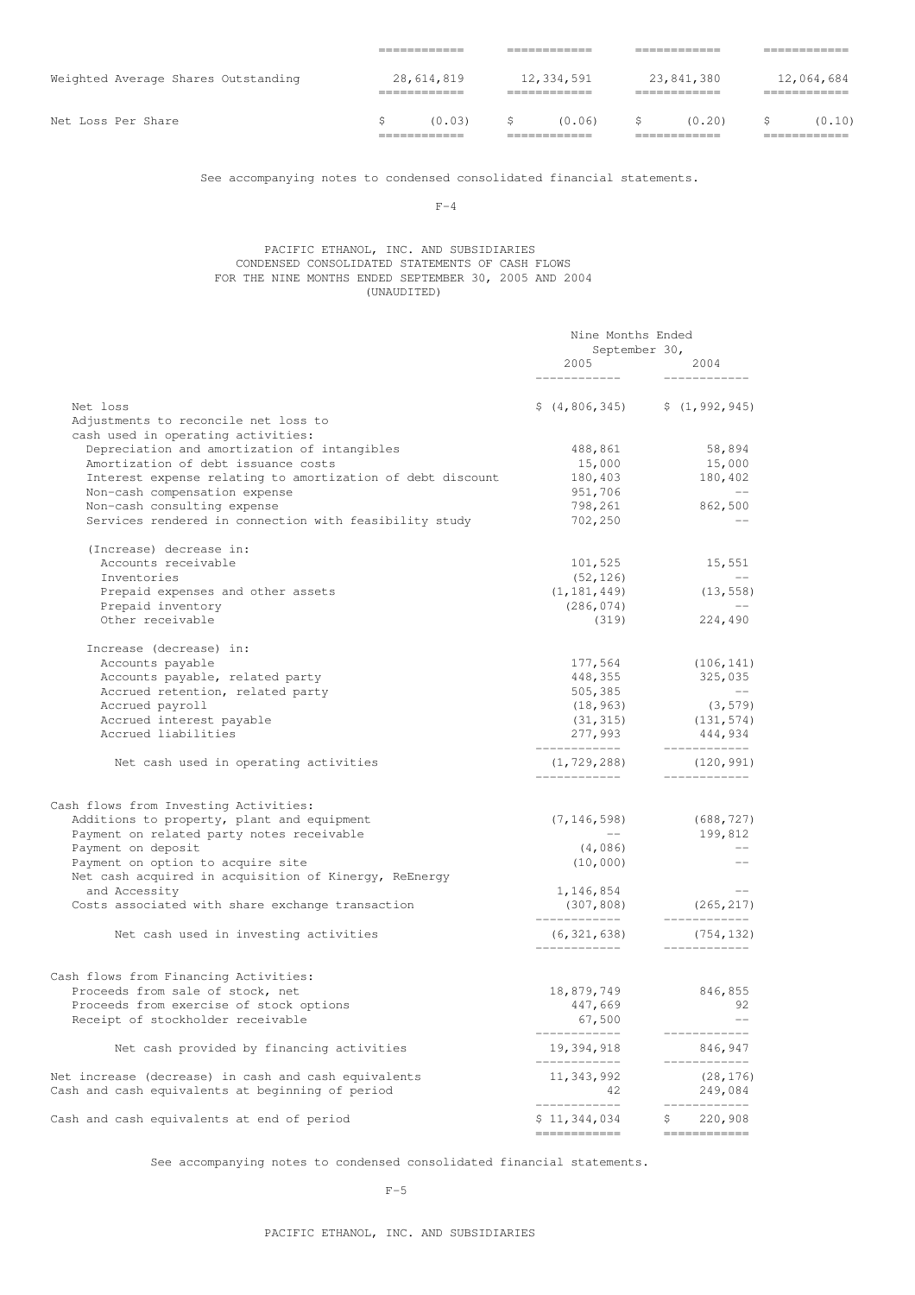|                                     | ____________              |            | ____________ |            | ____________   |            | _________ |            |
|-------------------------------------|---------------------------|------------|--------------|------------|----------------|------------|-----------|------------|
| Weighted Average Shares Outstanding | ____________              | 28,614,819 |              | 12,334,591 |                | 23,841,380 |           | 12,064,684 |
| Net Loss Per Share                  | ____________<br>_________ | (0.03)     |              | (0.06)     | S<br>_________ | (0.20)     |           | (0.10)     |

See accompanying notes to condensed consolidated financial statements.

## $F-4$

## PACIFIC ETHANOL, INC. AND SUBSIDIARIES CONDENSED CONSOLIDATED STATEMENTS OF CASH FLOWS FOR THE NINE MONTHS ENDED SEPTEMBER 30, 2005 AND 2004 (UNAUDITED)

|                                                                            | Nine Months Ended             | September 30,                                       |
|----------------------------------------------------------------------------|-------------------------------|-----------------------------------------------------|
|                                                                            | ------------                  | 2004<br>------------                                |
| Net loss                                                                   |                               | $\frac{1}{2}$ (4,806,345) $\frac{1}{2}$ (1,992,945) |
| Adjustments to reconcile net loss to<br>cash used in operating activities: |                               |                                                     |
| Depreciation and amortization of intangibles                               | 488,861                       | 58,894                                              |
| Amortization of debt issuance costs                                        | 15,000                        | 15,000                                              |
| Interest expense relating to amortization of debt discount                 | 180,403                       | 180,402                                             |
| Non-cash compensation expense                                              | 951,706                       | $\sim$ $-$                                          |
| Non-cash consulting expense                                                | 798,261                       | $\mathbb{R}^2$<br>862,500                           |
| Services rendered in connection with feasibility study                     | 702,250                       | $\sim$ $-$                                          |
| (Increase) decrease in:                                                    |                               |                                                     |
| Accounts receivable                                                        | 101,525                       | 15,551                                              |
| Inventories                                                                | (52, 126)                     | $\sim$ $-$                                          |
| Prepaid expenses and other assets                                          | (1, 181, 449)                 | (13, 558)                                           |
| Prepaid inventory                                                          | (286, 074)                    |                                                     |
| Other receivable                                                           | (319)                         | 224,490                                             |
| Increase (decrease) in:                                                    |                               |                                                     |
| Accounts payable                                                           | 177,564                       | (106, 141)                                          |
| Accounts payable, related party                                            |                               | 448, 355 325, 035                                   |
| Accrued retention, related party                                           | 505,385                       | and the state of the state of                       |
| Accrued payroll                                                            |                               | $(18, 963)$ $(3, 579)$                              |
| Accrued interest payable                                                   | (31, 315)                     | (131, 574)                                          |
| Accrued liabilities                                                        | 277,993<br>____________       | 444,934<br>_____________                            |
| Net cash used in operating activities                                      | ____________                  | $(1, 729, 288)$ $(120, 991)$<br>_____________       |
| Cash flows from Investing Activities:                                      |                               |                                                     |
| Additions to property, plant and equipment                                 | (7, 146, 598)                 | (688, 727)                                          |
| Payment on related party notes receivable                                  | $\sim$ $-$                    | 199,812                                             |
| Payment on deposit                                                         | (4,086)                       | and the state of the state of                       |
| Payment on option to acquire site                                          | (10, 000)                     | $- -$                                               |
| Net cash acquired in acquisition of Kinergy, ReEnergy                      |                               |                                                     |
| and Accessity                                                              | 1,146,854                     |                                                     |
| Costs associated with share exchange transaction                           | (307, 808)<br>------------    | (265, 217)<br>-------------                         |
| Net cash used in investing activities                                      | (6, 321, 638)<br>____________ | (754, 132)                                          |
|                                                                            |                               |                                                     |
| Cash flows from Financing Activities:                                      |                               |                                                     |
| Proceeds from sale of stock, net                                           |                               | 18,879,749 846,855                                  |
| Proceeds from exercise of stock options                                    | 447,669                       | 92                                                  |
| Receipt of stockholder receivable                                          | 67,500<br>------------        | ------------                                        |
| Net cash provided by financing activities                                  | 19,394,918<br>------------    | 846,947<br>------------                             |
| Net increase (decrease) in cash and cash equivalents                       | 11,343,992                    | (28, 176)                                           |
| Cash and cash equivalents at beginning of period                           | 42                            | 249,084                                             |
| Cash and cash equivalents at end of period                                 | ------------<br>\$11,344,034  | ------------<br>220,908<br>Ş                        |
|                                                                            | ============                  | ==========                                          |

See accompanying notes to condensed consolidated financial statements.

 $F-5$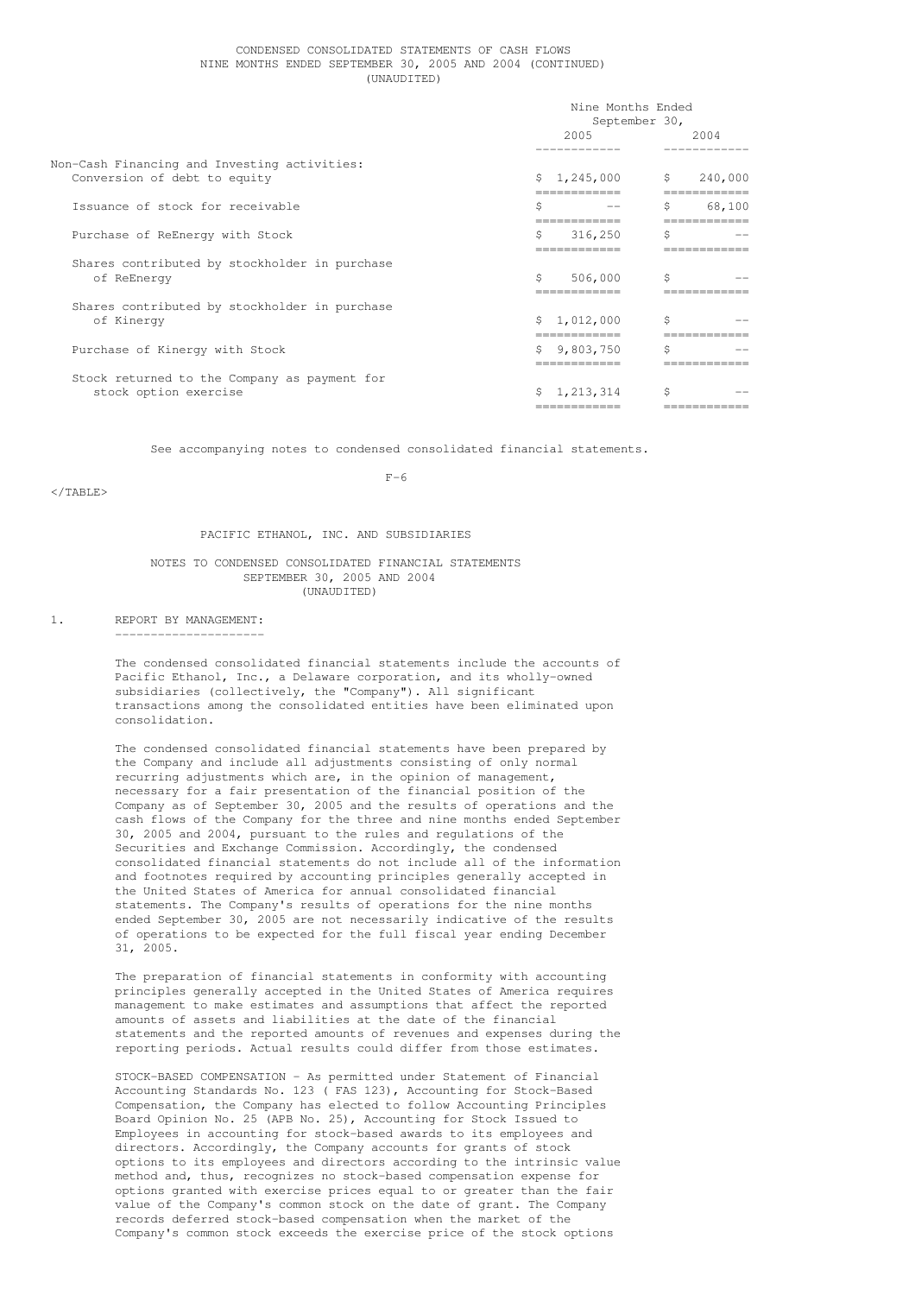## CONDENSED CONSOLIDATED STATEMENTS OF CASH FLOWS NINE MONTHS ENDED SEPTEMBER 30, 2005 AND 2004 (CONTINUED) (UNAUDITED)

|                                                                              | Nine Months Ended<br>September 30, |                             |    |                         |
|------------------------------------------------------------------------------|------------------------------------|-----------------------------|----|-------------------------|
|                                                                              |                                    | 2005                        |    | 2004                    |
| Non-Cash Financing and Investing activities:<br>Conversion of debt to equity |                                    | 1,245,000<br>------------   | S. | 240,000<br>============ |
| Issuance of stock for receivable                                             | Ŝ                                  | ============                | S  | 68,100<br>----------    |
| Purchase of ReEnergy with Stock                                              | Ŝ.                                 | 316,250<br>____________     | Ŝ  |                         |
| Shares contributed by stockholder in purchase<br>of ReEnergy                 | Ŝ.                                 | 506,000<br>------------     | Ŝ  |                         |
| Shares contributed by stockholder in purchase<br>of Kinergy                  |                                    | \$1,012,000<br>============ | Ŝ  |                         |
| Purchase of Kinergy with Stock                                               | S.                                 | 9,803,750                   |    |                         |
| Stock returned to the Company as payment for<br>stock option exercise        |                                    | 1,213,314                   | Ŝ  |                         |

See accompanying notes to condensed consolidated financial statements.

 $F-\tilde{6}$ 

 $\langle$ /TABLE>

# PACIFIC ETHANOL, INC. AND SUBSIDIARIES

### NOTES TO CONDENSED CONSOLIDATED FINANCIAL STATEMENTS SEPTEMBER 30, 2005 AND 2004 (UNAUDITED)

#### 1. REPORT BY MANAGEMENT:

---------------------

The condensed consolidated financial statements include the accounts of Pacific Ethanol, Inc., a Delaware corporation, and its wholly-owned subsidiaries (collectively, the "Company"). All significant transactions among the consolidated entities have been eliminated upon consolidation.

The condensed consolidated financial statements have been prepared by the Company and include all adjustments consisting of only normal recurring adjustments which are, in the opinion of management, necessary for a fair presentation of the financial position of the Company as of September 30, 2005 and the results of operations and the cash flows of the Company for the three and nine months ended September 30, 2005 and 2004, pursuant to the rules and regulations of the Securities and Exchange Commission. Accordingly, the condensed consolidated financial statements do not include all of the information and footnotes required by accounting principles generally accepted in the United States of America for annual consolidated financial statements. The Company's results of operations for the nine months ended September 30, 2005 are not necessarily indicative of the results of operations to be expected for the full fiscal year ending December 31, 2005.

The preparation of financial statements in conformity with accounting principles generally accepted in the United States of America requires management to make estimates and assumptions that affect the reported amounts of assets and liabilities at the date of the financial statements and the reported amounts of revenues and expenses during the reporting periods. Actual results could differ from those estimates.

STOCK-BASED COMPENSATION - As permitted under Statement of Financial Accounting Standards No. 123 ( FAS 123), Accounting for Stock-Based Compensation, the Company has elected to follow Accounting Principles Board Opinion No. 25 (APB No. 25), Accounting for Stock Issued to Employees in accounting for stock-based awards to its employees and directors. Accordingly, the Company accounts for grants of stock options to its employees and directors according to the intrinsic value method and, thus, recognizes no stock-based compensation expense for options granted with exercise prices equal to or greater than the fair value of the Company's common stock on the date of grant. The Company records deferred stock-based compensation when the market of the Company's common stock exceeds the exercise price of the stock options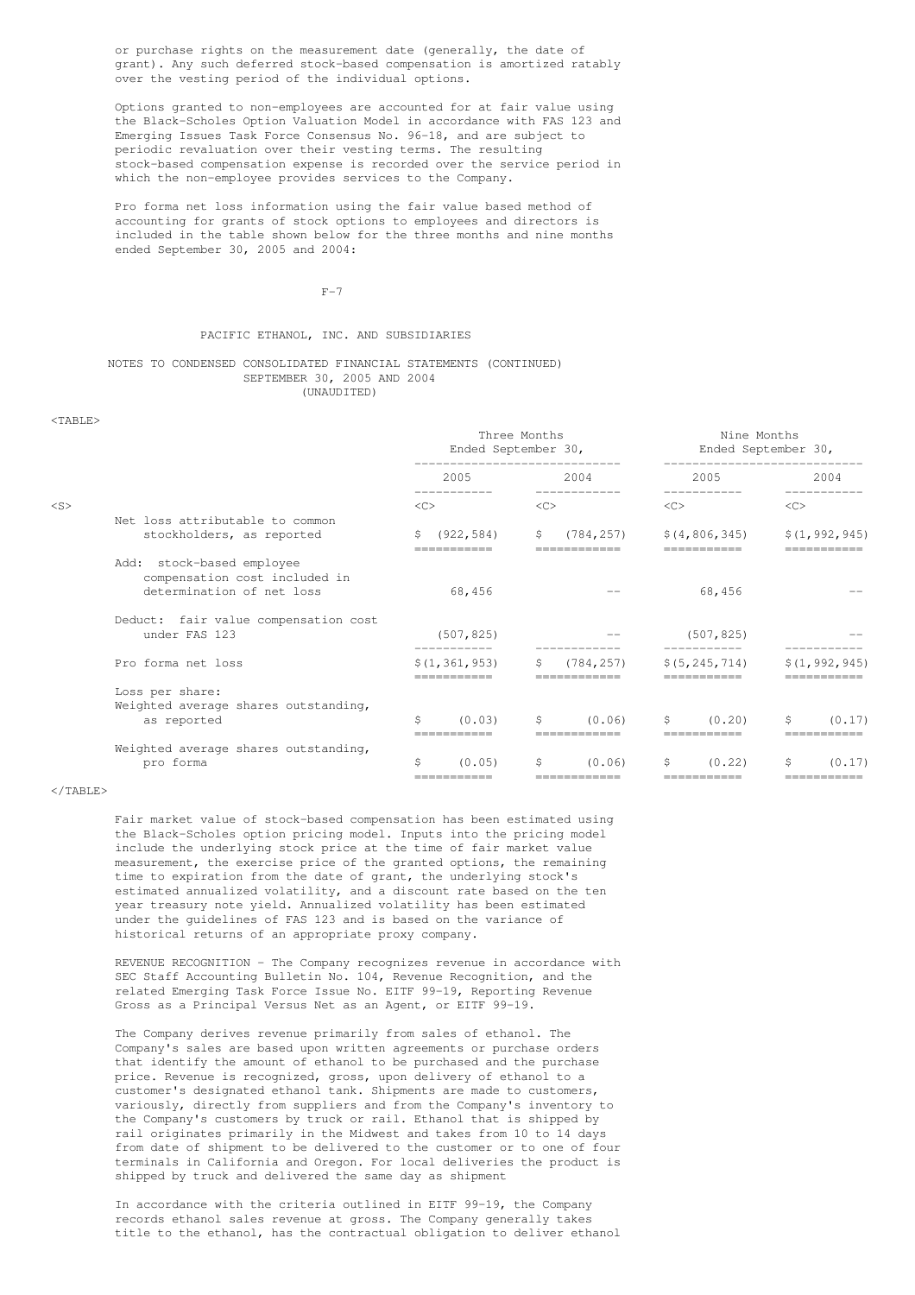or purchase rights on the measurement date (generally, the date of grant). Any such deferred stock-based compensation is amortized ratably over the vesting period of the individual options.

Options granted to non-employees are accounted for at fair value using the Black-Scholes Option Valuation Model in accordance with FAS 123 and Emerging Issues Task Force Consensus No. 96-18, and are subject to periodic revaluation over their vesting terms. The resulting stock-based compensation expense is recorded over the service period in which the non-employee provides services to the Company.

Pro forma net loss information using the fair value based method of accounting for grants of stock options to employees and directors is included in the table shown below for the three months and nine months ended September 30, 2005 and 2004:

# $F-7$

#### PACIFIC ETHANOL, INC. AND SUBSIDIARIES

### NOTES TO CONDENSED CONSOLIDATED FINANCIAL STATEMENTS (CONTINUED) SEPTEMBER 30, 2005 AND 2004 (UNAUDITED)

<TABLE>

|        |                                                                                         | Three Months<br>Ended September 30, |                                           |    | Nine Months<br>Ended September 30,             |                     |                                 |                     |                                |
|--------|-----------------------------------------------------------------------------------------|-------------------------------------|-------------------------------------------|----|------------------------------------------------|---------------------|---------------------------------|---------------------|--------------------------------|
|        |                                                                                         |                                     | ---------------------------------<br>2005 |    | 2004                                           |                     | -----------------------<br>2005 |                     | 2004                           |
| $<$ S> |                                                                                         | $\langle C \rangle$                 | -----------                               | << | ------------                                   | $\langle C \rangle$ | -----------                     | $\langle C \rangle$ | -----------                    |
|        | Net loss attributable to common<br>stockholders, as reported                            |                                     | \$ (922, 584)<br>===========              |    | $$(784, 257)$ $$(4, 806, 345)$<br>============ |                     | ------------                    |                     | \$(1, 992, 945)<br>=========== |
|        | Add: stock-based employee<br>compensation cost included in<br>determination of net loss |                                     | 68,456                                    |    | $- -$                                          |                     | 68,456                          |                     |                                |
|        | Deduct: fair value compensation cost<br>under FAS 123                                   |                                     | (507, 825)                                |    | ------------                                   |                     | (507, 825)<br>-----------       |                     | -----------                    |
|        | Pro forma net loss                                                                      |                                     | \$(1, 361, 953)                           |    | 5(784, 257)                                    |                     | \$(5, 245, 714)<br>-----------  |                     | \$(1, 992, 945)                |
|        | Loss per share:<br>Weighted average shares outstanding,<br>as reported                  | Ŝ.                                  | (0.03)<br>===========                     | S. | (0.06)<br>============                         |                     | $\sin(0.20)$<br>===========     | S.                  | (0.17)                         |
|        | Weighted average shares outstanding,<br>pro forma                                       | Ŝ.                                  | (0.05)<br>==========                      | S. | (0.06)<br>============                         | S.                  | (0.22)<br>===========           | S.                  | (0.17)<br>==========           |

## $\langle$ /TABLE>

Fair market value of stock-based compensation has been estimated using the Black-Scholes option pricing model. Inputs into the pricing model include the underlying stock price at the time of fair market value measurement, the exercise price of the granted options, the remaining time to expiration from the date of grant, the underlying stock's estimated annualized volatility, and a discount rate based on the ten year treasury note yield. Annualized volatility has been estimated under the guidelines of FAS 123 and is based on the variance of historical returns of an appropriate proxy company.

REVENUE RECOGNITION - The Company recognizes revenue in accordance with SEC Staff Accounting Bulletin No. 104, Revenue Recognition, and the related Emerging Task Force Issue No. EITF 99-19, Reporting Revenue Gross as a Principal Versus Net as an Agent, or EITF 99-19.

The Company derives revenue primarily from sales of ethanol. The Company's sales are based upon written agreements or purchase orders that identify the amount of ethanol to be purchased and the purchase price. Revenue is recognized, gross, upon delivery of ethanol to a customer's designated ethanol tank. Shipments are made to customers, variously, directly from suppliers and from the Company's inventory to the Company's customers by truck or rail. Ethanol that is shipped by rail originates primarily in the Midwest and takes from 10 to 14 days from date of shipment to be delivered to the customer or to one of four terminals in California and Oregon. For local deliveries the product is shipped by truck and delivered the same day as shipment

In accordance with the criteria outlined in EITF 99-19, the Company records ethanol sales revenue at gross. The Company generally takes title to the ethanol, has the contractual obligation to deliver ethanol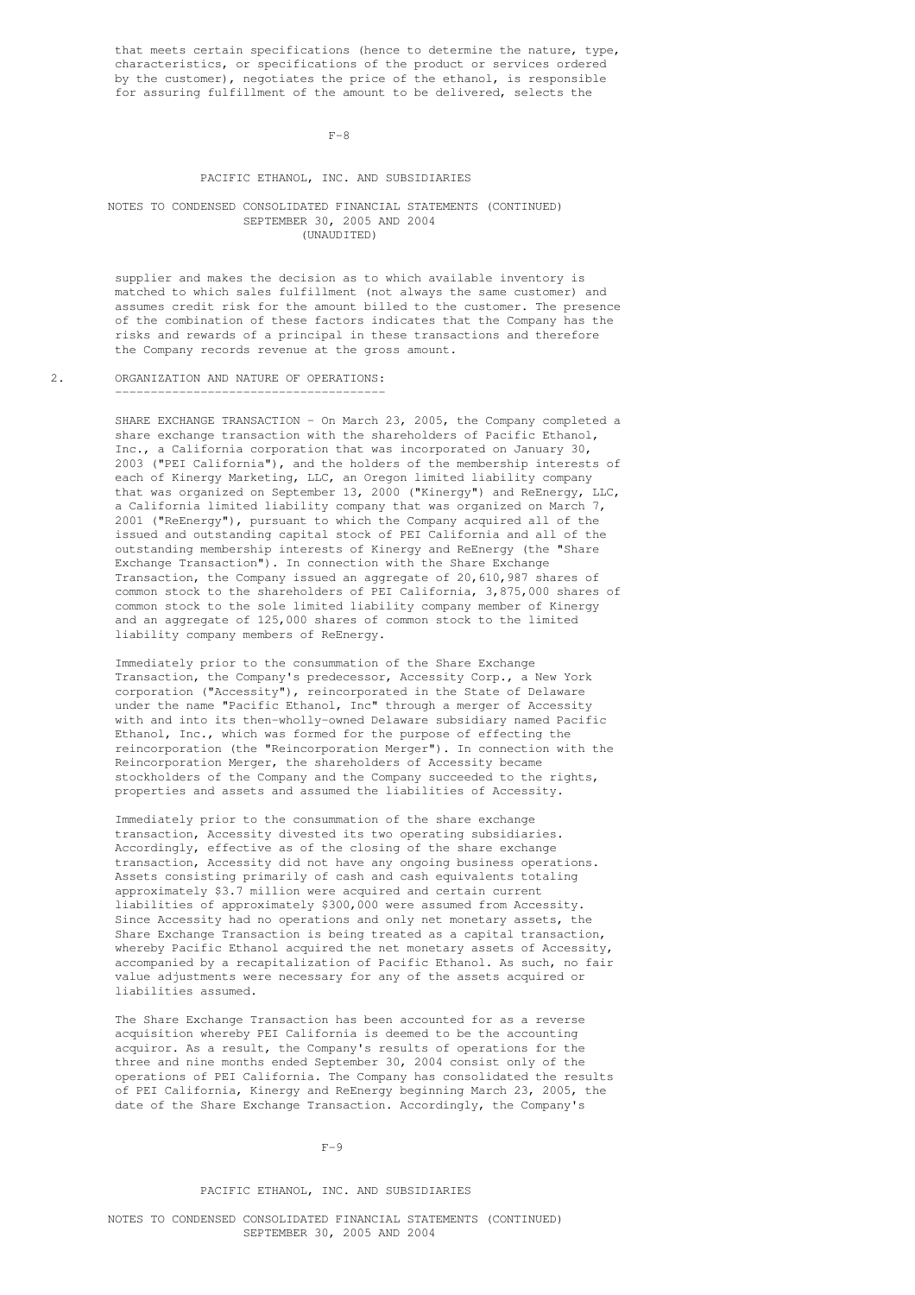that meets certain specifications (hence to determine the nature, type, characteristics, or specifications of the product or services ordered by the customer), negotiates the price of the ethanol, is responsible for assuring fulfillment of the amount to be delivered, selects the

## $F - 8$

## PACIFIC ETHANOL, INC. AND SUBSIDIARIES

### NOTES TO CONDENSED CONSOLIDATED FINANCIAL STATEMENTS (CONTINUED) SEPTEMBER 30, 2005 AND 2004 (UNAUDITED)

supplier and makes the decision as to which available inventory is matched to which sales fulfillment (not always the same customer) and assumes credit risk for the amount billed to the customer. The presence of the combination of these factors indicates that the Company has the risks and rewards of a principal in these transactions and therefore the Company records revenue at the gross amount.

## 2. ORGANIZATION AND NATURE OF OPERATIONS: --------------------------------------

SHARE EXCHANGE TRANSACTION - On March 23, 2005, the Company completed a share exchange transaction with the shareholders of Pacific Ethanol, Inc., a California corporation that was incorporated on January 30, 2003 ("PEI California"), and the holders of the membership interests of each of Kinergy Marketing, LLC, an Oregon limited liability company that was organized on September 13, 2000 ("Kinergy") and ReEnergy, LLC, a California limited liability company that was organized on March 7, 2001 ("ReEnergy"), pursuant to which the Company acquired all of the issued and outstanding capital stock of PEI California and all of the outstanding membership interests of Kinergy and ReEnergy (the "Share Exchange Transaction"). In connection with the Share Exchange Transaction, the Company issued an aggregate of 20,610,987 shares of common stock to the shareholders of PEI California, 3,875,000 shares of common stock to the sole limited liability company member of Kinergy and an aggregate of 125,000 shares of common stock to the limited liability company members of ReEnergy.

Immediately prior to the consummation of the Share Exchange Transaction, the Company's predecessor, Accessity Corp., a New York corporation ("Accessity"), reincorporated in the State of Delaware under the name "Pacific Ethanol, Inc" through a merger of Accessity with and into its then-wholly-owned Delaware subsidiary named Pacific Ethanol, Inc., which was formed for the purpose of effecting the reincorporation (the "Reincorporation Merger"). In connection with the Reincorporation Merger, the shareholders of Accessity became stockholders of the Company and the Company succeeded to the rights, properties and assets and assumed the liabilities of Accessity.

Immediately prior to the consummation of the share exchange transaction, Accessity divested its two operating subsidiaries. Accordingly, effective as of the closing of the share exchange transaction, Accessity did not have any ongoing business operations. Assets consisting primarily of cash and cash equivalents totaling approximately \$3.7 million were acquired and certain current liabilities of approximately \$300,000 were assumed from Accessity. Since Accessity had no operations and only net monetary assets, the Share Exchange Transaction is being treated as a capital transaction, whereby Pacific Ethanol acquired the net monetary assets of Accessity, accompanied by a recapitalization of Pacific Ethanol. As such, no fair value adjustments were necessary for any of the assets acquired or liabilities assumed.

The Share Exchange Transaction has been accounted for as a reverse acquisition whereby PEI California is deemed to be the accounting acquiror. As a result, the Company's results of operations for the three and nine months ended September 30, 2004 consist only of the operations of PEI California. The Company has consolidated the results of PEI California, Kinergy and ReEnergy beginning March 23, 2005, the date of the Share Exchange Transaction. Accordingly, the Company's

## $F-9$

#### PACIFIC ETHANOL, INC. AND SUBSIDIARIES

NOTES TO CONDENSED CONSOLIDATED FINANCIAL STATEMENTS (CONTINUED) SEPTEMBER 30, 2005 AND 2004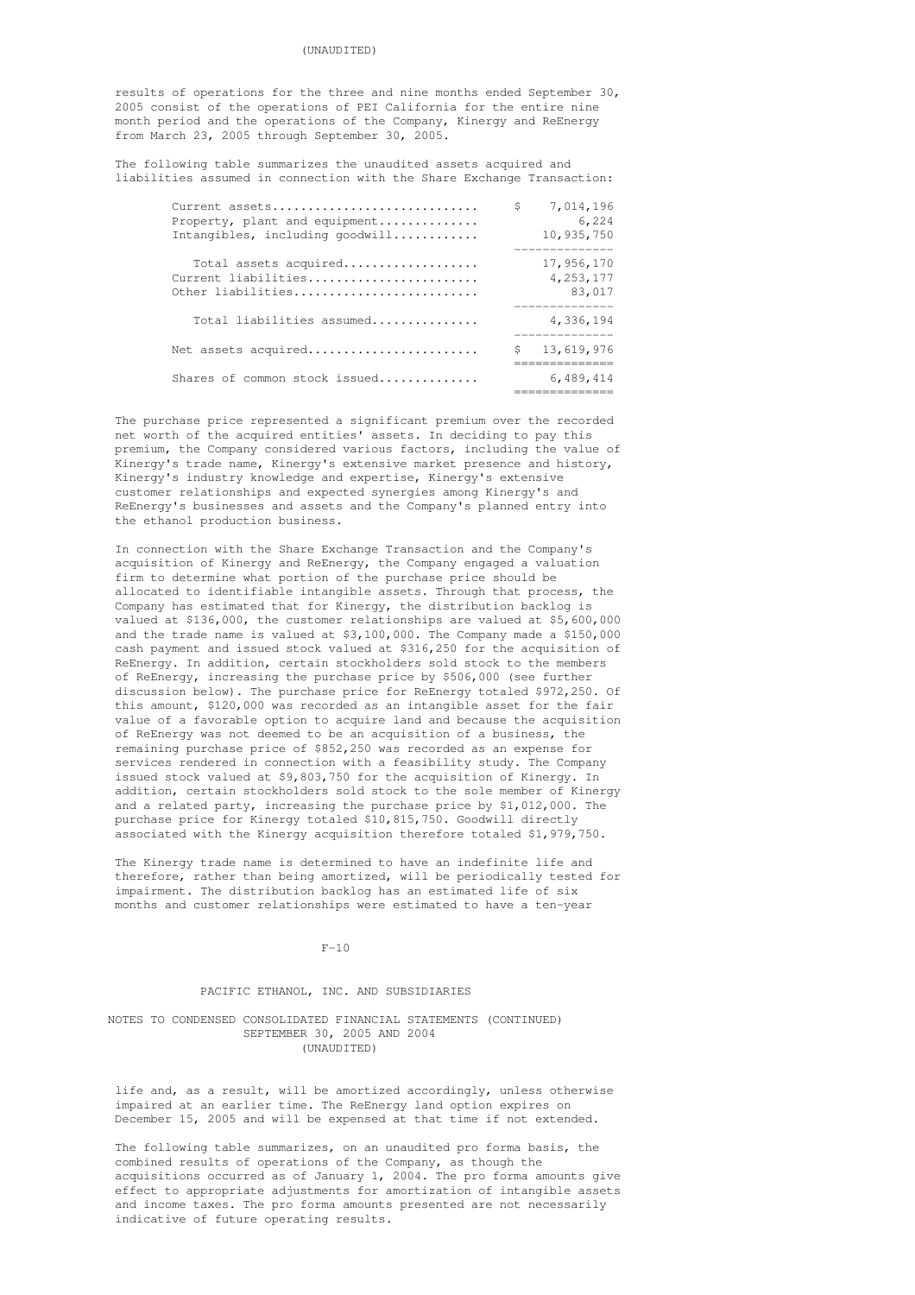#### (UNAUDITED)

results of operations for the three and nine months ended September 30, 2005 consist of the operations of PEI California for the entire nine month period and the operations of the Company, Kinergy and ReEnergy from March 23, 2005 through September 30, 2005.

The following table summarizes the unaudited assets acquired and liabilities assumed in connection with the Share Exchange Transaction:

| Current assets                  | \$ | 7,014,196   |
|---------------------------------|----|-------------|
| Property, plant and equipment   |    | 6,224       |
| Intangibles, including goodwill |    | 10,935,750  |
|                                 |    |             |
| Total assets acquired           |    | 17,956,170  |
| Current liabilities             |    | 4, 253, 177 |
| Other liabilities               |    | 83,017      |
|                                 |    | ----------- |
| Total liabilities assumed       |    | 4,336,194   |
|                                 |    |             |
| Net assets acquired             | Ŝ. | 13,619,976  |
|                                 |    | ---------   |
| Shares of common stock issued   |    | 6.489.414   |
|                                 |    |             |

The purchase price represented a significant premium over the recorded net worth of the acquired entities' assets. In deciding to pay this premium, the Company considered various factors, including the value of Kinergy's trade name, Kinergy's extensive market presence and history, Kinergy's industry knowledge and expertise, Kinergy's extensive customer relationships and expected synergies among Kinergy's and ReEnergy's businesses and assets and the Company's planned entry into the ethanol production business.

In connection with the Share Exchange Transaction and the Company's acquisition of Kinergy and ReEnergy, the Company engaged a valuation firm to determine what portion of the purchase price should be allocated to identifiable intangible assets. Through that process, the Company has estimated that for Kinergy, the distribution backlog is valued at \$136,000, the customer relationships are valued at \$5,600,000 and the trade name is valued at \$3,100,000. The Company made a \$150,000 cash payment and issued stock valued at \$316,250 for the acquisition of ReEnergy. In addition, certain stockholders sold stock to the members of ReEnergy, increasing the purchase price by \$506,000 (see further discussion below). The purchase price for ReEnergy totaled \$972,250. Of this amount, \$120,000 was recorded as an intangible asset for the fair value of a favorable option to acquire land and because the acquisition of ReEnergy was not deemed to be an acquisition of a business, the remaining purchase price of \$852,250 was recorded as an expense for services rendered in connection with a feasibility study. The Company issued stock valued at \$9,803,750 for the acquisition of Kinergy. In addition, certain stockholders sold stock to the sole member of Kinergy and a related party, increasing the purchase price by \$1,012,000. The purchase price for Kinergy totaled \$10,815,750. Goodwill directly associated with the Kinergy acquisition therefore totaled \$1,979,750.

The Kinergy trade name is determined to have an indefinite life and therefore, rather than being amortized, will be periodically tested for impairment. The distribution backlog has an estimated life of six months and customer relationships were estimated to have a ten-year

 $F-10$ 

## PACIFIC ETHANOL, INC. AND SUBSIDIARIES

NOTES TO CONDENSED CONSOLIDATED FINANCIAL STATEMENTS (CONTINUED) SEPTEMBER 30, 2005 AND 2004 (UNAUDITED)

life and, as a result, will be amortized accordingly, unless otherwise impaired at an earlier time. The ReEnergy land option expires on December 15, 2005 and will be expensed at that time if not extended.

The following table summarizes, on an unaudited pro forma basis, the combined results of operations of the Company, as though the acquisitions occurred as of January 1, 2004. The pro forma amounts give effect to appropriate adjustments for amortization of intangible assets and income taxes. The pro forma amounts presented are not necessarily indicative of future operating results.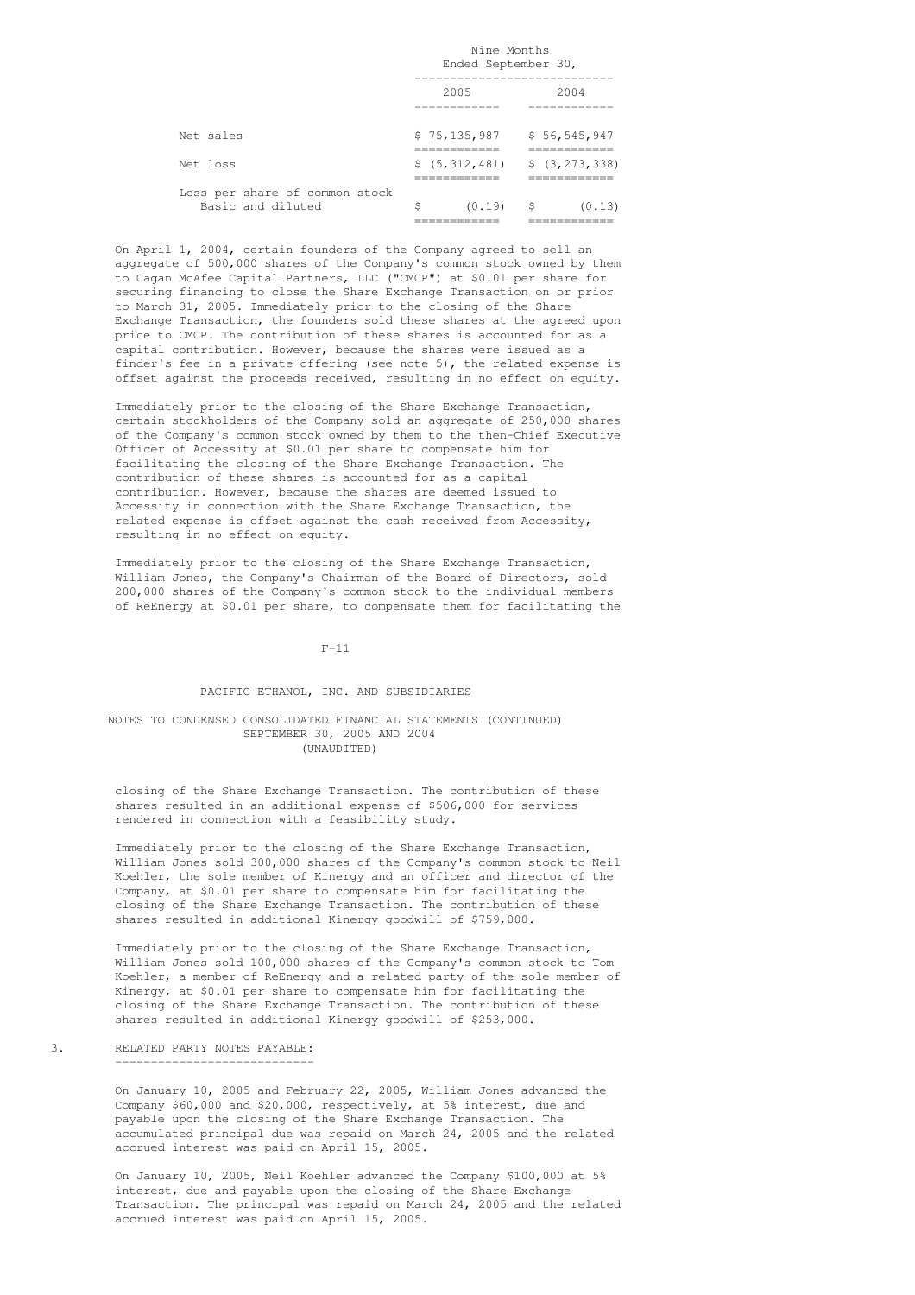|                                                     | Nine Months                            |              |  |  |  |  |
|-----------------------------------------------------|----------------------------------------|--------------|--|--|--|--|
|                                                     | Ended September 30,                    |              |  |  |  |  |
|                                                     | 2005<br>---------                      | 2004         |  |  |  |  |
| Net sales                                           | \$75,135,987                           | \$56,545,947 |  |  |  |  |
| Net loss                                            | $$(5, 312, 481) \qquad $(3, 273, 338)$ |              |  |  |  |  |
| Loss per share of common stock<br>Basic and diluted | Ŝ<br>$(0.19)$ \$                       | (0.13)       |  |  |  |  |

On April 1, 2004, certain founders of the Company agreed to sell an aggregate of 500,000 shares of the Company's common stock owned by them to Cagan McAfee Capital Partners, LLC ("CMCP") at \$0.01 per share for securing financing to close the Share Exchange Transaction on or prior to March 31, 2005. Immediately prior to the closing of the Share Exchange Transaction, the founders sold these shares at the agreed upon price to CMCP. The contribution of these shares is accounted for as a capital contribution. However, because the shares were issued as a finder's fee in a private offering (see note 5), the related expense is offset against the proceeds received, resulting in no effect on equity.

Immediately prior to the closing of the Share Exchange Transaction, certain stockholders of the Company sold an aggregate of 250,000 shares of the Company's common stock owned by them to the then-Chief Executive Officer of Accessity at \$0.01 per share to compensate him for facilitating the closing of the Share Exchange Transaction. The contribution of these shares is accounted for as a capital contribution. However, because the shares are deemed issued to Accessity in connection with the Share Exchange Transaction, the related expense is offset against the cash received from Accessity, resulting in no effect on equity.

Immediately prior to the closing of the Share Exchange Transaction, William Jones, the Company's Chairman of the Board of Directors, sold 200,000 shares of the Company's common stock to the individual members of ReEnergy at \$0.01 per share, to compensate them for facilitating the

 $F-11$ 

## PACIFIC ETHANOL, INC. AND SUBSIDIARIES

## NOTES TO CONDENSED CONSOLIDATED FINANCIAL STATEMENTS (CONTINUED) SEPTEMBER 30, 2005 AND 2004 (UNAUDITED)

closing of the Share Exchange Transaction. The contribution of these shares resulted in an additional expense of \$506,000 for services rendered in connection with a feasibility study.

Immediately prior to the closing of the Share Exchange Transaction, William Jones sold 300,000 shares of the Company's common stock to Neil Koehler, the sole member of Kinergy and an officer and director of the Company, at \$0.01 per share to compensate him for facilitating the closing of the Share Exchange Transaction. The contribution of these shares resulted in additional Kinergy goodwill of \$759,000.

Immediately prior to the closing of the Share Exchange Transaction, William Jones sold 100,000 shares of the Company's common stock to Tom Koehler, a member of ReEnergy and a related party of the sole member of Kinergy, at \$0.01 per share to compensate him for facilitating the closing of the Share Exchange Transaction. The contribution of these shares resulted in additional Kinergy goodwill of \$253,000.

## 3. RELATED PARTY NOTES PAYABLE: ----------------------------

On January 10, 2005 and February 22, 2005, William Jones advanced the Company \$60,000 and \$20,000, respectively, at 5% interest, due and payable upon the closing of the Share Exchange Transaction. The accumulated principal due was repaid on March 24, 2005 and the related accrued interest was paid on April 15, 2005.

On January 10, 2005, Neil Koehler advanced the Company \$100,000 at 5% interest, due and payable upon the closing of the Share Exchange Transaction. The principal was repaid on March 24, 2005 and the related accrued interest was paid on April 15, 2005.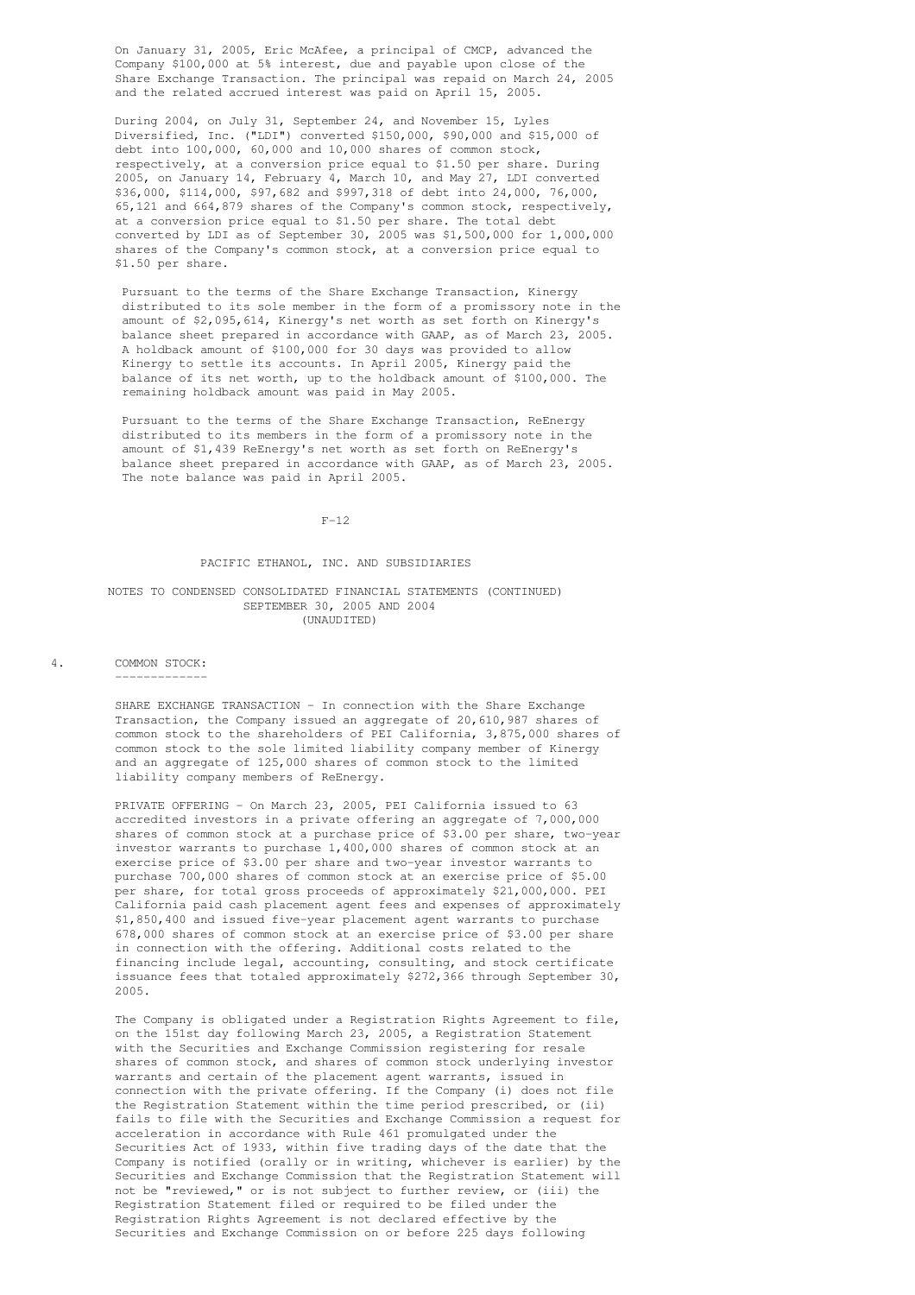On January 31, 2005, Eric McAfee, a principal of CMCP, advanced the Company \$100,000 at 5% interest, due and payable upon close of the Share Exchange Transaction. The principal was repaid on March 24, 2005 and the related accrued interest was paid on April 15, 2005.

During 2004, on July 31, September 24, and November 15, Lyles Diversified, Inc. ("LDI") converted \$150,000, \$90,000 and \$15,000 of debt into 100,000, 60,000 and 10,000 shares of common stock, respectively, at a conversion price equal to \$1.50 per share. During 2005, on January 14, February 4, March 10, and May 27, LDI converted \$36,000, \$114,000, \$97,682 and \$997,318 of debt into 24,000, 76,000, 65,121 and 664,879 shares of the Company's common stock, respectively, at a conversion price equal to \$1.50 per share. The total debt converted by LDI as of September 30, 2005 was \$1,500,000 for 1,000,000 shares of the Company's common stock, at a conversion price equal to \$1.50 per share.

Pursuant to the terms of the Share Exchange Transaction, Kinergy distributed to its sole member in the form of a promissory note in the amount of \$2,095,614, Kinergy's net worth as set forth on Kinergy's balance sheet prepared in accordance with GAAP, as of March 23, 2005. A holdback amount of \$100,000 for 30 days was provided to allow Kinergy to settle its accounts. In April 2005, Kinergy paid the balance of its net worth, up to the holdback amount of \$100,000. The remaining holdback amount was paid in May 2005.

Pursuant to the terms of the Share Exchange Transaction, ReEnergy distributed to its members in the form of a promissory note in the amount of \$1,439 ReEnergy's net worth as set forth on ReEnergy's balance sheet prepared in accordance with GAAP, as of March 23, 2005. The note balance was paid in April 2005.

## $F-12$

## PACIFIC ETHANOL, INC. AND SUBSIDIARIES

## NOTES TO CONDENSED CONSOLIDATED FINANCIAL STATEMENTS (CONTINUED) SEPTEMBER 30, 2005 AND 2004 (UNAUDITED)

4. COMMON STOCK:

-------------

SHARE EXCHANGE TRANSACTION - In connection with the Share Exchange Transaction, the Company issued an aggregate of 20,610,987 shares of common stock to the shareholders of PEI California, 3,875,000 shares of common stock to the sole limited liability company member of Kinergy and an aggregate of 125,000 shares of common stock to the limited liability company members of ReEnergy.

PRIVATE OFFERING - On March 23, 2005, PEI California issued to 63 accredited investors in a private offering an aggregate of 7,000,000 shares of common stock at a purchase price of \$3.00 per share, two-year investor warrants to purchase 1,400,000 shares of common stock at an exercise price of \$3.00 per share and two-year investor warrants to purchase 700,000 shares of common stock at an exercise price of \$5.00 per share, for total gross proceeds of approximately \$21,000,000. PEI California paid cash placement agent fees and expenses of approximately \$1,850,400 and issued five-year placement agent warrants to purchase 678,000 shares of common stock at an exercise price of \$3.00 per share in connection with the offering. Additional costs related to the financing include legal, accounting, consulting, and stock certificate issuance fees that totaled approximately \$272,366 through September 30, 2005.

The Company is obligated under a Registration Rights Agreement to file, on the 151st day following March 23, 2005, a Registration Statement with the Securities and Exchange Commission registering for resale shares of common stock, and shares of common stock underlying investor warrants and certain of the placement agent warrants, issued in connection with the private offering. If the Company (i) does not file the Registration Statement within the time period prescribed, or (ii) fails to file with the Securities and Exchange Commission a request for acceleration in accordance with Rule 461 promulgated under the Securities Act of 1933, within five trading days of the date that the Company is notified (orally or in writing, whichever is earlier) by the Securities and Exchange Commission that the Registration Statement will not be "reviewed," or is not subject to further review, or (iii) the Registration Statement filed or required to be filed under the Registration Rights Agreement is not declared effective by the Securities and Exchange Commission on or before 225 days following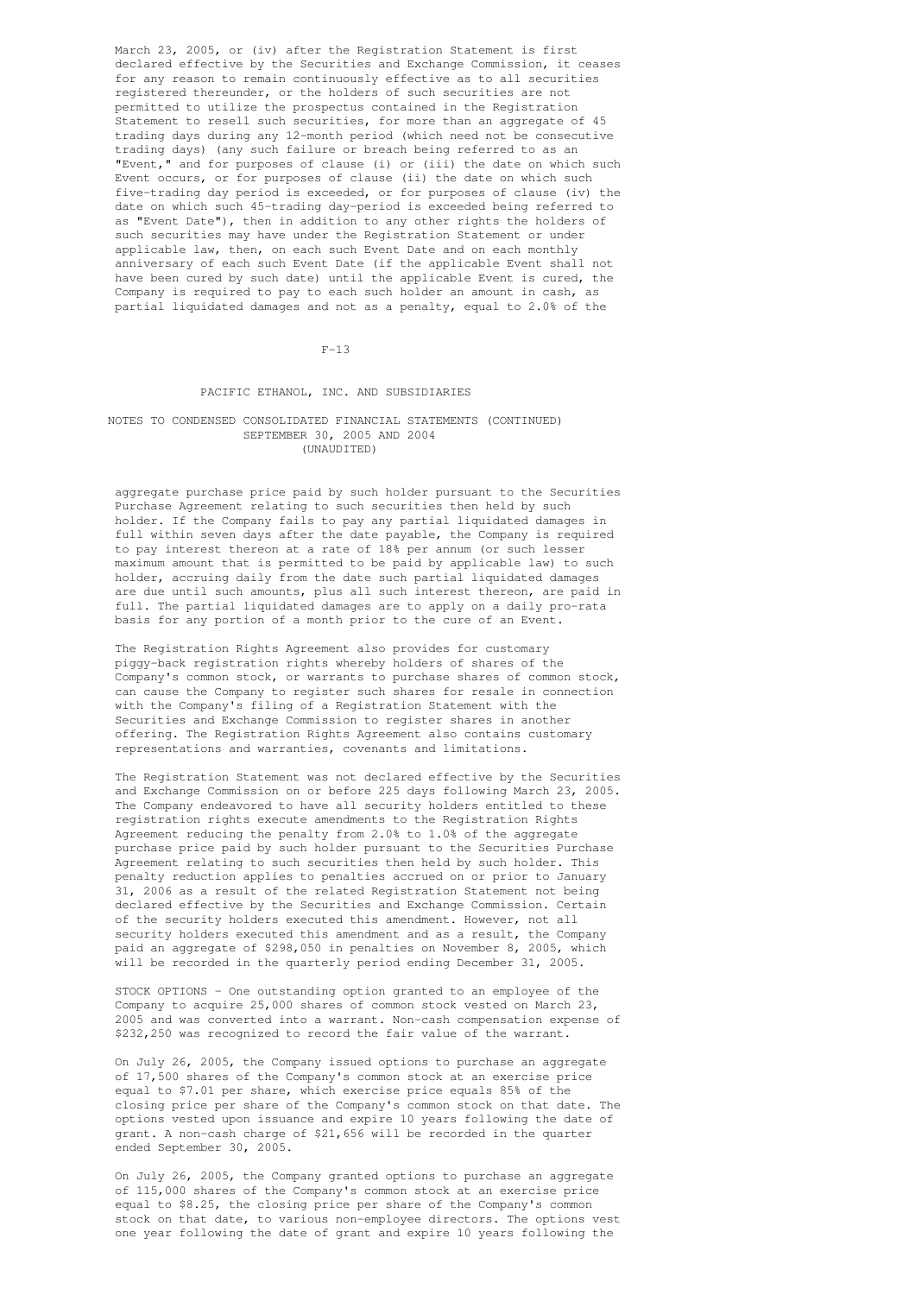March 23, 2005, or (iv) after the Registration Statement is first declared effective by the Securities and Exchange Commission, it ceases for any reason to remain continuously effective as to all securities registered thereunder, or the holders of such securities are not permitted to utilize the prospectus contained in the Registration Statement to resell such securities, for more than an aggregate of 45 trading days during any 12-month period (which need not be consecutive trading days) (any such failure or breach being referred to as an "Event," and for purposes of clause (i) or (iii) the date on which such Event occurs, or for purposes of clause (ii) the date on which such five-trading day period is exceeded, or for purposes of clause (iv) the date on which such 45-trading day-period is exceeded being referred to as "Event Date"), then in addition to any other rights the holders of such securities may have under the Registration Statement or under applicable law, then, on each such Event Date and on each monthly anniversary of each such Event Date (if the applicable Event shall not have been cured by such date) until the applicable Event is cured, the Company is required to pay to each such holder an amount in cash, as partial liquidated damages and not as a penalty, equal to 2.0% of the

 $F-13$ 

#### PACIFIC ETHANOL, INC. AND SUBSIDIARIES

## NOTES TO CONDENSED CONSOLIDATED FINANCIAL STATEMENTS (CONTINUED) SEPTEMBER 30, 2005 AND 2004 (UNAUDITED)

aggregate purchase price paid by such holder pursuant to the Securities Purchase Agreement relating to such securities then held by such holder. If the Company fails to pay any partial liquidated damages in full within seven days after the date payable, the Company is required to pay interest thereon at a rate of 18% per annum (or such lesser maximum amount that is permitted to be paid by applicable law) to such holder, accruing daily from the date such partial liquidated damages are due until such amounts, plus all such interest thereon, are paid in full. The partial liquidated damages are to apply on a daily pro-rata basis for any portion of a month prior to the cure of an Event.

The Registration Rights Agreement also provides for customary piggy-back registration rights whereby holders of shares of the Company's common stock, or warrants to purchase shares of common stock, can cause the Company to register such shares for resale in connection with the Company's filing of a Registration Statement with the Securities and Exchange Commission to register shares in another offering. The Registration Rights Agreement also contains customary representations and warranties, covenants and limitations.

The Registration Statement was not declared effective by the Securities and Exchange Commission on or before 225 days following March 23, 2005. The Company endeavored to have all security holders entitled to these registration rights execute amendments to the Registration Rights Agreement reducing the penalty from 2.0% to 1.0% of the aggregate purchase price paid by such holder pursuant to the Securities Purchase Agreement relating to such securities then held by such holder. This penalty reduction applies to penalties accrued on or prior to January 31, 2006 as a result of the related Registration Statement not being declared effective by the Securities and Exchange Commission. Certain of the security holders executed this amendment. However, not all security holders executed this amendment and as a result, the Company paid an aggregate of \$298,050 in penalties on November 8, 2005, which will be recorded in the quarterly period ending December 31, 2005.

STOCK OPTIONS - One outstanding option granted to an employee of the Company to acquire 25,000 shares of common stock vested on March 23, 2005 and was converted into a warrant. Non-cash compensation expense of \$232,250 was recognized to record the fair value of the warrant.

On July 26, 2005, the Company issued options to purchase an aggregate of 17,500 shares of the Company's common stock at an exercise price equal to \$7.01 per share, which exercise price equals 85% of the closing price per share of the Company's common stock on that date. The options vested upon issuance and expire 10 years following the date of grant. A non-cash charge of \$21,656 will be recorded in the quarter ended September 30, 2005.

On July 26, 2005, the Company granted options to purchase an aggregate of 115,000 shares of the Company's common stock at an exercise price equal to \$8.25, the closing price per share of the Company's common stock on that date, to various non-employee directors. The options vest one year following the date of grant and expire 10 years following the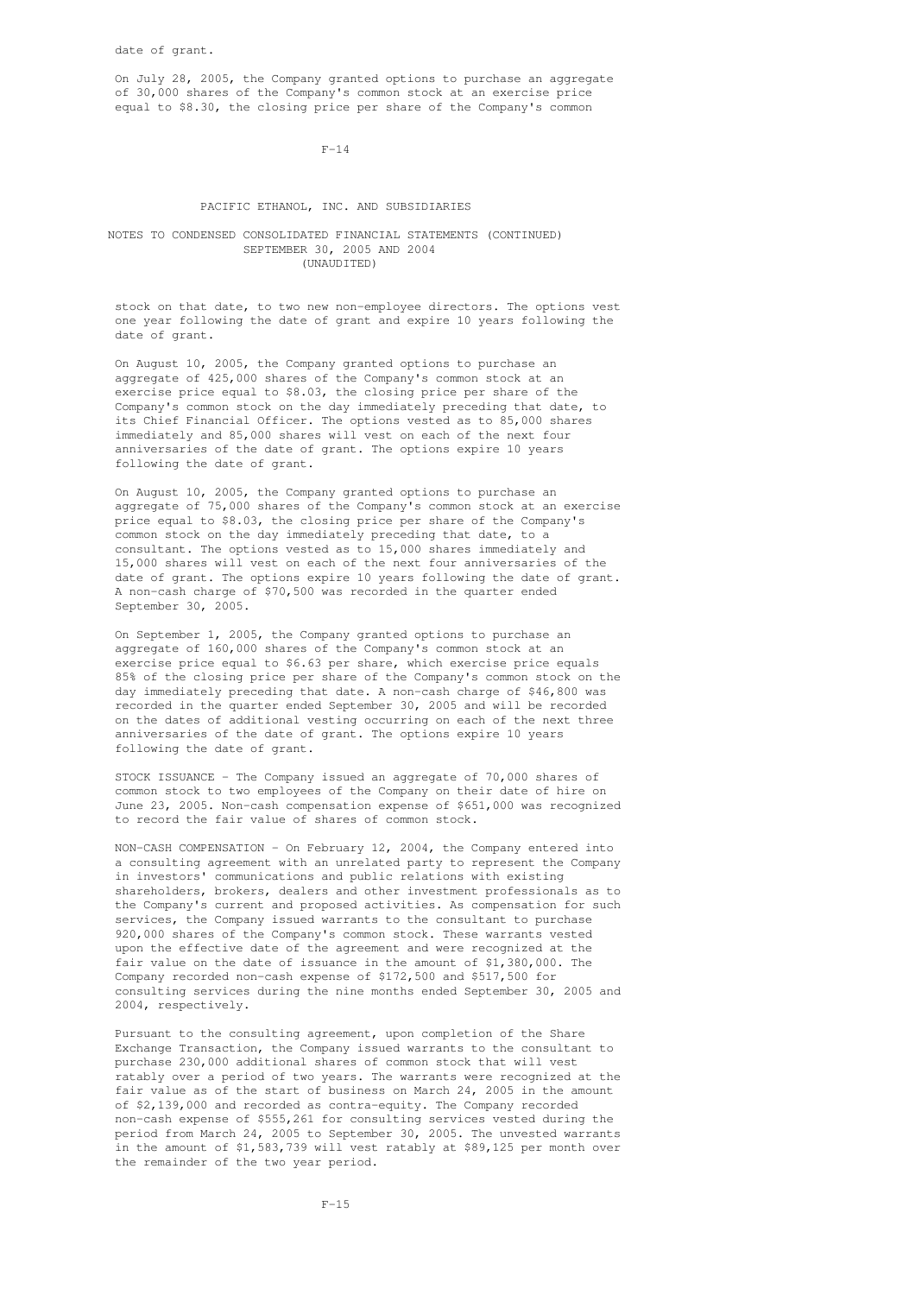On July 28, 2005, the Company granted options to purchase an aggregate of 30,000 shares of the Company's common stock at an exercise price equal to \$8.30, the closing price per share of the Company's common

 $F-14$ 

#### PACIFIC ETHANOL, INC. AND SUBSIDIARIES

### NOTES TO CONDENSED CONSOLIDATED FINANCIAL STATEMENTS (CONTINUED) SEPTEMBER 30, 2005 AND 2004 (UNAUDITED)

stock on that date, to two new non-employee directors. The options vest one year following the date of grant and expire 10 years following the date of grant.

On August 10, 2005, the Company granted options to purchase an aggregate of 425,000 shares of the Company's common stock at an exercise price equal to \$8.03, the closing price per share of the Company's common stock on the day immediately preceding that date, to its Chief Financial Officer. The options vested as to 85,000 shares immediately and 85,000 shares will vest on each of the next four anniversaries of the date of grant. The options expire 10 years following the date of grant.

On August 10, 2005, the Company granted options to purchase an aggregate of 75,000 shares of the Company's common stock at an exercise price equal to \$8.03, the closing price per share of the Company's common stock on the day immediately preceding that date, to a consultant. The options vested as to 15,000 shares immediately and 15,000 shares will vest on each of the next four anniversaries of the date of grant. The options expire 10 years following the date of grant. A non-cash charge of \$70,500 was recorded in the quarter ended September 30, 2005.

On September 1, 2005, the Company granted options to purchase an aggregate of 160,000 shares of the Company's common stock at an exercise price equal to \$6.63 per share, which exercise price equals 85% of the closing price per share of the Company's common stock on the day immediately preceding that date. A non-cash charge of \$46,800 was recorded in the quarter ended September 30, 2005 and will be recorded on the dates of additional vesting occurring on each of the next three anniversaries of the date of grant. The options expire 10 years following the date of grant.

STOCK ISSUANCE - The Company issued an aggregate of 70,000 shares of common stock to two employees of the Company on their date of hire on June 23, 2005. Non-cash compensation expense of \$651,000 was recognized to record the fair value of shares of common stock.

NON-CASH COMPENSATION - On February 12, 2004, the Company entered into a consulting agreement with an unrelated party to represent the Company in investors' communications and public relations with existing shareholders, brokers, dealers and other investment professionals as to the Company's current and proposed activities. As compensation for such services, the Company issued warrants to the consultant to purchase 920,000 shares of the Company's common stock. These warrants vested upon the effective date of the agreement and were recognized at the fair value on the date of issuance in the amount of \$1,380,000. The Company recorded non-cash expense of \$172,500 and \$517,500 for consulting services during the nine months ended September 30, 2005 and 2004, respectively.

Pursuant to the consulting agreement, upon completion of the Share Exchange Transaction, the Company issued warrants to the consultant to purchase 230,000 additional shares of common stock that will vest ratably over a period of two years. The warrants were recognized at the fair value as of the start of business on March 24, 2005 in the amount of \$2,139,000 and recorded as contra-equity. The Company recorded non-cash expense of \$555,261 for consulting services vested during the period from March 24, 2005 to September 30, 2005. The unvested warrants in the amount of \$1,583,739 will vest ratably at \$89,125 per month over the remainder of the two year period.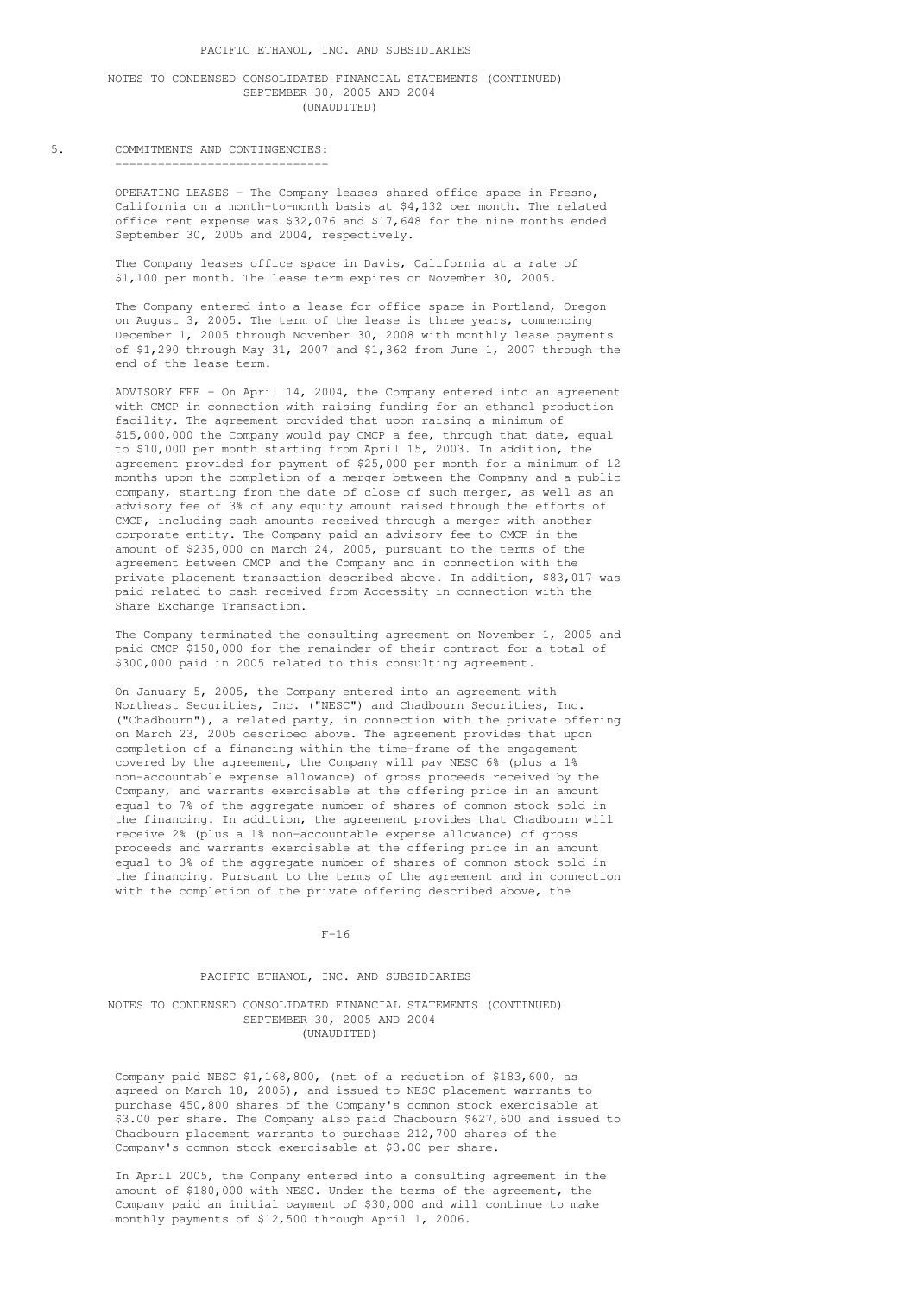# PACIFIC ETHANOL, INC. AND SUBSIDIARIES

## NOTES TO CONDENSED CONSOLIDATED FINANCIAL STATEMENTS (CONTINUED) SEPTEMBER 30, 2005 AND 2004 (UNAUDITED)

## 5. COMMITMENTS AND CONTINGENCIES: ------------------------------

OPERATING LEASES - The Company leases shared office space in Fresno, California on a month-to-month basis at \$4,132 per month. The related office rent expense was \$32,076 and \$17,648 for the nine months ended September 30, 2005 and 2004, respectively.

The Company leases office space in Davis, California at a rate of \$1,100 per month. The lease term expires on November 30, 2005.

The Company entered into a lease for office space in Portland, Oregon on August 3, 2005. The term of the lease is three years, commencing December 1, 2005 through November 30, 2008 with monthly lease payments of \$1,290 through May 31, 2007 and \$1,362 from June 1, 2007 through the end of the lease term.

ADVISORY FEE - On April 14, 2004, the Company entered into an agreement with CMCP in connection with raising funding for an ethanol production facility. The agreement provided that upon raising a minimum of \$15,000,000 the Company would pay CMCP a fee, through that date, equal to \$10,000 per month starting from April 15, 2003. In addition, the agreement provided for payment of \$25,000 per month for a minimum of 12 months upon the completion of a merger between the Company and a public company, starting from the date of close of such merger, as well as an advisory fee of 3% of any equity amount raised through the efforts of CMCP, including cash amounts received through a merger with another corporate entity. The Company paid an advisory fee to CMCP in the amount of \$235,000 on March 24, 2005, pursuant to the terms of the agreement between CMCP and the Company and in connection with the private placement transaction described above. In addition, \$83,017 was paid related to cash received from Accessity in connection with the Share Exchange Transaction.

The Company terminated the consulting agreement on November 1, 2005 and paid CMCP \$150,000 for the remainder of their contract for a total of \$300,000 paid in 2005 related to this consulting agreement.

On January 5, 2005, the Company entered into an agreement with Northeast Securities, Inc. ("NESC") and Chadbourn Securities, Inc. ("Chadbourn"), a related party, in connection with the private offering on March 23, 2005 described above. The agreement provides that upon completion of a financing within the time-frame of the engagement covered by the agreement, the Company will pay NESC 6% (plus a 1% non-accountable expense allowance) of gross proceeds received by the Company, and warrants exercisable at the offering price in an amount equal to 7% of the aggregate number of shares of common stock sold in the financing. In addition, the agreement provides that Chadbourn will receive 2% (plus a 1% non-accountable expense allowance) of gross proceeds and warrants exercisable at the offering price in an amount equal to 3% of the aggregate number of shares of common stock sold in the financing. Pursuant to the terms of the agreement and in connection with the completion of the private offering described above, the

 $F-16$ 

## PACIFIC ETHANOL, INC. AND SUBSIDIARIES

## NOTES TO CONDENSED CONSOLIDATED FINANCIAL STATEMENTS (CONTINUED) SEPTEMBER 30, 2005 AND 2004 (UNAUDITED)

Company paid NESC \$1,168,800, (net of a reduction of \$183,600, as agreed on March 18, 2005), and issued to NESC placement warrants to purchase 450,800 shares of the Company's common stock exercisable at \$3.00 per share. The Company also paid Chadbourn \$627,600 and issued to Chadbourn placement warrants to purchase 212,700 shares of the Company's common stock exercisable at \$3.00 per share.

In April 2005, the Company entered into a consulting agreement in the amount of \$180,000 with NESC. Under the terms of the agreement, the Company paid an initial payment of \$30,000 and will continue to make monthly payments of \$12,500 through April 1, 2006.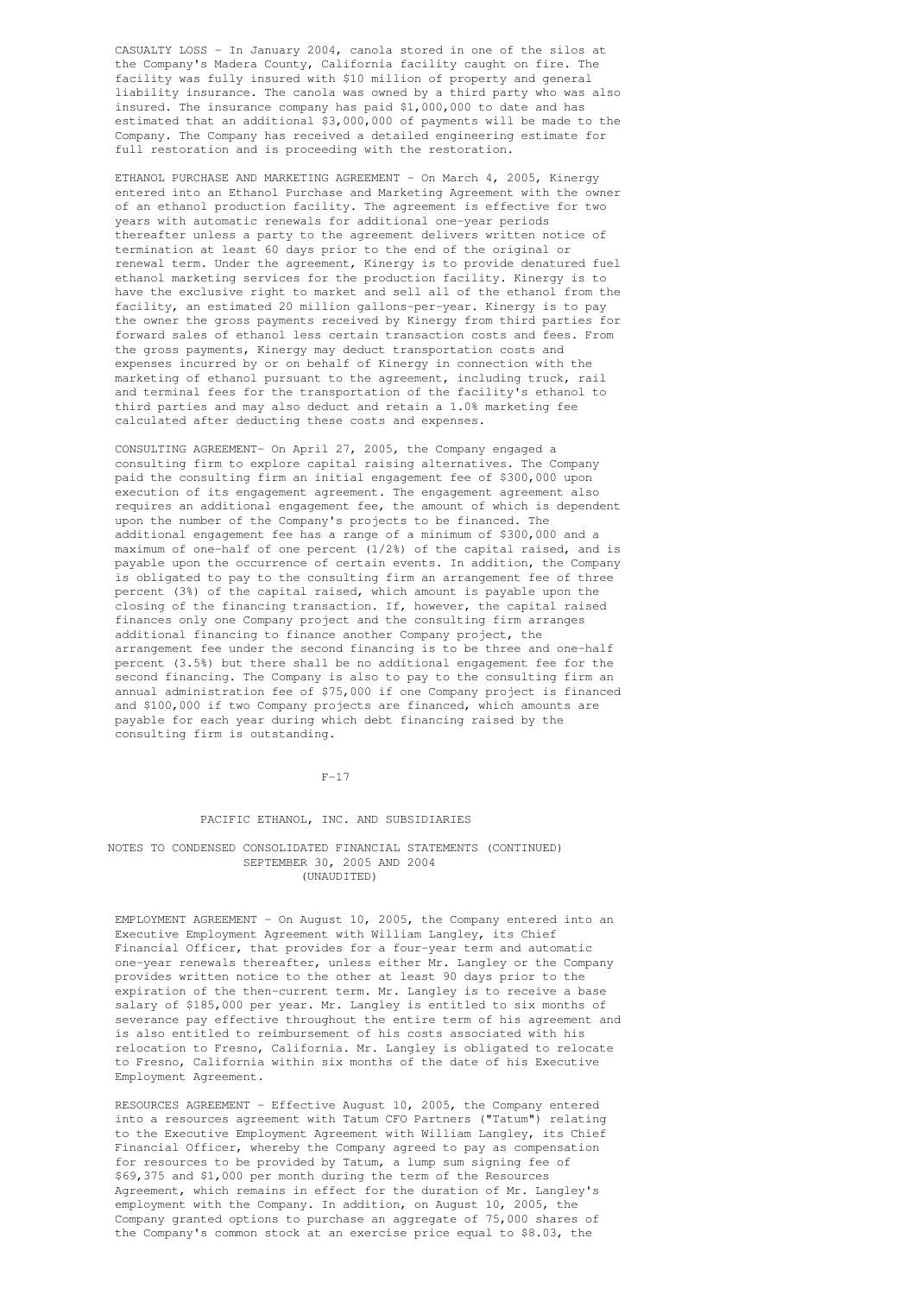CASUALTY LOSS - In January 2004, canola stored in one of the silos at the Company's Madera County, California facility caught on fire. The facility was fully insured with \$10 million of property and general liability insurance. The canola was owned by a third party who was also insured. The insurance company has paid \$1,000,000 to date and has estimated that an additional \$3,000,000 of payments will be made to the Company. The Company has received a detailed engineering estimate for full restoration and is proceeding with the restoration.

ETHANOL PURCHASE AND MARKETING AGREEMENT - On March 4, 2005, Kinergy entered into an Ethanol Purchase and Marketing Agreement with the owner of an ethanol production facility. The agreement is effective for two years with automatic renewals for additional one-year periods thereafter unless a party to the agreement delivers written notice of termination at least 60 days prior to the end of the original or renewal term. Under the agreement, Kinergy is to provide denatured fuel ethanol marketing services for the production facility. Kinergy is to have the exclusive right to market and sell all of the ethanol from the facility, an estimated 20 million gallons-per-year. Kinergy is to pay the owner the gross payments received by Kinergy from third parties for forward sales of ethanol less certain transaction costs and fees. From the gross payments, Kinergy may deduct transportation costs and expenses incurred by or on behalf of Kinergy in connection with the marketing of ethanol pursuant to the agreement, including truck, rail and terminal fees for the transportation of the facility's ethanol to third parties and may also deduct and retain a 1.0% marketing fee calculated after deducting these costs and expenses.

CONSULTING AGREEMENT- On April 27, 2005, the Company engaged a consulting firm to explore capital raising alternatives. The Company paid the consulting firm an initial engagement fee of \$300,000 upon execution of its engagement agreement. The engagement agreement also requires an additional engagement fee, the amount of which is dependent upon the number of the Company's projects to be financed. The additional engagement fee has a range of a minimum of \$300,000 and a maximum of one-half of one percent  $(1/2<sup>8</sup>)$  of the capital raised, and is payable upon the occurrence of certain events. In addition, the Company is obligated to pay to the consulting firm an arrangement fee of three percent (3%) of the capital raised, which amount is payable upon the closing of the financing transaction. If, however, the capital raised finances only one Company project and the consulting firm arranges additional financing to finance another Company project, the arrangement fee under the second financing is to be three and one-half percent (3.5%) but there shall be no additional engagement fee for the second financing. The Company is also to pay to the consulting firm an annual administration fee of \$75,000 if one Company project is financed and \$100,000 if two Company projects are financed, which amounts are payable for each year during which debt financing raised by the consulting firm is outstanding.

## $F-17$

## PACIFIC ETHANOL, INC. AND SUBSIDIARIES

NOTES TO CONDENSED CONSOLIDATED FINANCIAL STATEMENTS (CONTINUED) SEPTEMBER 30, 2005 AND 2004 (UNAUDITED)

EMPLOYMENT AGREEMENT - On August  $10$ , 2005, the Company entered into an Executive Employment Agreement with William Langley, its Chief Financial Officer, that provides for a four-year term and automatic one-year renewals thereafter, unless either Mr. Langley or the Company provides written notice to the other at least 90 days prior to the expiration of the then-current term. Mr. Langley is to receive a base salary of \$185,000 per year. Mr. Langley is entitled to six months of severance pay effective throughout the entire term of his agreement and is also entitled to reimbursement of his costs associated with his relocation to Fresno, California. Mr. Langley is obligated to relocate to Fresno, California within six months of the date of his Executive Employment Agreement.

RESOURCES AGREEMENT - Effective August 10, 2005, the Company entered into a resources agreement with Tatum CFO Partners ("Tatum") relating to the Executive Employment Agreement with William Langley, its Chief Financial Officer, whereby the Company agreed to pay as compensation for resources to be provided by Tatum, a lump sum signing fee of \$69,375 and \$1,000 per month during the term of the Resources Agreement, which remains in effect for the duration of Mr. Langley's employment with the Company. In addition, on August 10, 2005, the Company granted options to purchase an aggregate of 75,000 shares of the Company's common stock at an exercise price equal to \$8.03, the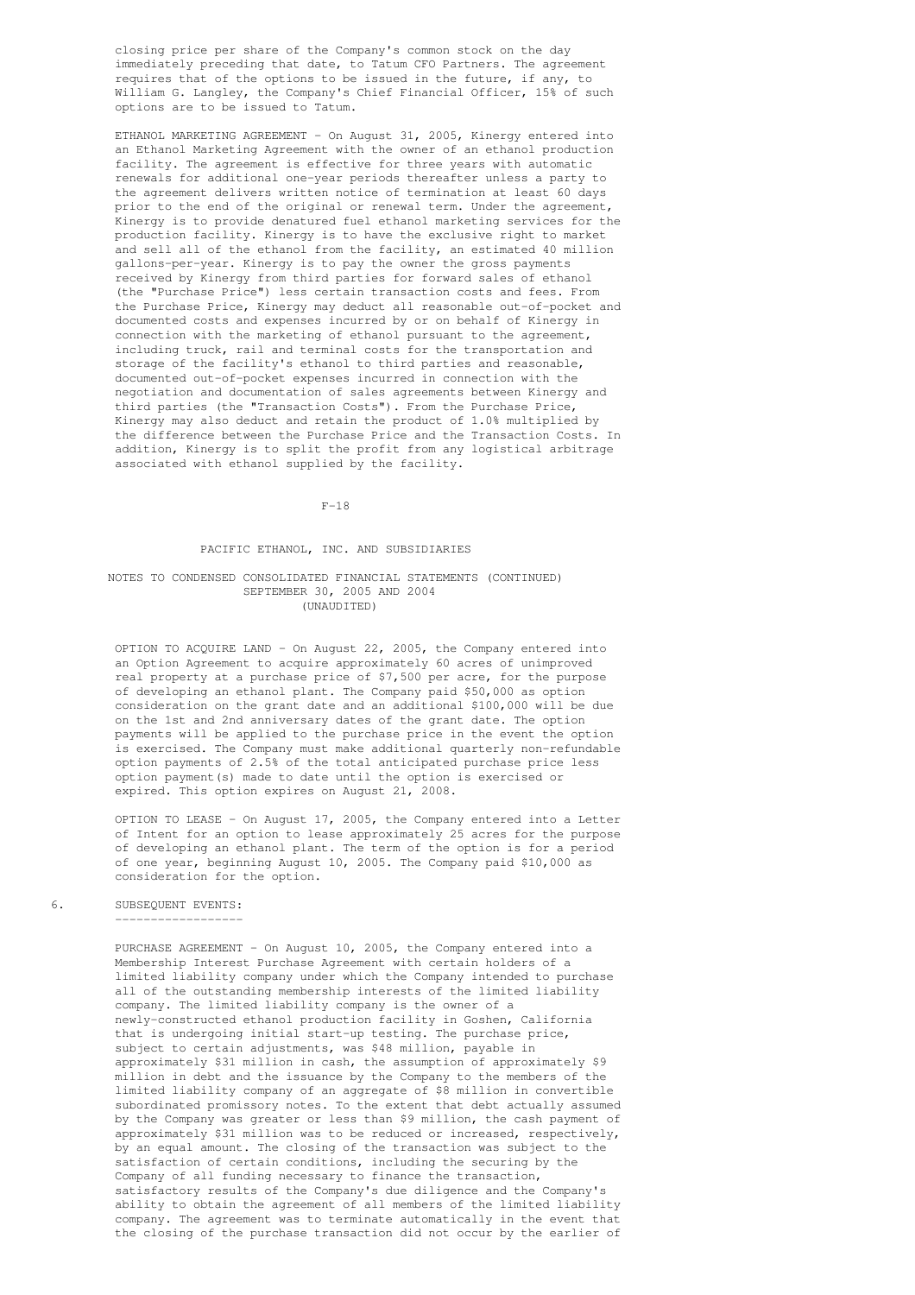closing price per share of the Company's common stock on the day immediately preceding that date, to Tatum CFO Partners. The agreement requires that of the options to be issued in the future, if any, to William G. Langley, the Company's Chief Financial Officer, 15% of such options are to be issued to Tatum.

ETHANOL MARKETING AGREEMENT - On August 31, 2005, Kinergy entered into an Ethanol Marketing Agreement with the owner of an ethanol production facility. The agreement is effective for three years with automatic renewals for additional one-year periods thereafter unless a party to the agreement delivers written notice of termination at least 60 days prior to the end of the original or renewal term. Under the agreement, Kinergy is to provide denatured fuel ethanol marketing services for the production facility. Kinergy is to have the exclusive right to market and sell all of the ethanol from the facility, an estimated 40 million gallons-per-year. Kinergy is to pay the owner the gross payments received by Kinergy from third parties for forward sales of ethanol (the "Purchase Price") less certain transaction costs and fees. From the Purchase Price, Kinergy may deduct all reasonable out-of-pocket and documented costs and expenses incurred by or on behalf of Kinergy in connection with the marketing of ethanol pursuant to the agreement, including truck, rail and terminal costs for the transportation and storage of the facility's ethanol to third parties and reasonable, documented out-of-pocket expenses incurred in connection with the negotiation and documentation of sales agreements between Kinergy and third parties (the "Transaction Costs"). From the Purchase Price, Kinergy may also deduct and retain the product of 1.0% multiplied by the difference between the Purchase Price and the Transaction Costs. In addition, Kinergy is to split the profit from any logistical arbitrage associated with ethanol supplied by the facility.

 $F-18$ 

# PACIFIC ETHANOL, INC. AND SUBSIDIARIES

### NOTES TO CONDENSED CONSOLIDATED FINANCIAL STATEMENTS (CONTINUED) SEPTEMBER 30, 2005 AND 2004 (UNAUDITED)

OPTION TO ACQUIRE LAND - On August 22, 2005, the Company entered into an Option Agreement to acquire approximately 60 acres of unimproved real property at a purchase price of \$7,500 per acre, for the purpose of developing an ethanol plant. The Company paid \$50,000 as option consideration on the grant date and an additional \$100,000 will be due on the 1st and 2nd anniversary dates of the grant date. The option payments will be applied to the purchase price in the event the option is exercised. The Company must make additional quarterly non-refundable option payments of 2.5% of the total anticipated purchase price less option payment(s) made to date until the option is exercised or expired. This option expires on August 21, 2008.

OPTION TO LEASE - On August 17, 2005, the Company entered into a Letter of Intent for an option to lease approximately 25 acres for the purpose of developing an ethanol plant. The term of the option is for a period of one year, beginning August 10, 2005. The Company paid \$10,000 as consideration for the option.

#### 6. SUBSEQUENT EVENTS:

------------------

PURCHASE AGREEMENT - On August 10, 2005, the Company entered into a Membership Interest Purchase Agreement with certain holders of a limited liability company under which the Company intended to purchase all of the outstanding membership interests of the limited liability company. The limited liability company is the owner of a newly-constructed ethanol production facility in Goshen, California that is undergoing initial start-up testing. The purchase price, subject to certain adjustments, was \$48 million, payable in approximately \$31 million in cash, the assumption of approximately \$9 million in debt and the issuance by the Company to the members of the limited liability company of an aggregate of \$8 million in convertible subordinated promissory notes. To the extent that debt actually assumed by the Company was greater or less than \$9 million, the cash payment of approximately \$31 million was to be reduced or increased, respectively, by an equal amount. The closing of the transaction was subject to the satisfaction of certain conditions, including the securing by the Company of all funding necessary to finance the transaction, satisfactory results of the Company's due diligence and the Company's ability to obtain the agreement of all members of the limited liability company. The agreement was to terminate automatically in the event that the closing of the purchase transaction did not occur by the earlier of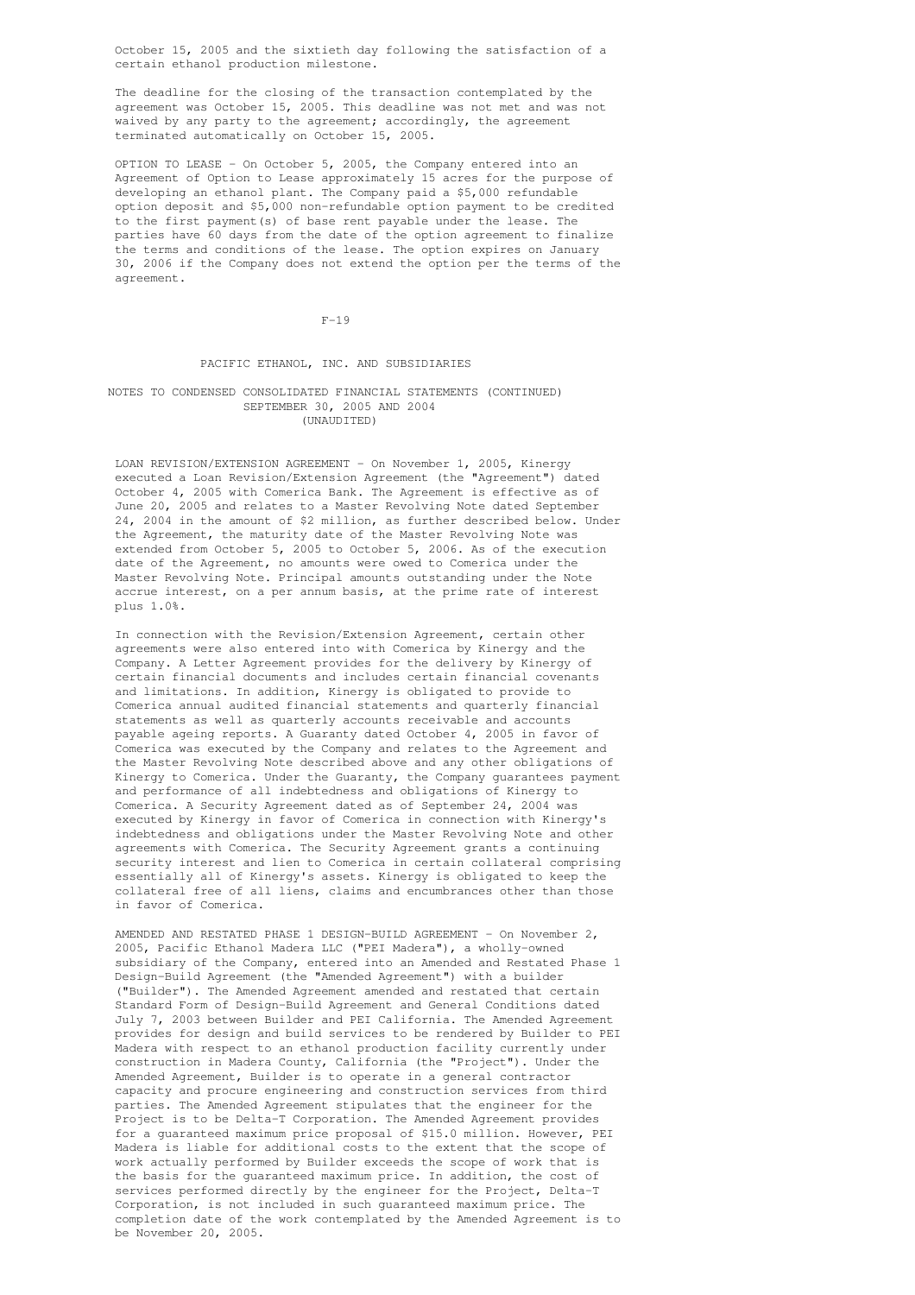October 15, 2005 and the sixtieth day following the satisfaction of a certain ethanol production milestone.

The deadline for the closing of the transaction contemplated by the agreement was October 15, 2005. This deadline was not met and was not waived by any party to the agreement; accordingly, the agreement terminated automatically on October 15, 2005.

OPTION TO LEASE - On October 5, 2005, the Company entered into an Agreement of Option to Lease approximately 15 acres for the purpose of developing an ethanol plant. The Company paid a \$5,000 refundable option deposit and \$5,000 non-refundable option payment to be credited to the first payment(s) of base rent payable under the lease. The parties have 60 days from the date of the option agreement to finalize the terms and conditions of the lease. The option expires on January 30, 2006 if the Company does not extend the option per the terms of the agreement.

 $F-19$ 

# PACIFIC ETHANOL, INC. AND SUBSIDIARIES

#### NOTES TO CONDENSED CONSOLIDATED FINANCIAL STATEMENTS (CONTINUED) SEPTEMBER 30, 2005 AND 2004 (UNAUDITED)

LOAN REVISION/EXTENSION AGREEMENT - On November 1, 2005, Kinergy executed a Loan Revision/Extension Agreement (the "Agreement") dated October 4, 2005 with Comerica Bank. The Agreement is effective as of June 20, 2005 and relates to a Master Revolving Note dated September 24, 2004 in the amount of \$2 million, as further described below. Under the Agreement, the maturity date of the Master Revolving Note was extended from October 5, 2005 to October 5, 2006. As of the execution date of the Agreement, no amounts were owed to Comerica under the Master Revolving Note. Principal amounts outstanding under the Note accrue interest, on a per annum basis, at the prime rate of interest plus 1.0%.

In connection with the Revision/Extension Agreement, certain other agreements were also entered into with Comerica by Kinergy and the Company. A Letter Agreement provides for the delivery by Kinergy of certain financial documents and includes certain financial covenants and limitations. In addition, Kinergy is obligated to provide to Comerica annual audited financial statements and quarterly financial statements as well as quarterly accounts receivable and accounts payable ageing reports. A Guaranty dated October 4, 2005 in favor of Comerica was executed by the Company and relates to the Agreement and the Master Revolving Note described above and any other obligations of Kinergy to Comerica. Under the Guaranty, the Company guarantees payment and performance of all indebtedness and obligations of Kinergy to Comerica. A Security Agreement dated as of September 24, 2004 was executed by Kinergy in favor of Comerica in connection with Kinergy's indebtedness and obligations under the Master Revolving Note and other agreements with Comerica. The Security Agreement grants a continuing security interest and lien to Comerica in certain collateral comprising essentially all of Kinergy's assets. Kinergy is obligated to keep the collateral free of all liens, claims and encumbrances other than those in favor of Comerica.

AMENDED AND RESTATED PHASE 1 DESIGN-BUILD AGREEMENT - On November 2, 2005, Pacific Ethanol Madera LLC ("PEI Madera"), a wholly-owned subsidiary of the Company, entered into an Amended and Restated Phase 1 Design-Build Agreement (the "Amended Agreement") with a builder ("Builder"). The Amended Agreement amended and restated that certain Standard Form of Design-Build Agreement and General Conditions dated July 7, 2003 between Builder and PEI California. The Amended Agreement provides for design and build services to be rendered by Builder to PEI Madera with respect to an ethanol production facility currently under construction in Madera County, California (the "Project"). Under the Amended Agreement, Builder is to operate in a general contractor capacity and procure engineering and construction services from third parties. The Amended Agreement stipulates that the engineer for the Project is to be Delta-T Corporation. The Amended Agreement provides for a guaranteed maximum price proposal of \$15.0 million. However, PEI Madera is liable for additional costs to the extent that the scope of work actually performed by Builder exceeds the scope of work that is the basis for the guaranteed maximum price. In addition, the cost of services performed directly by the engineer for the Project, Delta-T Corporation, is not included in such guaranteed maximum price. The completion date of the work contemplated by the Amended Agreement is to be November 20, 2005.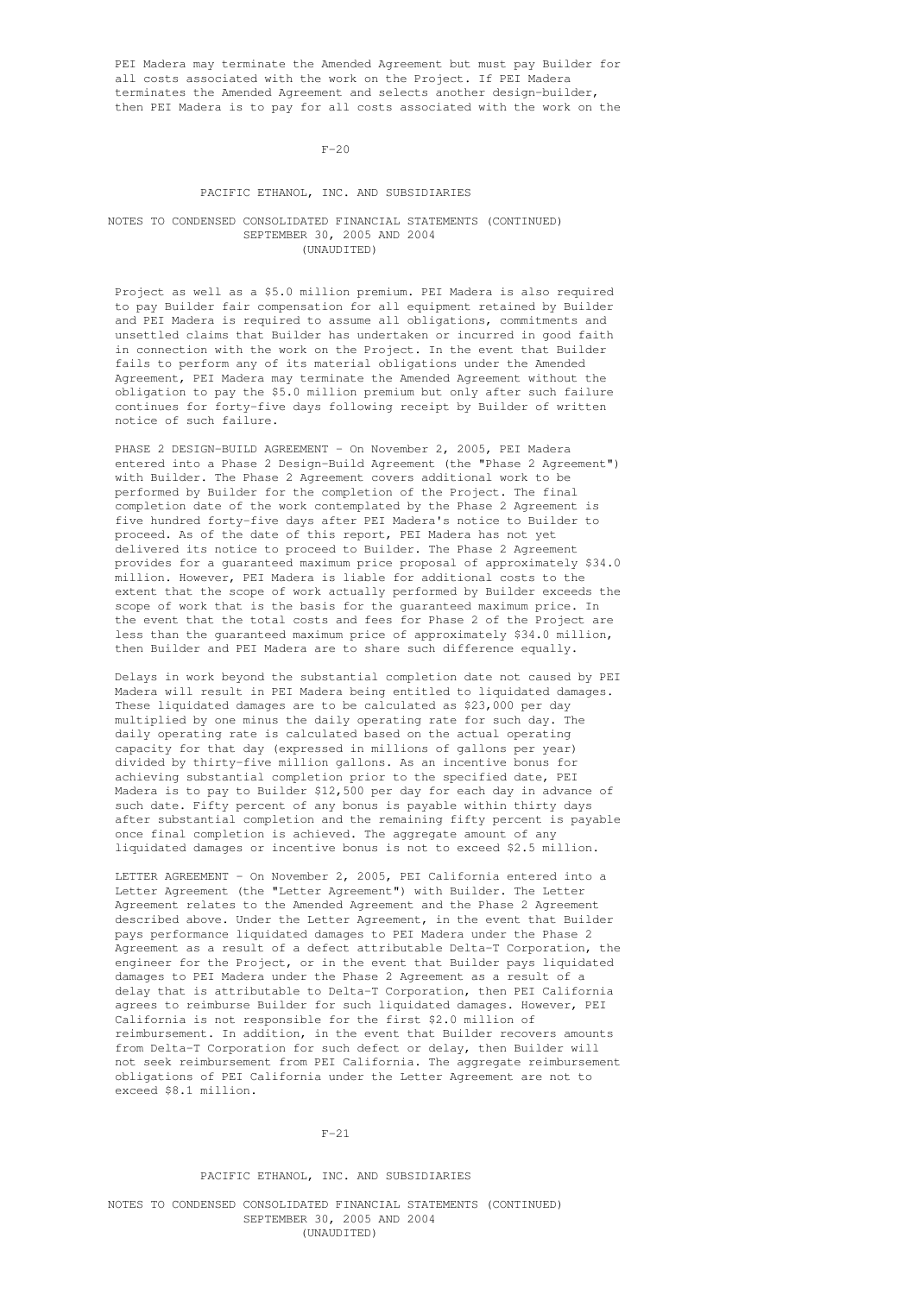PEI Madera may terminate the Amended Agreement but must pay Builder for all costs associated with the work on the Project. If PEI Madera terminates the Amended Agreement and selects another design-builder, then PEI Madera is to pay for all costs associated with the work on the

 $F-20$ 

## PACIFIC ETHANOL, INC. AND SUBSIDIARIES

## NOTES TO CONDENSED CONSOLIDATED FINANCIAL STATEMENTS (CONTINUED) SEPTEMBER 30, 2005 AND 2004 (UNAUDITED)

Project as well as a \$5.0 million premium. PEI Madera is also required to pay Builder fair compensation for all equipment retained by Builder and PEI Madera is required to assume all obligations, commitments and unsettled claims that Builder has undertaken or incurred in good faith in connection with the work on the Project. In the event that Builder fails to perform any of its material obligations under the Amended Agreement, PEI Madera may terminate the Amended Agreement without the obligation to pay the \$5.0 million premium but only after such failure continues for forty-five days following receipt by Builder of written notice of such failure.

PHASE 2 DESIGN-BUILD AGREEMENT - On November 2, 2005, PEI Madera entered into a Phase 2 Design-Build Agreement (the "Phase 2 Agreement") with Builder. The Phase 2 Agreement covers additional work to be performed by Builder for the completion of the Project. The final completion date of the work contemplated by the Phase 2 Agreement is five hundred forty-five days after PEI Madera's notice to Builder to proceed. As of the date of this report, PEI Madera has not yet delivered its notice to proceed to Builder. The Phase 2 Agreement provides for a guaranteed maximum price proposal of approximately \$34.0 million. However, PEI Madera is liable for additional costs to the extent that the scope of work actually performed by Builder exceeds the scope of work that is the basis for the guaranteed maximum price. In the event that the total costs and fees for Phase 2 of the Project are less than the guaranteed maximum price of approximately \$34.0 million, then Builder and PEI Madera are to share such difference equally.

Delays in work beyond the substantial completion date not caused by PEI Madera will result in PEI Madera being entitled to liquidated damages. These liquidated damages are to be calculated as \$23,000 per day multiplied by one minus the daily operating rate for such day. The daily operating rate is calculated based on the actual operating capacity for that day (expressed in millions of gallons per year) divided by thirty-five million gallons. As an incentive bonus for achieving substantial completion prior to the specified date, PEI Madera is to pay to Builder \$12,500 per day for each day in advance of such date. Fifty percent of any bonus is payable within thirty days after substantial completion and the remaining fifty percent is payable once final completion is achieved. The aggregate amount of any liquidated damages or incentive bonus is not to exceed \$2.5 million.

LETTER AGREEMENT - On November 2, 2005, PEI California entered into a Letter Agreement (the "Letter Agreement") with Builder. The Letter Agreement relates to the Amended Agreement and the Phase 2 Agreement described above. Under the Letter Agreement, in the event that Builder pays performance liquidated damages to PEI Madera under the Phase 2 Agreement as a result of a defect attributable Delta-T Corporation, the engineer for the Project, or in the event that Builder pays liquidated damages to PEI Madera under the Phase 2 Agreement as a result of a delay that is attributable to Delta-T Corporation, then PEI California agrees to reimburse Builder for such liquidated damages. However, PEI California is not responsible for the first \$2.0 million of reimbursement. In addition, in the event that Builder recovers amounts from Delta-T Corporation for such defect or delay, then Builder will not seek reimbursement from PEI California. The aggregate reimbursement obligations of PEI California under the Letter Agreement are not to exceed \$8.1 million.

 $F-21$ 

PACIFIC ETHANOL, INC. AND SUBSIDIARIES

NOTES TO CONDENSED CONSOLIDATED FINANCIAL STATEMENTS (CONTINUED) SEPTEMBER 30, 2005 AND 2004 (UNAUDITED)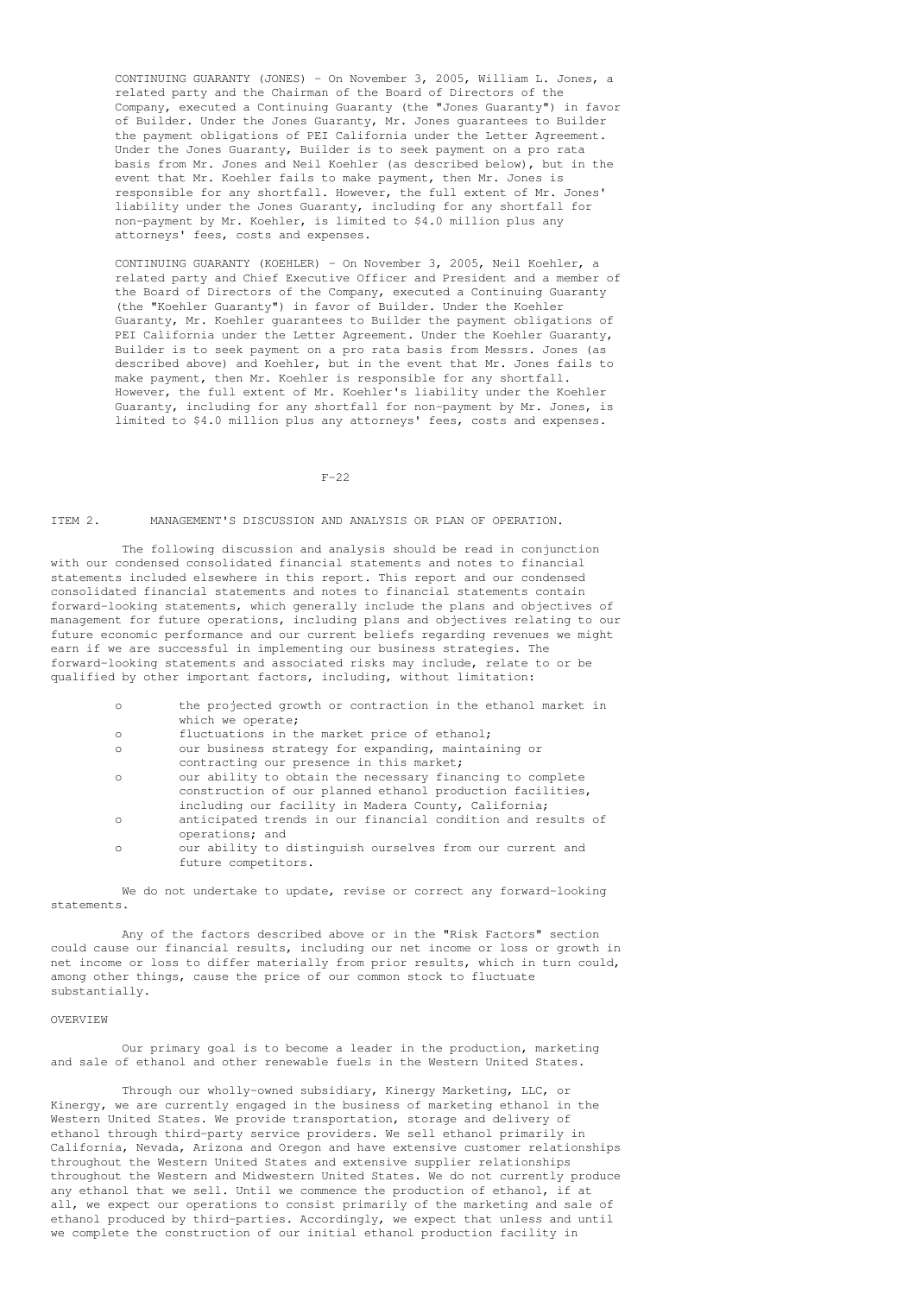CONTINUING GUARANTY (JONES) - On November 3, 2005, William L. Jones, a related party and the Chairman of the Board of Directors of the Company, executed a Continuing Guaranty (the "Jones Guaranty") in favor of Builder. Under the Jones Guaranty, Mr. Jones guarantees to Builder the payment obligations of PEI California under the Letter Agreement. Under the Jones Guaranty, Builder is to seek payment on a pro rata basis from Mr. Jones and Neil Koehler (as described below), but in the event that Mr. Koehler fails to make payment, then Mr. Jones is responsible for any shortfall. However, the full extent of Mr. Jones' liability under the Jones Guaranty, including for any shortfall for non-payment by Mr. Koehler, is limited to \$4.0 million plus any attorneys' fees, costs and expenses.

CONTINUING GUARANTY (KOEHLER) - On November 3, 2005, Neil Koehler, a related party and Chief Executive Officer and President and a member of the Board of Directors of the Company, executed a Continuing Guaranty (the "Koehler Guaranty") in favor of Builder. Under the Koehler Guaranty, Mr. Koehler guarantees to Builder the payment obligations of PEI California under the Letter Agreement. Under the Koehler Guaranty, Builder is to seek payment on a pro rata basis from Messrs. Jones (as described above) and Koehler, but in the event that Mr. Jones fails to make payment, then Mr. Koehler is responsible for any shortfall. However, the full extent of Mr. Koehler's liability under the Koehler Guaranty, including for any shortfall for non-payment by Mr. Jones, is limited to \$4.0 million plus any attorneys' fees, costs and expenses.

## $F-22$

#### ITEM 2. MANAGEMENT'S DISCUSSION AND ANALYSIS OR PLAN OF OPERATION.

The following discussion and analysis should be read in conjunction with our condensed consolidated financial statements and notes to financial statements included elsewhere in this report. This report and our condensed consolidated financial statements and notes to financial statements contain forward-looking statements, which generally include the plans and objectives of management for future operations, including plans and objectives relating to our future economic performance and our current beliefs regarding revenues we might earn if we are successful in implementing our business strategies. The forward-looking statements and associated risks may include, relate to or be qualified by other important factors, including, without limitation:

| $\circ$ | the projected growth or contraction in the ethanol market in |
|---------|--------------------------------------------------------------|
|         | which we operate;                                            |
| $\circ$ | fluctuations in the market price of ethanol;                 |
| $\circ$ | our business strategy for expanding, maintaining or          |
|         | contracting our presence in this market;                     |
| $\circ$ | our ability to obtain the necessary financing to complete    |
|         | construction of our planned ethanol production facilities,   |
|         | including our facility in Madera County, California;         |
| $\circ$ | anticipated trends in our financial condition and results of |
|         | operations; and                                              |
| $\circ$ | our ability to distinguish ourselves from our current and    |
|         | future competitors.                                          |

We do not undertake to update, revise or correct any forward-looking statements.

Any of the factors described above or in the "Risk Factors" section could cause our financial results, including our net income or loss or growth in net income or loss to differ materially from prior results, which in turn could, among other things, cause the price of our common stock to fluctuate substantially.

### OVERVIEW

Our primary goal is to become a leader in the production, marketing and sale of ethanol and other renewable fuels in the Western United States.

Through our wholly-owned subsidiary, Kinergy Marketing, LLC, or Kinergy, we are currently engaged in the business of marketing ethanol in the Western United States. We provide transportation, storage and delivery of ethanol through third-party service providers. We sell ethanol primarily in California, Nevada, Arizona and Oregon and have extensive customer relationships throughout the Western United States and extensive supplier relationships throughout the Western and Midwestern United States. We do not currently produce any ethanol that we sell. Until we commence the production of ethanol, if at all, we expect our operations to consist primarily of the marketing and sale of ethanol produced by third-parties. Accordingly, we expect that unless and until we complete the construction of our initial ethanol production facility in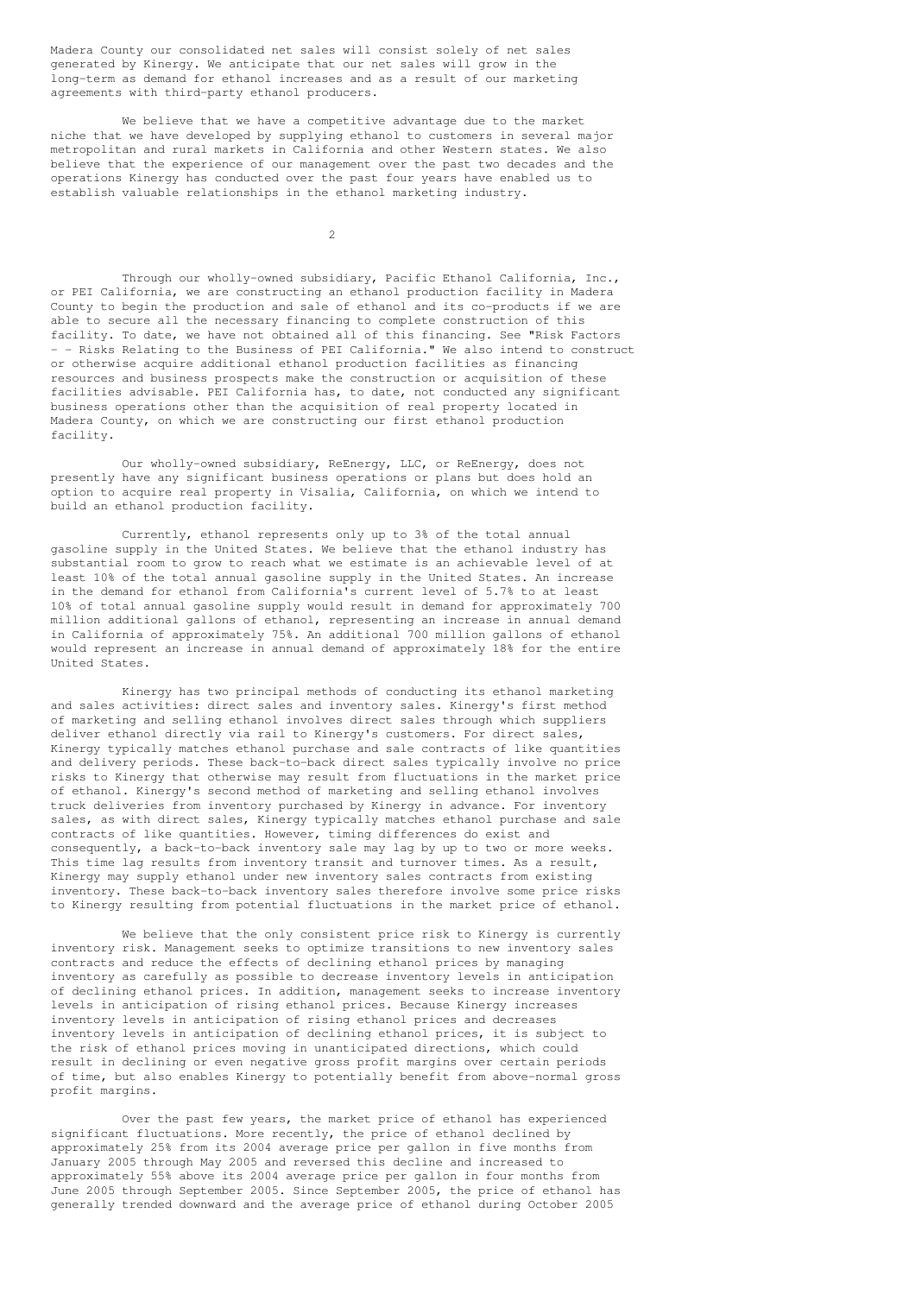Madera County our consolidated net sales will consist solely of net sales generated by Kinergy. We anticipate that our net sales will grow in the long-term as demand for ethanol increases and as a result of our marketing agreements with third-party ethanol producers.

We believe that we have a competitive advantage due to the market niche that we have developed by supplying ethanol to customers in several major metropolitan and rural markets in California and other Western states. We also believe that the experience of our management over the past two decades and the operations Kinergy has conducted over the past four years have enabled us to establish valuable relationships in the ethanol marketing industry.

 $\overline{2}$ 

Through our wholly-owned subsidiary, Pacific Ethanol California, Inc., or PEI California, we are constructing an ethanol production facility in Madera County to begin the production and sale of ethanol and its co-products if we are able to secure all the necessary financing to complete construction of this facility. To date, we have not obtained all of this financing. See "Risk Factors - - Risks Relating to the Business of PEI California." We also intend to construct or otherwise acquire additional ethanol production facilities as financing resources and business prospects make the construction or acquisition of these facilities advisable. PEI California has, to date, not conducted any significant business operations other than the acquisition of real property located in Madera County, on which we are constructing our first ethanol production facility.

Our wholly-owned subsidiary, ReEnergy, LLC, or ReEnergy, does not presently have any significant business operations or plans but does hold an option to acquire real property in Visalia, California, on which we intend to build an ethanol production facility.

Currently, ethanol represents only up to 3% of the total annual gasoline supply in the United States. We believe that the ethanol industry has substantial room to grow to reach what we estimate is an achievable level of at least 10% of the total annual gasoline supply in the United States. An increase in the demand for ethanol from California's current level of 5.7% to at least 10% of total annual gasoline supply would result in demand for approximately 700 million additional gallons of ethanol, representing an increase in annual demand in California of approximately 75%. An additional 700 million gallons of ethanol would represent an increase in annual demand of approximately 18% for the entire United States.

Kinergy has two principal methods of conducting its ethanol marketing and sales activities: direct sales and inventory sales. Kinergy's first method of marketing and selling ethanol involves direct sales through which suppliers deliver ethanol directly via rail to Kinergy's customers. For direct sales, Kinergy typically matches ethanol purchase and sale contracts of like quantities and delivery periods. These back-to-back direct sales typically involve no price risks to Kinergy that otherwise may result from fluctuations in the market price of ethanol. Kinergy's second method of marketing and selling ethanol involves truck deliveries from inventory purchased by Kinergy in advance. For inventory sales, as with direct sales, Kinergy typically matches ethanol purchase and sale contracts of like quantities. However, timing differences do exist and consequently, a back-to-back inventory sale may lag by up to two or more weeks. This time lag results from inventory transit and turnover times. As a result, Kinergy may supply ethanol under new inventory sales contracts from existing inventory. These back-to-back inventory sales therefore involve some price risks to Kinergy resulting from potential fluctuations in the market price of ethanol.

We believe that the only consistent price risk to Kinergy is currently inventory risk. Management seeks to optimize transitions to new inventory sales contracts and reduce the effects of declining ethanol prices by managing inventory as carefully as possible to decrease inventory levels in anticipation of declining ethanol prices. In addition, management seeks to increase inventory levels in anticipation of rising ethanol prices. Because Kinergy increases inventory levels in anticipation of rising ethanol prices and decreases inventory levels in anticipation of declining ethanol prices, it is subject to the risk of ethanol prices moving in unanticipated directions, which could result in declining or even negative gross profit margins over certain periods of time, but also enables Kinergy to potentially benefit from above-normal gross profit margins.

Over the past few years, the market price of ethanol has experienced significant fluctuations. More recently, the price of ethanol declined by approximately 25% from its 2004 average price per gallon in five months from January 2005 through May 2005 and reversed this decline and increased to approximately 55% above its 2004 average price per gallon in four months from June 2005 through September 2005. Since September 2005, the price of ethanol has generally trended downward and the average price of ethanol during October 2005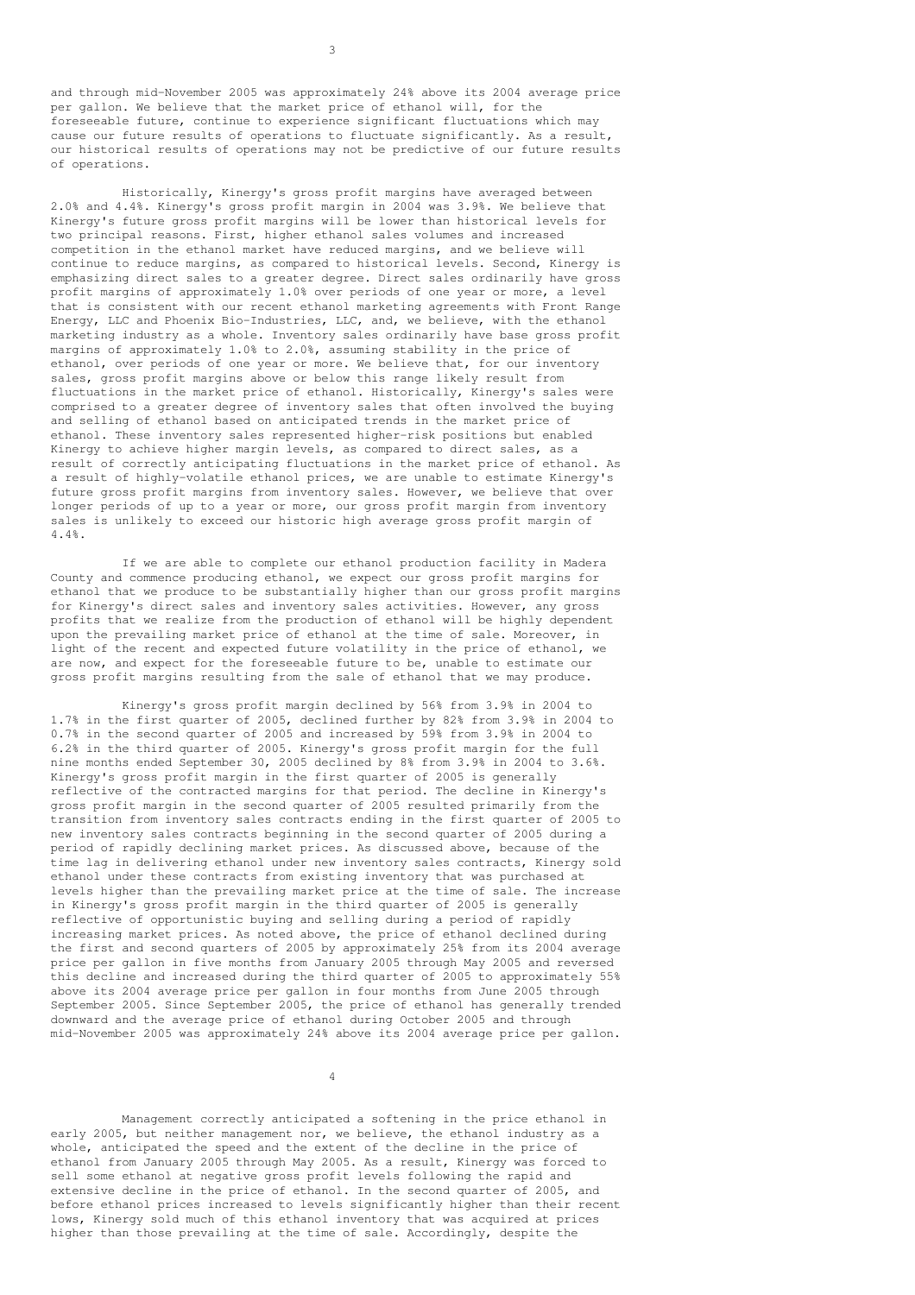and through mid-November 2005 was approximately 24% above its 2004 average price per gallon. We believe that the market price of ethanol will, for the foreseeable future, continue to experience significant fluctuations which may cause our future results of operations to fluctuate significantly. As a result, our historical results of operations may not be predictive of our future results of operations.

Historically, Kinergy's gross profit margins have averaged between 2.0% and 4.4%. Kinergy's gross profit margin in 2004 was 3.9%. We believe that Kinergy's future gross profit margins will be lower than historical levels for two principal reasons. First, higher ethanol sales volumes and increased competition in the ethanol market have reduced margins, and we believe will continue to reduce margins, as compared to historical levels. Second, Kinergy is emphasizing direct sales to a greater degree. Direct sales ordinarily have gross profit margins of approximately 1.0% over periods of one year or more, a level that is consistent with our recent ethanol marketing agreements with Front Range Energy, LLC and Phoenix Bio-Industries, LLC, and, we believe, with the ethanol marketing industry as a whole. Inventory sales ordinarily have base gross profit margins of approximately 1.0% to 2.0%, assuming stability in the price of ethanol, over periods of one year or more. We believe that, for our inventory sales, gross profit margins above or below this range likely result from fluctuations in the market price of ethanol. Historically, Kinergy's sales were comprised to a greater degree of inventory sales that often involved the buying and selling of ethanol based on anticipated trends in the market price of ethanol. These inventory sales represented higher-risk positions but enabled Kinergy to achieve higher margin levels, as compared to direct sales, as a result of correctly anticipating fluctuations in the market price of ethanol. As a result of highly-volatile ethanol prices, we are unable to estimate Kinergy's future gross profit margins from inventory sales. However, we believe that over longer periods of up to a year or more, our gross profit margin from inventory sales is unlikely to exceed our historic high average gross profit margin of 4.4%.

If we are able to complete our ethanol production facility in Madera County and commence producing ethanol, we expect our gross profit margins for ethanol that we produce to be substantially higher than our gross profit margins for Kinergy's direct sales and inventory sales activities. However, any gross profits that we realize from the production of ethanol will be highly dependent upon the prevailing market price of ethanol at the time of sale. Moreover, in light of the recent and expected future volatility in the price of ethanol, we are now, and expect for the foreseeable future to be, unable to estimate our gross profit margins resulting from the sale of ethanol that we may produce.

Kinergy's gross profit margin declined by 56% from 3.9% in 2004 to 1.7% in the first quarter of 2005, declined further by 82% from 3.9% in 2004 to 0.7% in the second quarter of 2005 and increased by 59% from 3.9% in 2004 to 6.2% in the third quarter of 2005. Kinergy's gross profit margin for the full nine months ended September 30, 2005 declined by 8% from 3.9% in 2004 to 3.6%. Kinergy's gross profit margin in the first quarter of 2005 is generally reflective of the contracted margins for that period. The decline in Kinergy's gross profit margin in the second quarter of 2005 resulted primarily from the transition from inventory sales contracts ending in the first quarter of 2005 to new inventory sales contracts beginning in the second quarter of 2005 during a period of rapidly declining market prices. As discussed above, because of the time lag in delivering ethanol under new inventory sales contracts, Kinergy sold ethanol under these contracts from existing inventory that was purchased at levels higher than the prevailing market price at the time of sale. The increase in Kinergy's gross profit margin in the third quarter of 2005 is generally reflective of opportunistic buying and selling during a period of rapidly increasing market prices. As noted above, the price of ethanol declined during the first and second quarters of 2005 by approximately 25% from its 2004 average price per gallon in five months from January 2005 through May 2005 and reversed this decline and increased during the third quarter of 2005 to approximately 55% above its 2004 average price per gallon in four months from June 2005 through September 2005. Since September 2005, the price of ethanol has generally trended downward and the average price of ethanol during October 2005 and through mid-November 2005 was approximately 24% above its 2004 average price per gallon.

4

Management correctly anticipated a softening in the price ethanol in early 2005, but neither management nor, we believe, the ethanol industry as a whole, anticipated the speed and the extent of the decline in the price of ethanol from January 2005 through May 2005. As a result, Kinergy was forced to sell some ethanol at negative gross profit levels following the rapid and extensive decline in the price of ethanol. In the second quarter of 2005, and before ethanol prices increased to levels significantly higher than their recent lows, Kinergy sold much of this ethanol inventory that was acquired at prices higher than those prevailing at the time of sale. Accordingly, despite the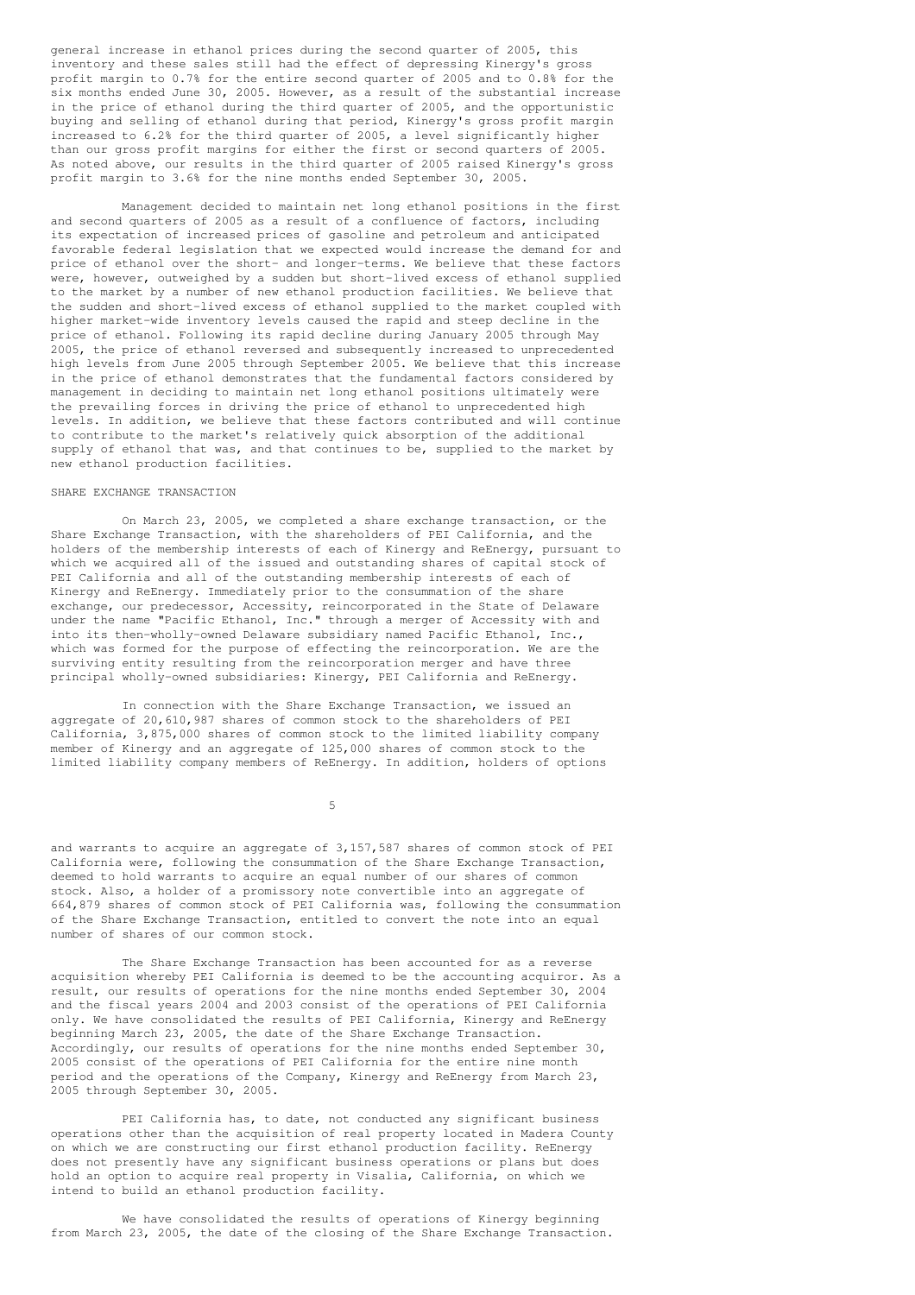general increase in ethanol prices during the second quarter of 2005, this inventory and these sales still had the effect of depressing Kinergy's gross profit margin to 0.7% for the entire second quarter of 2005 and to 0.8% for the six months ended June 30, 2005. However, as a result of the substantial increase in the price of ethanol during the third quarter of 2005, and the opportunistic buying and selling of ethanol during that period, Kinergy's gross profit margin increased to 6.2% for the third quarter of 2005, a level significantly higher than our gross profit margins for either the first or second quarters of 2005. As noted above, our results in the third quarter of 2005 raised Kinergy's gross profit margin to 3.6% for the nine months ended September 30, 2005.

Management decided to maintain net long ethanol positions in the first and second quarters of 2005 as a result of a confluence of factors, including its expectation of increased prices of gasoline and petroleum and anticipated favorable federal legislation that we expected would increase the demand for and price of ethanol over the short- and longer-terms. We believe that these factors were, however, outweighed by a sudden but short-lived excess of ethanol supplied to the market by a number of new ethanol production facilities. We believe that the sudden and short-lived excess of ethanol supplied to the market coupled with higher market-wide inventory levels caused the rapid and steep decline in the price of ethanol. Following its rapid decline during January 2005 through May 2005, the price of ethanol reversed and subsequently increased to unprecedented high levels from June 2005 through September 2005. We believe that this increase in the price of ethanol demonstrates that the fundamental factors considered by management in deciding to maintain net long ethanol positions ultimately were the prevailing forces in driving the price of ethanol to unprecedented high levels. In addition, we believe that these factors contributed and will continue to contribute to the market's relatively quick absorption of the additional supply of ethanol that was, and that continues to be, supplied to the market by new ethanol production facilities.

## SHARE EXCHANGE TRANSACTION

On March 23, 2005, we completed a share exchange transaction, or the Share Exchange Transaction, with the shareholders of PEI California, and the holders of the membership interests of each of Kinergy and ReEnergy, pursuant to which we acquired all of the issued and outstanding shares of capital stock of PEI California and all of the outstanding membership interests of each of Kinergy and ReEnergy. Immediately prior to the consummation of the share exchange, our predecessor, Accessity, reincorporated in the State of Delaware under the name "Pacific Ethanol, Inc." through a merger of Accessity with and into its then-wholly-owned Delaware subsidiary named Pacific Ethanol, Inc., which was formed for the purpose of effecting the reincorporation. We are the surviving entity resulting from the reincorporation merger and have three principal wholly-owned subsidiaries: Kinergy, PEI California and ReEnergy.

In connection with the Share Exchange Transaction, we issued an aggregate of 20,610,987 shares of common stock to the shareholders of PEI California, 3,875,000 shares of common stock to the limited liability company member of Kinergy and an aggregate of 125,000 shares of common stock to the limited liability company members of ReEnergy. In addition, holders of options

5

and warrants to acquire an aggregate of 3,157,587 shares of common stock of PEI California were, following the consummation of the Share Exchange Transaction, deemed to hold warrants to acquire an equal number of our shares of common stock. Also, a holder of a promissory note convertible into an aggregate of 664,879 shares of common stock of PEI California was, following the consummation of the Share Exchange Transaction, entitled to convert the note into an equal number of shares of our common stock.

The Share Exchange Transaction has been accounted for as a reverse acquisition whereby PEI California is deemed to be the accounting acquiror. As a result, our results of operations for the nine months ended September 30, 2004 and the fiscal years 2004 and 2003 consist of the operations of PEI California only. We have consolidated the results of PEI California, Kinergy and ReEnergy beginning March 23, 2005, the date of the Share Exchange Transaction. Accordingly, our results of operations for the nine months ended September 30, 2005 consist of the operations of PEI California for the entire nine month period and the operations of the Company, Kinergy and ReEnergy from March 23, 2005 through September 30, 2005.

PEI California has, to date, not conducted any significant business operations other than the acquisition of real property located in Madera County on which we are constructing our first ethanol production facility. ReEnergy does not presently have any significant business operations or plans but does hold an option to acquire real property in Visalia, California, on which we intend to build an ethanol production facility.

We have consolidated the results of operations of Kinergy beginning from March 23, 2005, the date of the closing of the Share Exchange Transaction.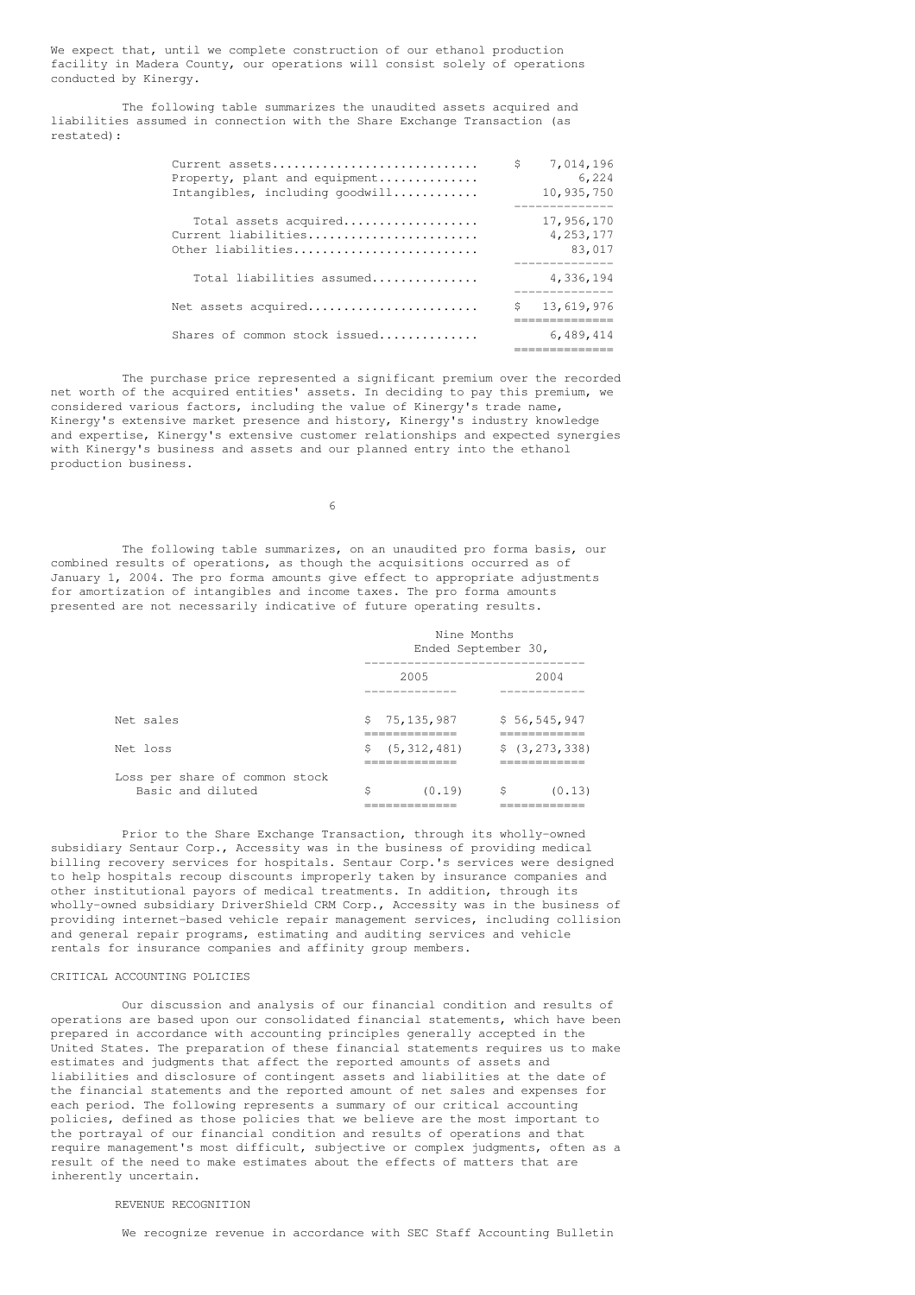We expect that, until we complete construction of our ethanol production facility in Madera County, our operations will consist solely of operations conducted by Kinergy.

The following table summarizes the unaudited assets acquired and liabilities assumed in connection with the Share Exchange Transaction (as restated):

| Current assets<br>Property, plant and equipment<br>Intangibles, including goodwill | \$<br>7,014,196<br>6,224<br>10,935,750<br>------------ |
|------------------------------------------------------------------------------------|--------------------------------------------------------|
| Total assets acquired<br>Current liabilities<br>Other liabilities                  | 17,956,170<br>4, 253, 177<br>83,017<br>----------      |
| Total liabilities assumed                                                          | 4,336,194<br>-----------                               |
| Net assets acquired                                                                | \$13,619,976<br>-------------                          |
| Shares of common stock issued                                                      | 6,489,414                                              |

The purchase price represented a significant premium over the recorded net worth of the acquired entities' assets. In deciding to pay this premium, we considered various factors, including the value of Kinergy's trade name, Kinergy's extensive market presence and history, Kinergy's industry knowledge and expertise, Kinergy's extensive customer relationships and expected synergies with Kinergy's business and assets and our planned entry into the ethanol production business.

6

The following table summarizes, on an unaudited pro forma basis, our combined results of operations, as though the acquisitions occurred as of January 1, 2004. The pro forma amounts give effect to appropriate adjustments for amortization of intangibles and income taxes. The pro forma amounts presented are not necessarily indicative of future operating results.

|                                                     | Nine Months<br>Ended September 30, |                             |   |                           |
|-----------------------------------------------------|------------------------------------|-----------------------------|---|---------------------------|
|                                                     |                                    | 2005<br>________            |   | 2004                      |
| Net sales                                           |                                    | \$75, 135, 987              |   | \$56,545,947              |
| Net loss                                            |                                    | --------<br>\$(5, 312, 481) |   | ------<br>\$(3, 273, 338) |
| Loss per share of common stock<br>Basic and diluted | \$                                 | (0.19)                      | S | (0.13)                    |

Prior to the Share Exchange Transaction, through its wholly-owned subsidiary Sentaur Corp., Accessity was in the business of providing medical billing recovery services for hospitals. Sentaur Corp.'s services were designed to help hospitals recoup discounts improperly taken by insurance companies and other institutional payors of medical treatments. In addition, through its wholly-owned subsidiary DriverShield CRM Corp., Accessity was in the business of providing internet-based vehicle repair management services, including collision and general repair programs, estimating and auditing services and vehicle rentals for insurance companies and affinity group members.

## CRITICAL ACCOUNTING POLICIES

Our discussion and analysis of our financial condition and results of operations are based upon our consolidated financial statements, which have been prepared in accordance with accounting principles generally accepted in the United States. The preparation of these financial statements requires us to make estimates and judgments that affect the reported amounts of assets and liabilities and disclosure of contingent assets and liabilities at the date of the financial statements and the reported amount of net sales and expenses for each period. The following represents a summary of our critical accounting policies, defined as those policies that we believe are the most important to the portrayal of our financial condition and results of operations and that require management's most difficult, subjective or complex judgments, often as a result of the need to make estimates about the effects of matters that are inherently uncertain.

## REVENUE RECOGNITION

We recognize revenue in accordance with SEC Staff Accounting Bulletin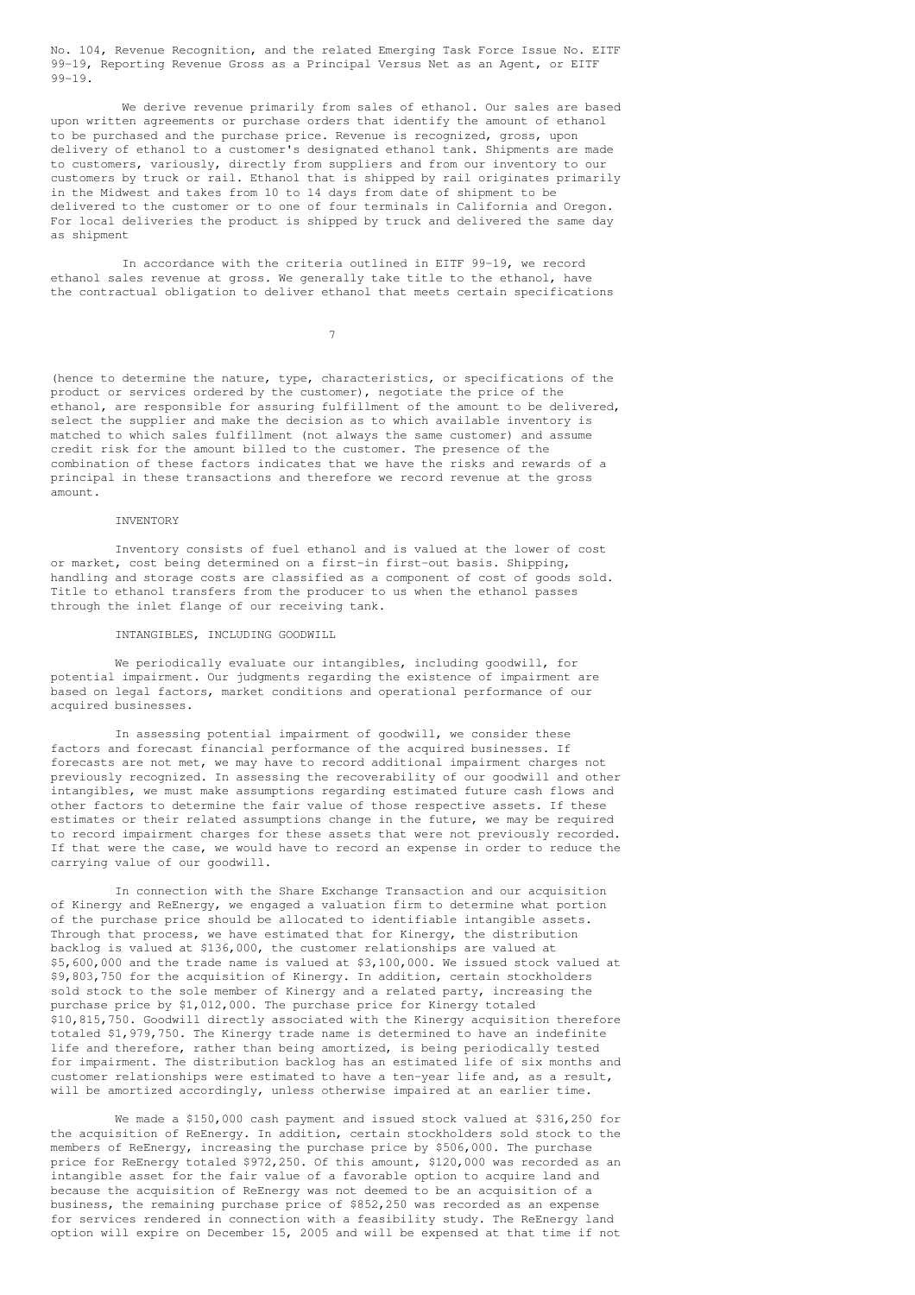No. 104, Revenue Recognition, and the related Emerging Task Force Issue No. EITF 99-19, Reporting Revenue Gross as a Principal Versus Net as an Agent, or EITF 99-19.

We derive revenue primarily from sales of ethanol. Our sales are based upon written agreements or purchase orders that identify the amount of ethanol to be purchased and the purchase price. Revenue is recognized, gross, upon delivery of ethanol to a customer's designated ethanol tank. Shipments are made to customers, variously, directly from suppliers and from our inventory to our customers by truck or rail. Ethanol that is shipped by rail originates primarily in the Midwest and takes from 10 to 14 days from date of shipment to be delivered to the customer or to one of four terminals in California and Oregon. For local deliveries the product is shipped by truck and delivered the same day as shipment

In accordance with the criteria outlined in EITF 99-19, we record ethanol sales revenue at gross. We generally take title to the ethanol, have the contractual obligation to deliver ethanol that meets certain specifications

 $\mathcal{L}$ 

(hence to determine the nature, type, characteristics, or specifications of the product or services ordered by the customer), negotiate the price of the ethanol, are responsible for assuring fulfillment of the amount to be delivered, select the supplier and make the decision as to which available inventory is matched to which sales fulfillment (not always the same customer) and assume credit risk for the amount billed to the customer. The presence of the combination of these factors indicates that we have the risks and rewards of a principal in these transactions and therefore we record revenue at the gross amount.

#### **INVENTORY**

Inventory consists of fuel ethanol and is valued at the lower of cost or market, cost being determined on a first-in first-out basis. Shipping, handling and storage costs are classified as a component of cost of goods sold. Title to ethanol transfers from the producer to us when the ethanol passes through the inlet flange of our receiving tank.

## INTANGIBLES, INCLUDING GOODWILL

We periodically evaluate our intangibles, including goodwill, for potential impairment. Our judgments regarding the existence of impairment are based on legal factors, market conditions and operational performance of our acquired businesses.

In assessing potential impairment of goodwill, we consider these factors and forecast financial performance of the acquired businesses. If forecasts are not met, we may have to record additional impairment charges not previously recognized. In assessing the recoverability of our goodwill and other intangibles, we must make assumptions regarding estimated future cash flows and other factors to determine the fair value of those respective assets. If these estimates or their related assumptions change in the future, we may be required to record impairment charges for these assets that were not previously recorded. If that were the case, we would have to record an expense in order to reduce the carrying value of our goodwill.

In connection with the Share Exchange Transaction and our acquisition of Kinergy and ReEnergy, we engaged a valuation firm to determine what portion of the purchase price should be allocated to identifiable intangible assets. Through that process, we have estimated that for Kinergy, the distribution backlog is valued at \$136,000, the customer relationships are valued at \$5,600,000 and the trade name is valued at \$3,100,000. We issued stock valued at \$9,803,750 for the acquisition of Kinergy. In addition, certain stockholders sold stock to the sole member of Kinergy and a related party, increasing the purchase price by \$1,012,000. The purchase price for Kinergy totaled \$10,815,750. Goodwill directly associated with the Kinergy acquisition therefore totaled \$1,979,750. The Kinergy trade name is determined to have an indefinite life and therefore, rather than being amortized, is being periodically tested for impairment. The distribution backlog has an estimated life of six months and customer relationships were estimated to have a ten-year life and, as a result, will be amortized accordingly, unless otherwise impaired at an earlier time.

We made a \$150,000 cash payment and issued stock valued at \$316,250 for the acquisition of ReEnergy. In addition, certain stockholders sold stock to the members of ReEnergy, increasing the purchase price by \$506,000. The purchase price for ReEnergy totaled \$972,250. Of this amount, \$120,000 was recorded as an intangible asset for the fair value of a favorable option to acquire land and because the acquisition of ReEnergy was not deemed to be an acquisition of a business, the remaining purchase price of \$852,250 was recorded as an expense for services rendered in connection with a feasibility study. The ReEnergy land option will expire on December 15, 2005 and will be expensed at that time if not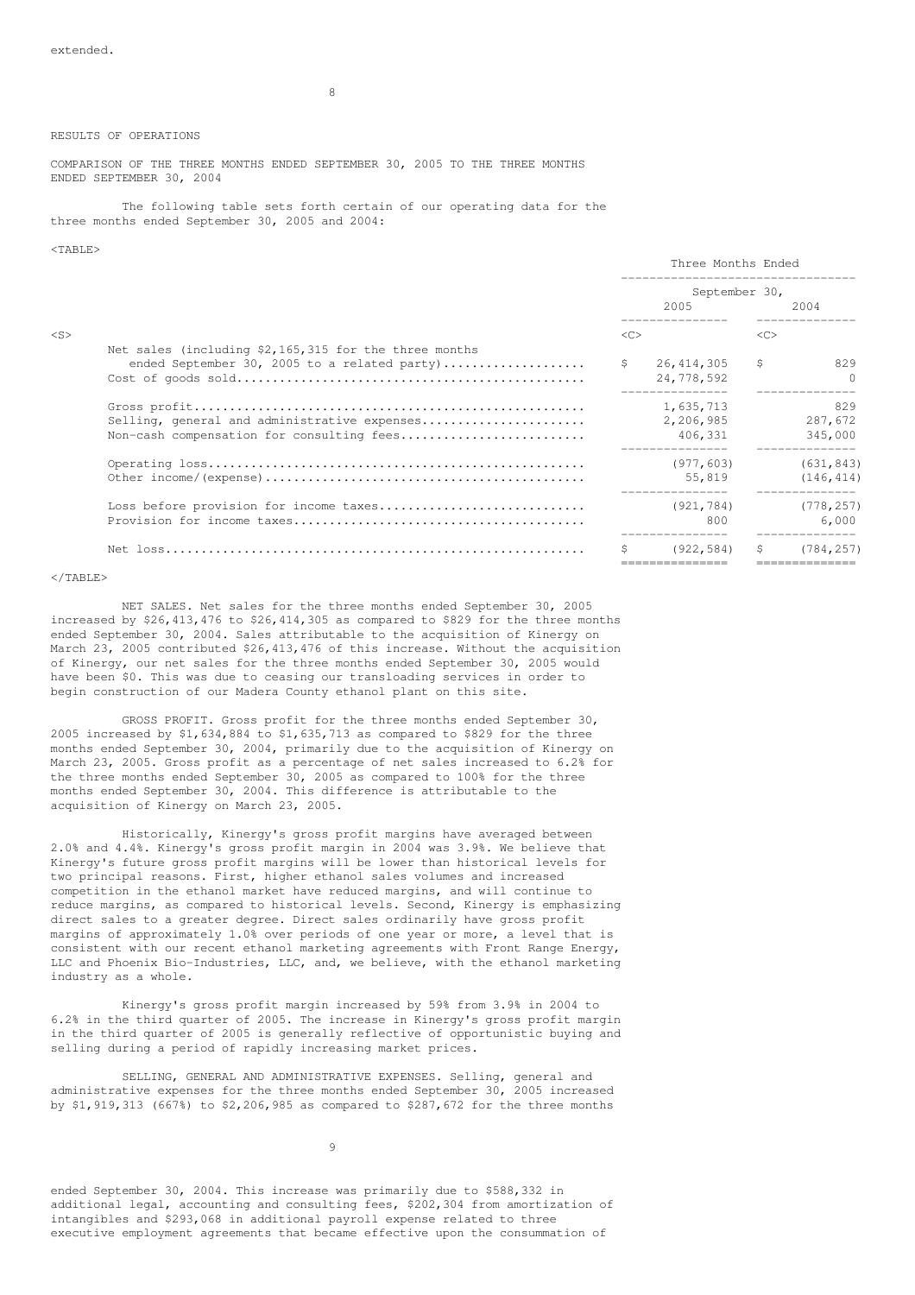#### RESULTS OF OPERATIONS

COMPARISON OF THE THREE MONTHS ENDED SEPTEMBER 30, 2005 TO THE THREE MONTHS ENDED SEPTEMBER 30, 2004

The following table sets forth certain of our operating data for the three months ended September 30, 2005 and 2004:

#### <TABLE>

|           |                                                        |               | Three Months Ended            |              |                              |
|-----------|--------------------------------------------------------|---------------|-------------------------------|--------------|------------------------------|
|           |                                                        | September 30, |                               |              |                              |
|           |                                                        |               | 2005                          |              | 2004                         |
| $<$ S $>$ |                                                        | <<            |                               | $<<$ $C$ $>$ |                              |
|           | Net sales (including $$2,165,315$ for the three months |               |                               |              |                              |
|           | ended September 30, 2005 to a related party)           | $\mathsf{S}$  | 26,414,305                    | $\mathbb{S}$ | 829                          |
|           |                                                        |               | 24,778,592<br>--------------- |              | $\Omega$                     |
|           |                                                        |               | 1,635,713                     |              | 829                          |
|           | Selling, general and administrative expenses           |               | 2,206,985                     |              | 287,672                      |
|           | Non-cash compensation for consulting fees              |               | 406,331                       |              | 345,000                      |
|           |                                                        |               |                               |              | $(977, 603)$ $(631, 843)$    |
|           |                                                        |               | 55,819                        |              | (146, 414)<br>-------------- |
|           | Loss before provision for income taxes                 |               | (921,784)                     |              | (778, 257)                   |
|           |                                                        |               | 800                           |              | 6,000                        |
|           |                                                        | Ŝ.            | (922, 584)                    | S.           | (784, 257)                   |

 $\langle$ /TABLE>

NET SALES. Net sales for the three months ended September 30, 2005 increased by \$26,413,476 to \$26,414,305 as compared to \$829 for the three months ended September 30, 2004. Sales attributable to the acquisition of Kinergy on March 23, 2005 contributed \$26,413,476 of this increase. Without the acquisition of Kinergy, our net sales for the three months ended September 30, 2005 would have been \$0. This was due to ceasing our transloading services in order to begin construction of our Madera County ethanol plant on this site.

GROSS PROFIT. Gross profit for the three months ended September 30, 2005 increased by \$1,634,884 to \$1,635,713 as compared to \$829 for the three months ended September 30, 2004, primarily due to the acquisition of Kinergy on March 23, 2005. Gross profit as a percentage of net sales increased to 6.2% for the three months ended September 30, 2005 as compared to 100% for the three months ended September 30, 2004. This difference is attributable to the acquisition of Kinergy on March 23, 2005.

Historically, Kinergy's gross profit margins have averaged between 2.0% and 4.4%. Kinergy's gross profit margin in 2004 was 3.9%. We believe that Kinergy's future gross profit margins will be lower than historical levels for two principal reasons. First, higher ethanol sales volumes and increased competition in the ethanol market have reduced margins, and will continue to reduce margins, as compared to historical levels. Second, Kinergy is emphasizing direct sales to a greater degree. Direct sales ordinarily have gross profit margins of approximately 1.0% over periods of one year or more, a level that is consistent with our recent ethanol marketing agreements with Front Range Energy, LLC and Phoenix Bio-Industries, LLC, and, we believe, with the ethanol marketing industry as a whole.

Kinergy's gross profit margin increased by 59% from 3.9% in 2004 to 6.2% in the third quarter of 2005. The increase in Kinergy's gross profit margin in the third quarter of 2005 is generally reflective of opportunistic buying and selling during a period of rapidly increasing market prices.

SELLING, GENERAL AND ADMINISTRATIVE EXPENSES. Selling, general and administrative expenses for the three months ended September 30, 2005 increased by \$1,919,313 (667%) to \$2,206,985 as compared to \$287,672 for the three months

ended September 30, 2004. This increase was primarily due to \$588,332 in additional legal, accounting and consulting fees, \$202,304 from amortization of intangibles and \$293,068 in additional payroll expense related to three executive employment agreements that became effective upon the consummation of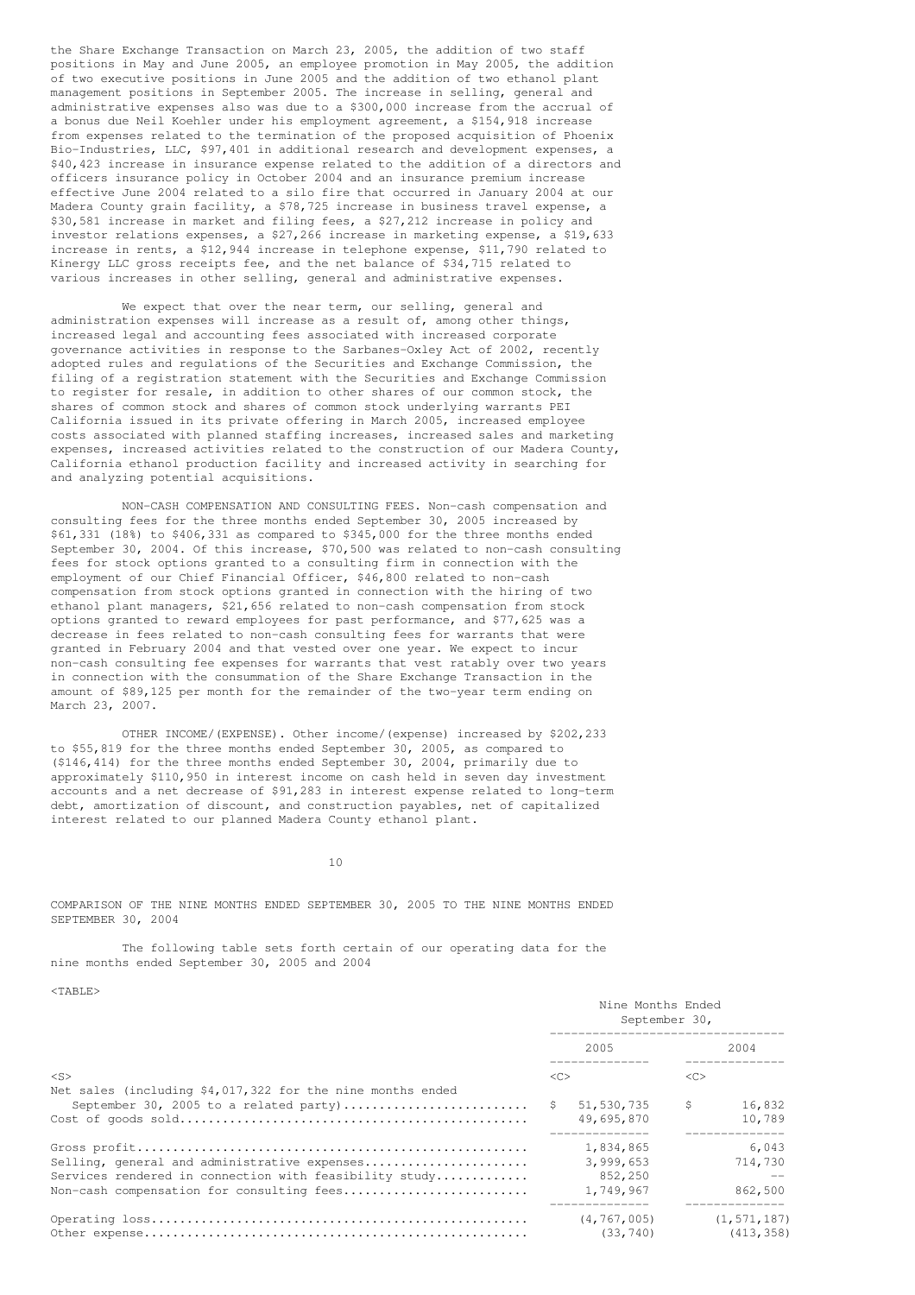the Share Exchange Transaction on March 23, 2005, the addition of two staff positions in May and June 2005, an employee promotion in May 2005, the addition of two executive positions in June 2005 and the addition of two ethanol plant management positions in September 2005. The increase in selling, general and administrative expenses also was due to a \$300,000 increase from the accrual of a bonus due Neil Koehler under his employment agreement, a \$154,918 increase from expenses related to the termination of the proposed acquisition of Phoenix Bio-Industries, LLC, \$97,401 in additional research and development expenses, a \$40,423 increase in insurance expense related to the addition of a directors and officers insurance policy in October 2004 and an insurance premium increase effective June 2004 related to a silo fire that occurred in January 2004 at our Madera County grain facility, a \$78,725 increase in business travel expense, a \$30,581 increase in market and filing fees, a \$27,212 increase in policy and investor relations expenses, a \$27,266 increase in marketing expense, a \$19,633 increase in rents, a \$12,944 increase in telephone expense, \$11,790 related to Kinergy LLC gross receipts fee, and the net balance of \$34,715 related to various increases in other selling, general and administrative expenses.

We expect that over the near term, our selling, general and administration expenses will increase as a result of, among other things, increased legal and accounting fees associated with increased corporate governance activities in response to the Sarbanes-Oxley Act of 2002, recently adopted rules and regulations of the Securities and Exchange Commission, the filing of a registration statement with the Securities and Exchange Commission to register for resale, in addition to other shares of our common stock, the shares of common stock and shares of common stock underlying warrants PEI California issued in its private offering in March 2005, increased employee costs associated with planned staffing increases, increased sales and marketing expenses, increased activities related to the construction of our Madera County, California ethanol production facility and increased activity in searching for and analyzing potential acquisitions.

NON-CASH COMPENSATION AND CONSULTING FEES. Non-cash compensation and consulting fees for the three months ended September 30, 2005 increased by \$61,331 (18%) to \$406,331 as compared to \$345,000 for the three months ended September 30, 2004. Of this increase, \$70,500 was related to non-cash consulting fees for stock options granted to a consulting firm in connection with the employment of our Chief Financial Officer, \$46,800 related to non-cash compensation from stock options granted in connection with the hiring of two ethanol plant managers, \$21,656 related to non-cash compensation from stock options granted to reward employees for past performance, and \$77,625 was a decrease in fees related to non-cash consulting fees for warrants that were granted in February 2004 and that vested over one year. We expect to incur non-cash consulting fee expenses for warrants that vest ratably over two years in connection with the consummation of the Share Exchange Transaction in the amount of \$89,125 per month for the remainder of the two-year term ending on March 23, 2007.

OTHER INCOME/(EXPENSE). Other income/(expense) increased by \$202,233 to \$55,819 for the three months ended September 30, 2005, as compared to (\$146,414) for the three months ended September 30, 2004, primarily due to approximately \$110,950 in interest income on cash held in seven day investment accounts and a net decrease of \$91,283 in interest expense related to long-term debt, amortization of discount, and construction payables, net of capitalized interest related to our planned Madera County ethanol plant.

10

COMPARISON OF THE NINE MONTHS ENDED SEPTEMBER 30, 2005 TO THE NINE MONTHS ENDED SEPTEMBER 30, 2004

The following table sets forth certain of our operating data for the nine months ended September 30, 2005 and 2004

### $<$ TABLE>

|                                                                                                                                                     | Nine Months Ended<br>September 30, |                                                |               |                             |
|-----------------------------------------------------------------------------------------------------------------------------------------------------|------------------------------------|------------------------------------------------|---------------|-----------------------------|
|                                                                                                                                                     |                                    | 2005                                           |               | 2004                        |
| $<$ S>                                                                                                                                              | <<                                 |                                                | < <sub></sub> |                             |
| Net sales (including \$4,017,322 for the nine months ended                                                                                          | S.                                 | 51,530,735<br>49.695.870                       | $\mathsf{S}$  | 16,832<br>10,789            |
| Selling, general and administrative expenses<br>Services rendered in connection with feasibility study<br>Non-cash compensation for consulting fees |                                    | 1,834,865<br>3.999.653<br>852,250<br>1,749,967 |               | 6,043<br>714,730<br>862,500 |
|                                                                                                                                                     |                                    | (4, 767, 005)<br>(33, 740)                     |               | (1, 571, 187)<br>(413, 358) |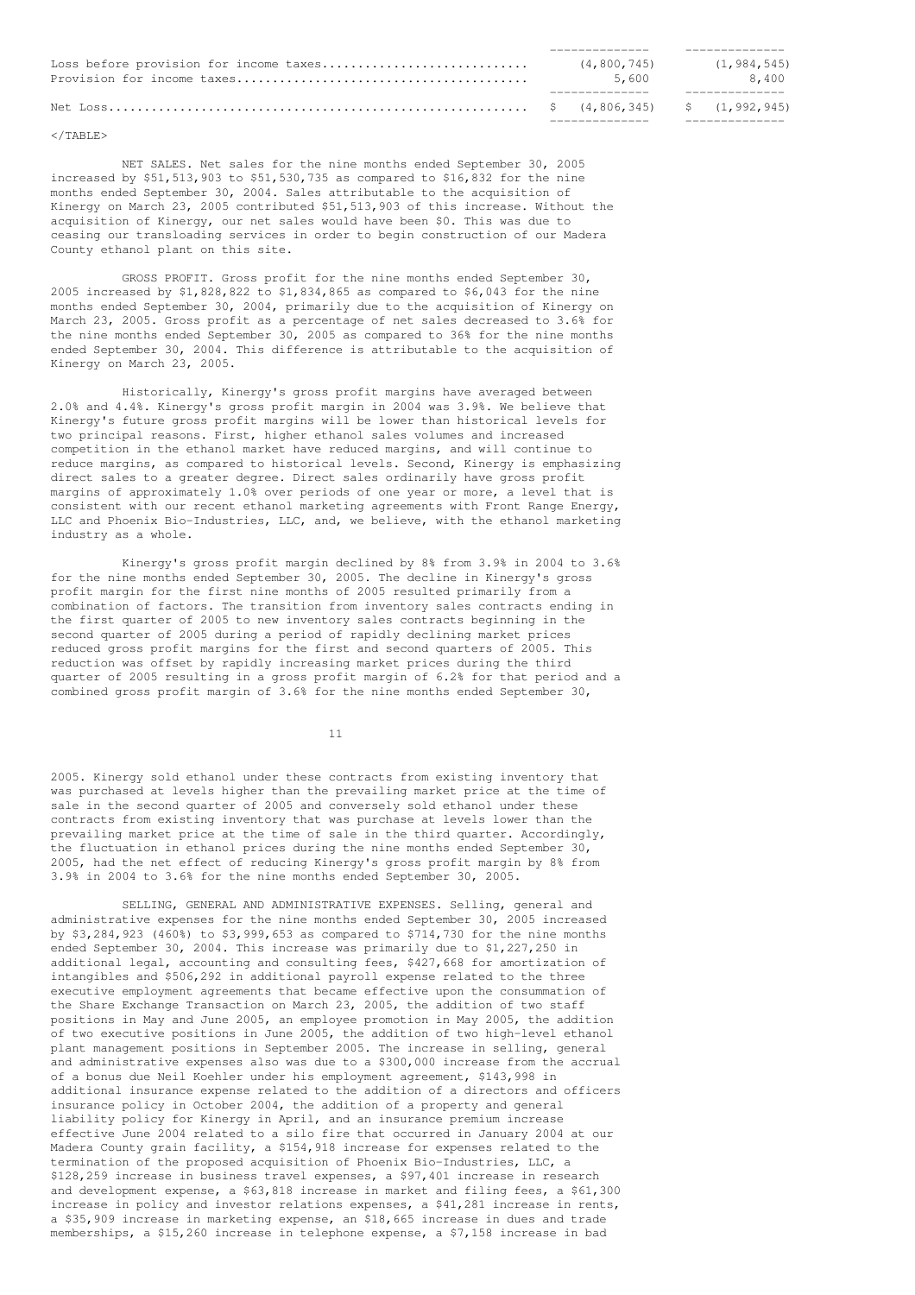| Loss before provision for income taxes | (4,800,745) | (1, 984, 545) |
|----------------------------------------|-------------|---------------|
|                                        | 5.600       | 8.400         |
|                                        |             |               |
|                                        |             |               |
|                                        |             |               |

## $\langle$ /TABLE>

NET SALES. Net sales for the nine months ended September 30, 2005 increased by \$51,513,903 to \$51,530,735 as compared to \$16,832 for the nine months ended September 30, 2004. Sales attributable to the acquisition of Kinergy on March 23, 2005 contributed \$51,513,903 of this increase. Without the acquisition of Kinergy, our net sales would have been \$0. This was due to ceasing our transloading services in order to begin construction of our Madera County ethanol plant on this site.

GROSS PROFIT. Gross profit for the nine months ended September 30, 2005 increased by \$1,828,822 to \$1,834,865 as compared to \$6,043 for the nine months ended September 30, 2004, primarily due to the acquisition of Kinergy on March 23, 2005. Gross profit as a percentage of net sales decreased to 3.6% for the nine months ended September 30, 2005 as compared to 36% for the nine months ended September 30, 2004. This difference is attributable to the acquisition of Kinergy on March 23, 2005.

Historically, Kinergy's gross profit margins have averaged between 2.0% and 4.4%. Kinergy's gross profit margin in 2004 was 3.9%. We believe that Kinergy's future gross profit margins will be lower than historical levels for two principal reasons. First, higher ethanol sales volumes and increased competition in the ethanol market have reduced margins, and will continue to reduce margins, as compared to historical levels. Second, Kinergy is emphasizing direct sales to a greater degree. Direct sales ordinarily have gross profit margins of approximately 1.0% over periods of one year or more, a level that is consistent with our recent ethanol marketing agreements with Front Range Energy, LLC and Phoenix Bio-Industries, LLC, and, we believe, with the ethanol marketing industry as a whole.

Kinergy's gross profit margin declined by 8% from 3.9% in 2004 to 3.6% for the nine months ended September 30, 2005. The decline in Kinergy's gross profit margin for the first nine months of 2005 resulted primarily from a combination of factors. The transition from inventory sales contracts ending in the first quarter of 2005 to new inventory sales contracts beginning in the second quarter of 2005 during a period of rapidly declining market prices reduced gross profit margins for the first and second quarters of 2005. This reduction was offset by rapidly increasing market prices during the third quarter of 2005 resulting in a gross profit margin of 6.2% for that period and a combined gross profit margin of 3.6% for the nine months ended September 30,

11

2005. Kinergy sold ethanol under these contracts from existing inventory that was purchased at levels higher than the prevailing market price at the time of sale in the second quarter of 2005 and conversely sold ethanol under these contracts from existing inventory that was purchase at levels lower than the prevailing market price at the time of sale in the third quarter. Accordingly, the fluctuation in ethanol prices during the nine months ended September 30, 2005, had the net effect of reducing Kinergy's gross profit margin by 8% from 3.9% in 2004 to 3.6% for the nine months ended September 30, 2005.

SELLING, GENERAL AND ADMINISTRATIVE EXPENSES. Selling, general and administrative expenses for the nine months ended September 30, 2005 increased by \$3,284,923 (460%) to \$3,999,653 as compared to \$714,730 for the nine months ended September 30, 2004. This increase was primarily due to \$1,227,250 in additional legal, accounting and consulting fees, \$427,668 for amortization of intangibles and \$506,292 in additional payroll expense related to the three executive employment agreements that became effective upon the consummation of the Share Exchange Transaction on March 23, 2005, the addition of two staff positions in May and June 2005, an employee promotion in May 2005, the addition of two executive positions in June 2005, the addition of two high-level ethanol plant management positions in September 2005. The increase in selling, general and administrative expenses also was due to a \$300,000 increase from the accrual of a bonus due Neil Koehler under his employment agreement, \$143,998 in additional insurance expense related to the addition of a directors and officers insurance policy in October 2004, the addition of a property and general liability policy for Kinergy in April, and an insurance premium increase effective June 2004 related to a silo fire that occurred in January 2004 at our Madera County grain facility, a \$154,918 increase for expenses related to the termination of the proposed acquisition of Phoenix Bio-Industries, LLC, a \$128,259 increase in business travel expenses, a \$97,401 increase in research and development expense, a \$63,818 increase in market and filing fees, a \$61,300 increase in policy and investor relations expenses, a \$41,281 increase in rents, a \$35,909 increase in marketing expense, an \$18,665 increase in dues and trade memberships, a \$15,260 increase in telephone expense, a \$7,158 increase in bad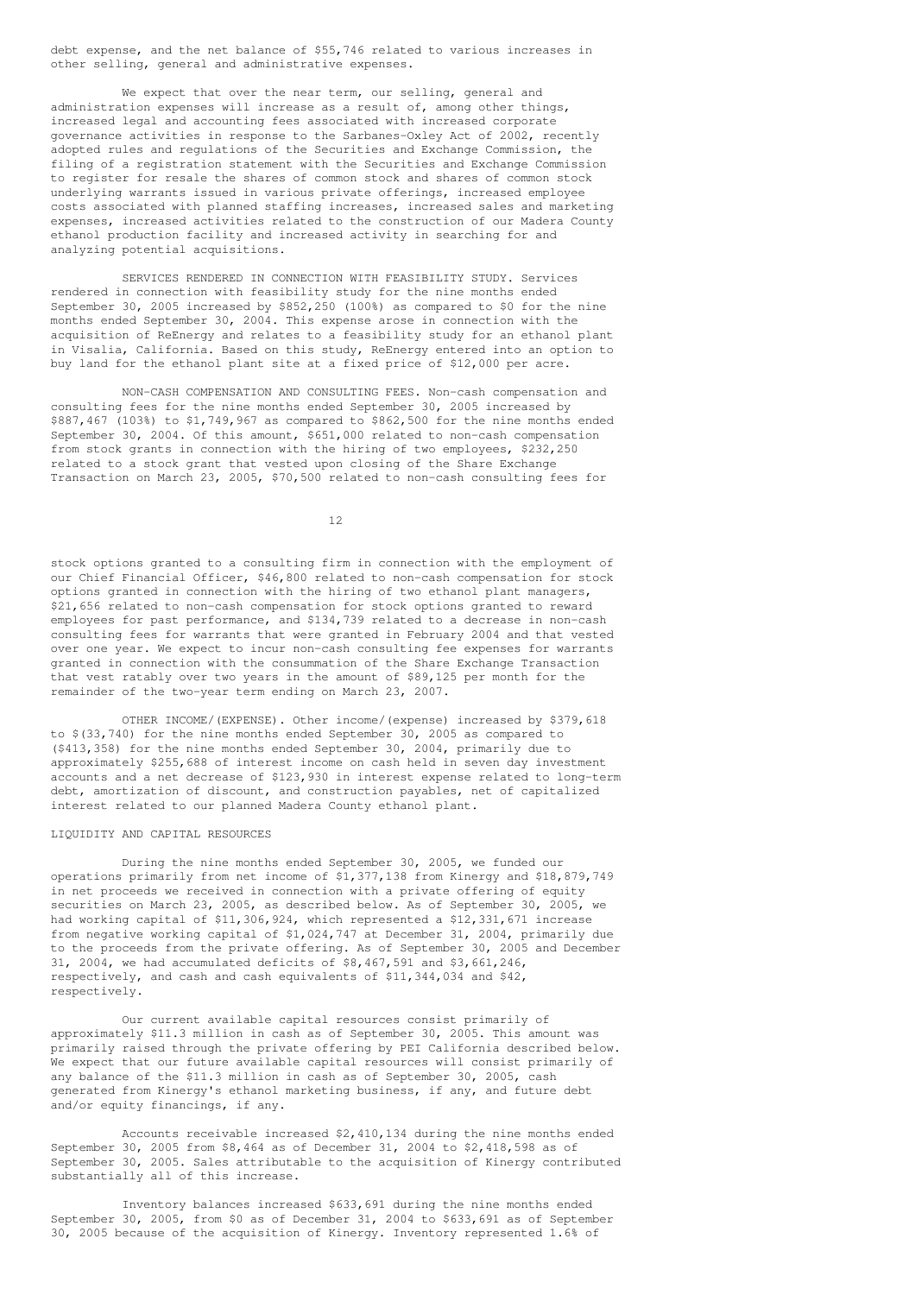debt expense, and the net balance of \$55,746 related to various increases in other selling, general and administrative expenses.

We expect that over the near term, our selling, general and administration expenses will increase as a result of, among other things, increased legal and accounting fees associated with increased corporate governance activities in response to the Sarbanes-Oxley Act of 2002, recently adopted rules and regulations of the Securities and Exchange Commission, the filing of a registration statement with the Securities and Exchange Commission to register for resale the shares of common stock and shares of common stock underlying warrants issued in various private offerings, increased employee costs associated with planned staffing increases, increased sales and marketing expenses, increased activities related to the construction of our Madera County ethanol production facility and increased activity in searching for and analyzing potential acquisitions.

SERVICES RENDERED IN CONNECTION WITH FEASIBILITY STUDY. Services rendered in connection with feasibility study for the nine months ended September 30, 2005 increased by \$852,250 (100%) as compared to \$0 for the nine months ended September 30, 2004. This expense arose in connection with the acquisition of ReEnergy and relates to a feasibility study for an ethanol plant in Visalia, California. Based on this study, ReEnergy entered into an option to buy land for the ethanol plant site at a fixed price of \$12,000 per acre.

NON-CASH COMPENSATION AND CONSULTING FEES. Non-cash compensation and consulting fees for the nine months ended September 30, 2005 increased by \$887,467 (103%) to \$1,749,967 as compared to \$862,500 for the nine months ended September 30, 2004. Of this amount, \$651,000 related to non-cash compensation from stock grants in connection with the hiring of two employees, \$232,250 related to a stock grant that vested upon closing of the Share Exchange Transaction on March 23, 2005, \$70,500 related to non-cash consulting fees for

12

stock options granted to a consulting firm in connection with the employment of our Chief Financial Officer, \$46,800 related to non-cash compensation for stock options granted in connection with the hiring of two ethanol plant managers, \$21,656 related to non-cash compensation for stock options granted to reward employees for past performance, and \$134,739 related to a decrease in non-cash consulting fees for warrants that were granted in February 2004 and that vested over one year. We expect to incur non-cash consulting fee expenses for warrants granted in connection with the consummation of the Share Exchange Transaction that vest ratably over two years in the amount of \$89,125 per month for the remainder of the two-year term ending on March 23, 2007.

OTHER INCOME/(EXPENSE). Other income/(expense) increased by \$379,618 to \$(33,740) for the nine months ended September 30, 2005 as compared to (\$413,358) for the nine months ended September 30, 2004, primarily due to approximately \$255,688 of interest income on cash held in seven day investment accounts and a net decrease of \$123,930 in interest expense related to long-term debt, amortization of discount, and construction payables, net of capitalized interest related to our planned Madera County ethanol plant.

## LIQUIDITY AND CAPITAL RESOURCES

During the nine months ended September 30, 2005, we funded our operations primarily from net income of \$1,377,138 from Kinergy and \$18,879,749 in net proceeds we received in connection with a private offering of equity securities on March 23, 2005, as described below. As of September 30, 2005, we had working capital of \$11,306,924, which represented a \$12,331,671 increase from negative working capital of \$1,024,747 at December 31, 2004, primarily due to the proceeds from the private offering. As of September 30, 2005 and December 31, 2004, we had accumulated deficits of \$8,467,591 and \$3,661,246, respectively, and cash and cash equivalents of \$11,344,034 and \$42, respectively.

Our current available capital resources consist primarily of approximately \$11.3 million in cash as of September 30, 2005. This amount was primarily raised through the private offering by PEI California described below. We expect that our future available capital resources will consist primarily of any balance of the \$11.3 million in cash as of September 30, 2005, cash generated from Kinergy's ethanol marketing business, if any, and future debt and/or equity financings, if any.

Accounts receivable increased \$2,410,134 during the nine months ended September 30, 2005 from \$8,464 as of December 31, 2004 to \$2,418,598 as of September 30, 2005. Sales attributable to the acquisition of Kinergy contributed substantially all of this increase.

Inventory balances increased \$633,691 during the nine months ended September 30, 2005, from \$0 as of December 31, 2004 to \$633,691 as of September 30, 2005 because of the acquisition of Kinergy. Inventory represented 1.6% of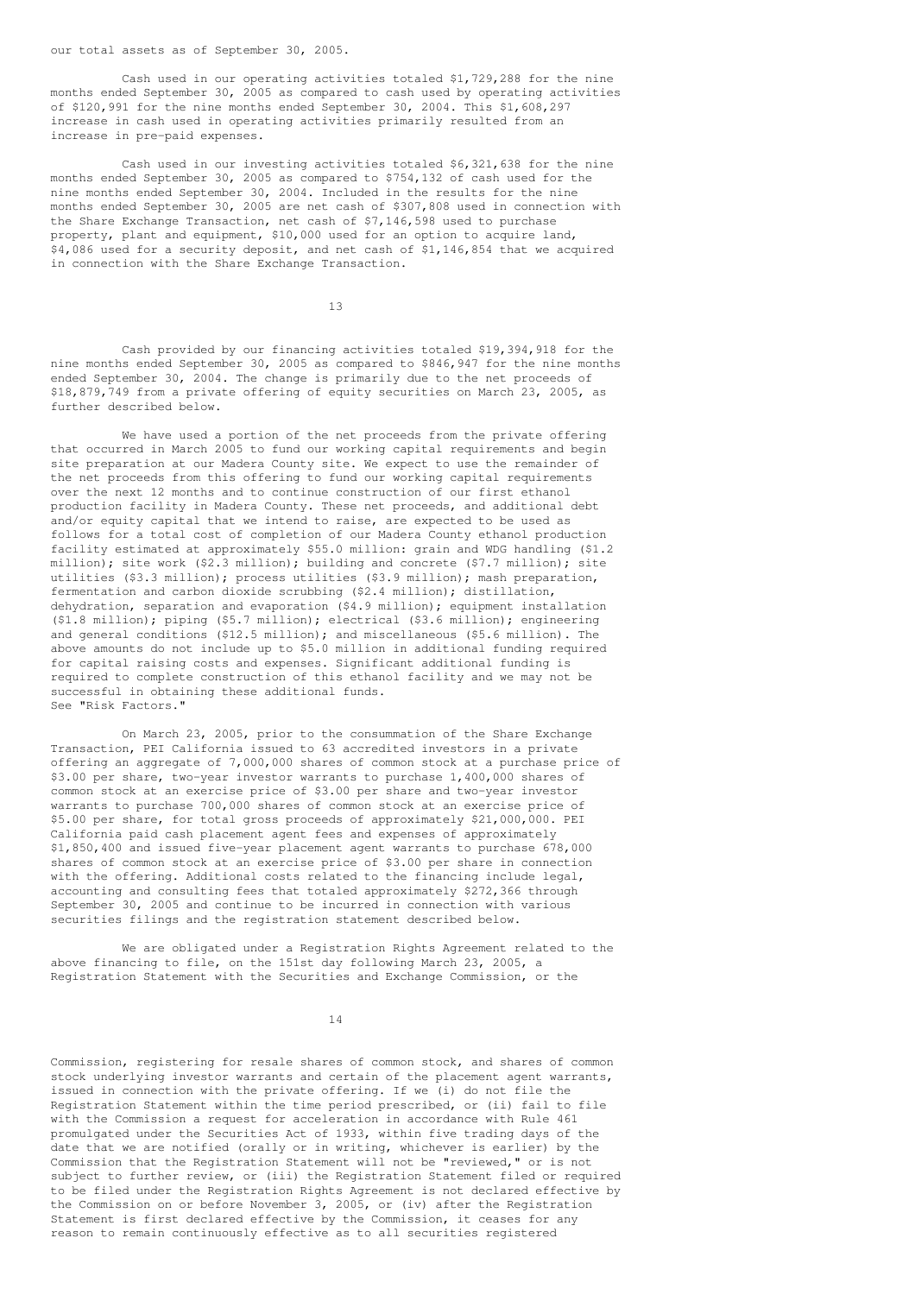our total assets as of September 30, 2005.

Cash used in our operating activities totaled \$1,729,288 for the nine months ended September 30, 2005 as compared to cash used by operating activities of \$120,991 for the nine months ended September 30, 2004. This \$1,608,297 increase in cash used in operating activities primarily resulted from an increase in pre-paid expenses.

Cash used in our investing activities totaled \$6,321,638 for the nine months ended September 30, 2005 as compared to \$754,132 of cash used for the nine months ended September 30, 2004. Included in the results for the nine months ended September 30, 2005 are net cash of \$307,808 used in connection with the Share Exchange Transaction, net cash of \$7,146,598 used to purchase property, plant and equipment, \$10,000 used for an option to acquire land, \$4,086 used for a security deposit, and net cash of \$1,146,854 that we acquired in connection with the Share Exchange Transaction.

13

Cash provided by our financing activities totaled \$19,394,918 for the nine months ended September 30, 2005 as compared to \$846,947 for the nine months ended September 30, 2004. The change is primarily due to the net proceeds of \$18,879,749 from a private offering of equity securities on March 23, 2005, as further described below.

We have used a portion of the net proceeds from the private offering that occurred in March 2005 to fund our working capital requirements and begin site preparation at our Madera County site. We expect to use the remainder of the net proceeds from this offering to fund our working capital requirements over the next 12 months and to continue construction of our first ethanol production facility in Madera County. These net proceeds, and additional debt and/or equity capital that we intend to raise, are expected to be used as follows for a total cost of completion of our Madera County ethanol production facility estimated at approximately \$55.0 million: grain and WDG handling (\$1.2 million); site work (\$2.3 million); building and concrete (\$7.7 million); site utilities (\$3.3 million); process utilities (\$3.9 million); mash preparation, fermentation and carbon dioxide scrubbing (\$2.4 million); distillation, dehydration, separation and evaporation (\$4.9 million); equipment installation (\$1.8 million); piping (\$5.7 million); electrical (\$3.6 million); engineering and general conditions (\$12.5 million); and miscellaneous (\$5.6 million). The above amounts do not include up to \$5.0 million in additional funding required for capital raising costs and expenses. Significant additional funding is required to complete construction of this ethanol facility and we may not be successful in obtaining these additional funds. See "Risk Factors."

On March 23, 2005, prior to the consummation of the Share Exchange Transaction, PEI California issued to 63 accredited investors in a private offering an aggregate of 7,000,000 shares of common stock at a purchase price of \$3.00 per share, two-year investor warrants to purchase 1,400,000 shares of common stock at an exercise price of \$3.00 per share and two-year investor warrants to purchase 700,000 shares of common stock at an exercise price of \$5.00 per share, for total gross proceeds of approximately \$21,000,000. PEI California paid cash placement agent fees and expenses of approximately \$1,850,400 and issued five-year placement agent warrants to purchase 678,000 shares of common stock at an exercise price of \$3.00 per share in connection with the offering. Additional costs related to the financing include legal, accounting and consulting fees that totaled approximately \$272,366 through September 30, 2005 and continue to be incurred in connection with various securities filings and the registration statement described below.

We are obligated under a Registration Rights Agreement related to the above financing to file, on the 151st day following March 23, 2005, a Registration Statement with the Securities and Exchange Commission, or the

14

Commission, registering for resale shares of common stock, and shares of common stock underlying investor warrants and certain of the placement agent warrants, issued in connection with the private offering. If we (i) do not file the Registration Statement within the time period prescribed, or (ii) fail to file with the Commission a request for acceleration in accordance with Rule 461 promulgated under the Securities Act of 1933, within five trading days of the date that we are notified (orally or in writing, whichever is earlier) by the Commission that the Registration Statement will not be "reviewed," or is not subject to further review, or (iii) the Registration Statement filed or required to be filed under the Registration Rights Agreement is not declared effective by the Commission on or before November 3, 2005, or (iv) after the Registration Statement is first declared effective by the Commission, it ceases for any reason to remain continuously effective as to all securities registered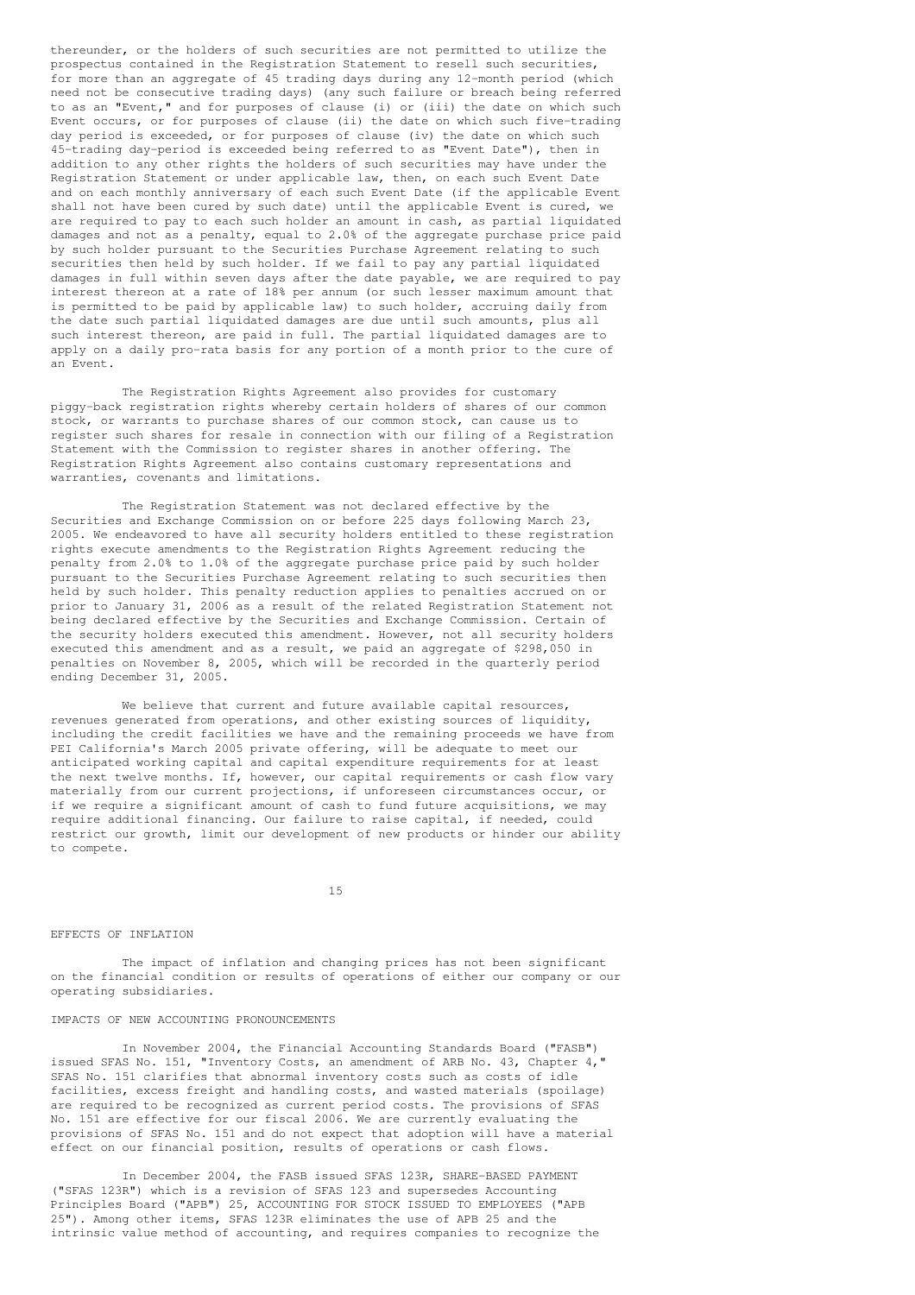thereunder, or the holders of such securities are not permitted to utilize the prospectus contained in the Registration Statement to resell such securities, for more than an aggregate of 45 trading days during any 12-month period (which need not be consecutive trading days) (any such failure or breach being referred to as an "Event," and for purposes of clause (i) or (iii) the date on which such Event occurs, or for purposes of clause (ii) the date on which such five-trading day period is exceeded, or for purposes of clause (iv) the date on which such 45-trading day-period is exceeded being referred to as "Event Date"), then in addition to any other rights the holders of such securities may have under the Registration Statement or under applicable law, then, on each such Event Date and on each monthly anniversary of each such Event Date (if the applicable Event shall not have been cured by such date) until the applicable Event is cured, we are required to pay to each such holder an amount in cash, as partial liquidated damages and not as a penalty, equal to 2.0% of the aggregate purchase price paid by such holder pursuant to the Securities Purchase Agreement relating to such securities then held by such holder. If we fail to pay any partial liquidated damages in full within seven days after the date payable, we are required to pay interest thereon at a rate of 18% per annum (or such lesser maximum amount that is permitted to be paid by applicable law) to such holder, accruing daily from the date such partial liquidated damages are due until such amounts, plus all such interest thereon, are paid in full. The partial liquidated damages are to apply on a daily pro-rata basis for any portion of a month prior to the cure of an Event.

The Registration Rights Agreement also provides for customary piggy-back registration rights whereby certain holders of shares of our common stock, or warrants to purchase shares of our common stock, can cause us to register such shares for resale in connection with our filing of a Registration Statement with the Commission to register shares in another offering. The Registration Rights Agreement also contains customary representations and warranties, covenants and limitations.

The Registration Statement was not declared effective by the Securities and Exchange Commission on or before 225 days following March 23, 2005. We endeavored to have all security holders entitled to these registration rights execute amendments to the Registration Rights Agreement reducing the penalty from 2.0% to 1.0% of the aggregate purchase price paid by such holder pursuant to the Securities Purchase Agreement relating to such securities then held by such holder. This penalty reduction applies to penalties accrued on or prior to January 31, 2006 as a result of the related Registration Statement not being declared effective by the Securities and Exchange Commission. Certain of the security holders executed this amendment. However, not all security holders executed this amendment and as a result, we paid an aggregate of \$298,050 in penalties on November 8, 2005, which will be recorded in the quarterly period ending December 31, 2005.

We believe that current and future available capital resources, revenues generated from operations, and other existing sources of liquidity, including the credit facilities we have and the remaining proceeds we have from PEI California's March 2005 private offering, will be adequate to meet our anticipated working capital and capital expenditure requirements for at least the next twelve months. If, however, our capital requirements or cash flow vary materially from our current projections, if unforeseen circumstances occur, or if we require a significant amount of cash to fund future acquisitions, we may require additional financing. Our failure to raise capital, if needed, could restrict our growth, limit our development of new products or hinder our ability to compete.

15

## EFFECTS OF INFLATION

The impact of inflation and changing prices has not been significant on the financial condition or results of operations of either our company or our operating subsidiaries.

## IMPACTS OF NEW ACCOUNTING PRONOUNCEMENTS

In November 2004, the Financial Accounting Standards Board ("FASB") issued SFAS No. 151, "Inventory Costs, an amendment of ARB No. 43, Chapter 4," SFAS No. 151 clarifies that abnormal inventory costs such as costs of idle facilities, excess freight and handling costs, and wasted materials (spoilage) are required to be recognized as current period costs. The provisions of SFAS No. 151 are effective for our fiscal 2006. We are currently evaluating the provisions of SFAS No. 151 and do not expect that adoption will have a material effect on our financial position, results of operations or cash flows.

In December 2004, the FASB issued SFAS 123R, SHARE-BASED PAYMENT ("SFAS 123R") which is a revision of SFAS 123 and supersedes Accounting Principles Board ("APB") 25, ACCOUNTING FOR STOCK ISSUED TO EMPLOYEES ("APB 25"). Among other items, SFAS 123R eliminates the use of APB 25 and the intrinsic value method of accounting, and requires companies to recognize the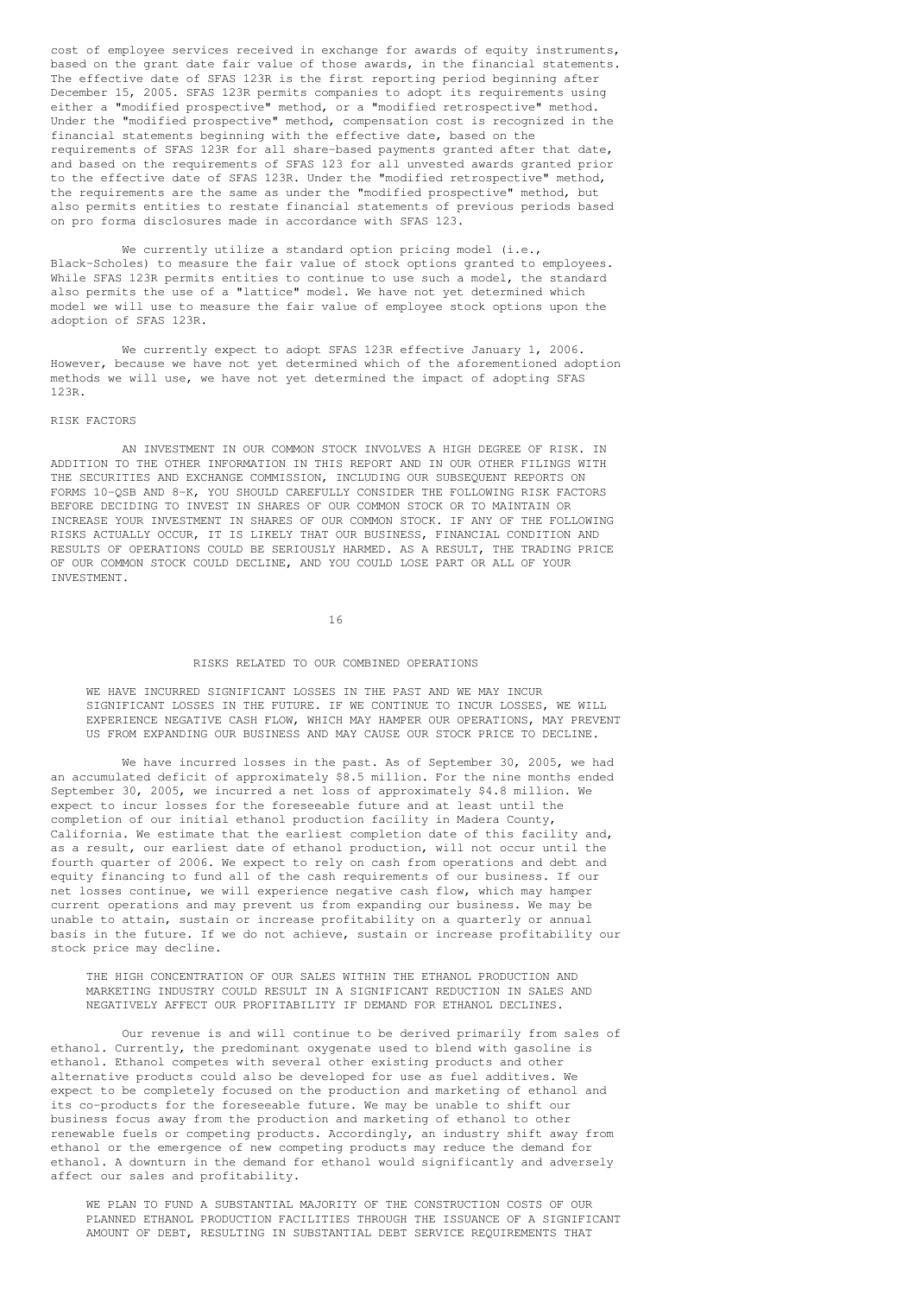cost of employee services received in exchange for awards of equity instruments, based on the grant date fair value of those awards, in the financial statements. The effective date of SFAS 123R is the first reporting period beginning after December 15, 2005. SFAS 123R permits companies to adopt its requirements using either a "modified prospective" method, or a "modified retrospective" method. Under the "modified prospective" method, compensation cost is recognized in the financial statements beginning with the effective date, based on the requirements of SFAS 123R for all share-based payments granted after that date, and based on the requirements of SFAS 123 for all unvested awards granted prior to the effective date of SFAS 123R. Under the "modified retrospective" method, the requirements are the same as under the "modified prospective" method, but also permits entities to restate financial statements of previous periods based on pro forma disclosures made in accordance with SFAS 123.

We currently utilize a standard option pricing model (i.e., Black-Scholes) to measure the fair value of stock options granted to employees. While SFAS 123R permits entities to continue to use such a model, the standard also permits the use of a "lattice" model. We have not yet determined which model we will use to measure the fair value of employee stock options upon the adoption of SFAS 123R.

We currently expect to adopt SFAS 123R effective January 1, 2006. However, because we have not yet determined which of the aforementioned adoption methods we will use, we have not yet determined the impact of adopting SFAS 123R.

## RISK FACTORS

AN INVESTMENT IN OUR COMMON STOCK INVOLVES A HIGH DEGREE OF RISK. IN ADDITION TO THE OTHER INFORMATION IN THIS REPORT AND IN OUR OTHER FILINGS WITH THE SECURITIES AND EXCHANGE COMMISSION, INCLUDING OUR SUBSEQUENT REPORTS ON FORMS 10-QSB AND 8-K, YOU SHOULD CAREFULLY CONSIDER THE FOLLOWING RISK FACTORS BEFORE DECIDING TO INVEST IN SHARES OF OUR COMMON STOCK OR TO MAINTAIN OR INCREASE YOUR INVESTMENT IN SHARES OF OUR COMMON STOCK. IF ANY OF THE FOLLOWING RISKS ACTUALLY OCCUR, IT IS LIKELY THAT OUR BUSINESS, FINANCIAL CONDITION AND RESULTS OF OPERATIONS COULD BE SERIOUSLY HARMED. AS A RESULT, THE TRADING PRICE OF OUR COMMON STOCK COULD DECLINE, AND YOU COULD LOSE PART OR ALL OF YOUR INVESTMENT.

16

#### RISKS RELATED TO OUR COMBINED OPERATIONS

WE HAVE INCURRED SIGNIFICANT LOSSES IN THE PAST AND WE MAY INCUR SIGNIFICANT LOSSES IN THE FUTURE. IF WE CONTINUE TO INCUR LOSSES, WE WILL EXPERIENCE NEGATIVE CASH FLOW, WHICH MAY HAMPER OUR OPERATIONS, MAY PREVENT US FROM EXPANDING OUR BUSINESS AND MAY CAUSE OUR STOCK PRICE TO DECLINE.

We have incurred losses in the past. As of September 30, 2005, we had an accumulated deficit of approximately \$8.5 million. For the nine months ended September 30, 2005, we incurred a net loss of approximately \$4.8 million. We expect to incur losses for the foreseeable future and at least until the completion of our initial ethanol production facility in Madera County, California. We estimate that the earliest completion date of this facility and, as a result, our earliest date of ethanol production, will not occur until the fourth quarter of 2006. We expect to rely on cash from operations and debt and equity financing to fund all of the cash requirements of our business. If our net losses continue, we will experience negative cash flow, which may hamper current operations and may prevent us from expanding our business. We may be unable to attain, sustain or increase profitability on a quarterly or annual basis in the future. If we do not achieve, sustain or increase profitability our stock price may decline.

THE HIGH CONCENTRATION OF OUR SALES WITHIN THE ETHANOL PRODUCTION AND MARKETING INDUSTRY COULD RESULT IN A SIGNIFICANT REDUCTION IN SALES AND NEGATIVELY AFFECT OUR PROFITABILITY IF DEMAND FOR ETHANOL DECLINES.

Our revenue is and will continue to be derived primarily from sales of ethanol. Currently, the predominant oxygenate used to blend with gasoline is ethanol. Ethanol competes with several other existing products and other alternative products could also be developed for use as fuel additives. We expect to be completely focused on the production and marketing of ethanol and its co-products for the foreseeable future. We may be unable to shift our business focus away from the production and marketing of ethanol to other renewable fuels or competing products. Accordingly, an industry shift away from ethanol or the emergence of new competing products may reduce the demand for ethanol. A downturn in the demand for ethanol would significantly and adversely affect our sales and profitability.

WE PLAN TO FUND A SUBSTANTIAL MAJORITY OF THE CONSTRUCTION COSTS OF OUR PLANNED ETHANOL PRODUCTION FACILITIES THROUGH THE ISSUANCE OF A SIGNIFICANT AMOUNT OF DEBT, RESULTING IN SUBSTANTIAL DEBT SERVICE REQUIREMENTS THAT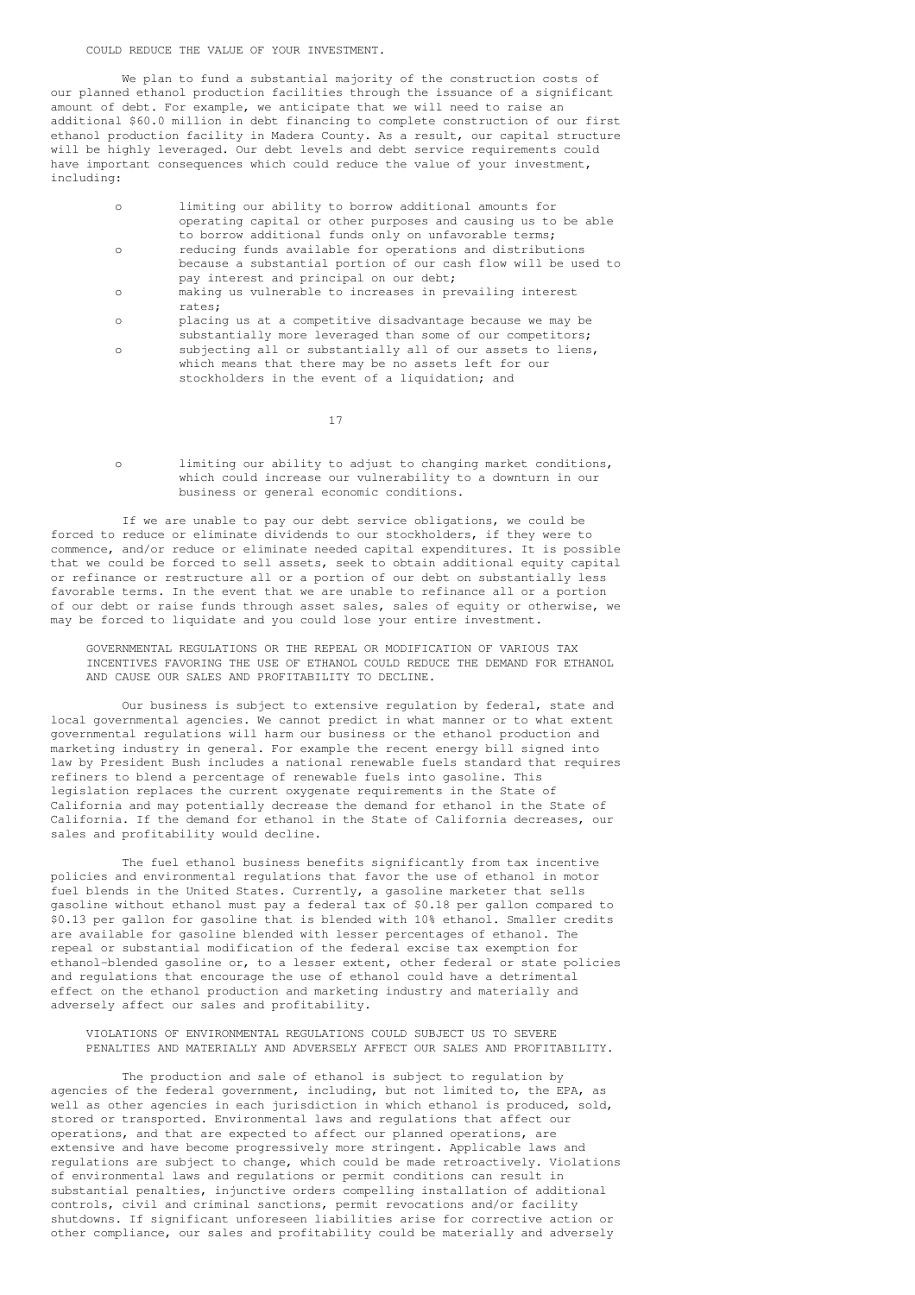COULD REDUCE THE VALUE OF YOUR INVESTMENT.

We plan to fund a substantial majority of the construction costs of our planned ethanol production facilities through the issuance of a significant amount of debt. For example, we anticipate that we will need to raise an additional \$60.0 million in debt financing to complete construction of our first ethanol production facility in Madera County. As a result, our capital structure will be highly leveraged. Our debt levels and debt service requirements could have important consequences which could reduce the value of your investment, including:

- o limiting our ability to borrow additional amounts for operating capital or other purposes and causing us to be able to borrow additional funds only on unfavorable terms; o reducing funds available for operations and distributions
- because a substantial portion of our cash flow will be used to pay interest and principal on our debt;
- o making us vulnerable to increases in prevailing interest rates;
- o placing us at a competitive disadvantage because we may be substantially more leveraged than some of our competitors;
- o subjecting all or substantially all of our assets to liens, which means that there may be no assets left for our stockholders in the event of a liquidation; and

17

o limiting our ability to adjust to changing market conditions, which could increase our vulnerability to a downturn in our business or general economic conditions.

If we are unable to pay our debt service obligations, we could be forced to reduce or eliminate dividends to our stockholders, if they were to commence, and/or reduce or eliminate needed capital expenditures. It is possible that we could be forced to sell assets, seek to obtain additional equity capital or refinance or restructure all or a portion of our debt on substantially less favorable terms. In the event that we are unable to refinance all or a portion of our debt or raise funds through asset sales, sales of equity or otherwise, we may be forced to liquidate and you could lose your entire investment.

GOVERNMENTAL REGULATIONS OR THE REPEAL OR MODIFICATION OF VARIOUS TAX INCENTIVES FAVORING THE USE OF ETHANOL COULD REDUCE THE DEMAND FOR ETHANOL AND CAUSE OUR SALES AND PROFITABILITY TO DECLINE.

Our business is subject to extensive regulation by federal, state and local governmental agencies. We cannot predict in what manner or to what extent governmental regulations will harm our business or the ethanol production and marketing industry in general. For example the recent energy bill signed into law by President Bush includes a national renewable fuels standard that requires refiners to blend a percentage of renewable fuels into gasoline. This legislation replaces the current oxygenate requirements in the State of California and may potentially decrease the demand for ethanol in the State of California. If the demand for ethanol in the State of California decreases, our sales and profitability would decline.

The fuel ethanol business benefits significantly from tax incentive policies and environmental regulations that favor the use of ethanol in motor fuel blends in the United States. Currently, a gasoline marketer that sells gasoline without ethanol must pay a federal tax of \$0.18 per gallon compared to \$0.13 per gallon for gasoline that is blended with 10% ethanol. Smaller credits are available for gasoline blended with lesser percentages of ethanol. The repeal or substantial modification of the federal excise tax exemption for ethanol-blended gasoline or, to a lesser extent, other federal or state policies and regulations that encourage the use of ethanol could have a detrimental effect on the ethanol production and marketing industry and materially and adversely affect our sales and profitability.

VIOLATIONS OF ENVIRONMENTAL REGULATIONS COULD SUBJECT US TO SEVERE PENALTIES AND MATERIALLY AND ADVERSELY AFFECT OUR SALES AND PROFITABILITY.

The production and sale of ethanol is subject to regulation by agencies of the federal government, including, but not limited to, the EPA, as well as other agencies in each jurisdiction in which ethanol is produced, sold, stored or transported. Environmental laws and regulations that affect our operations, and that are expected to affect our planned operations, are extensive and have become progressively more stringent. Applicable laws and regulations are subject to change, which could be made retroactively. Violations of environmental laws and regulations or permit conditions can result in substantial penalties, injunctive orders compelling installation of additional controls, civil and criminal sanctions, permit revocations and/or facility shutdowns. If significant unforeseen liabilities arise for corrective action or other compliance, our sales and profitability could be materially and adversely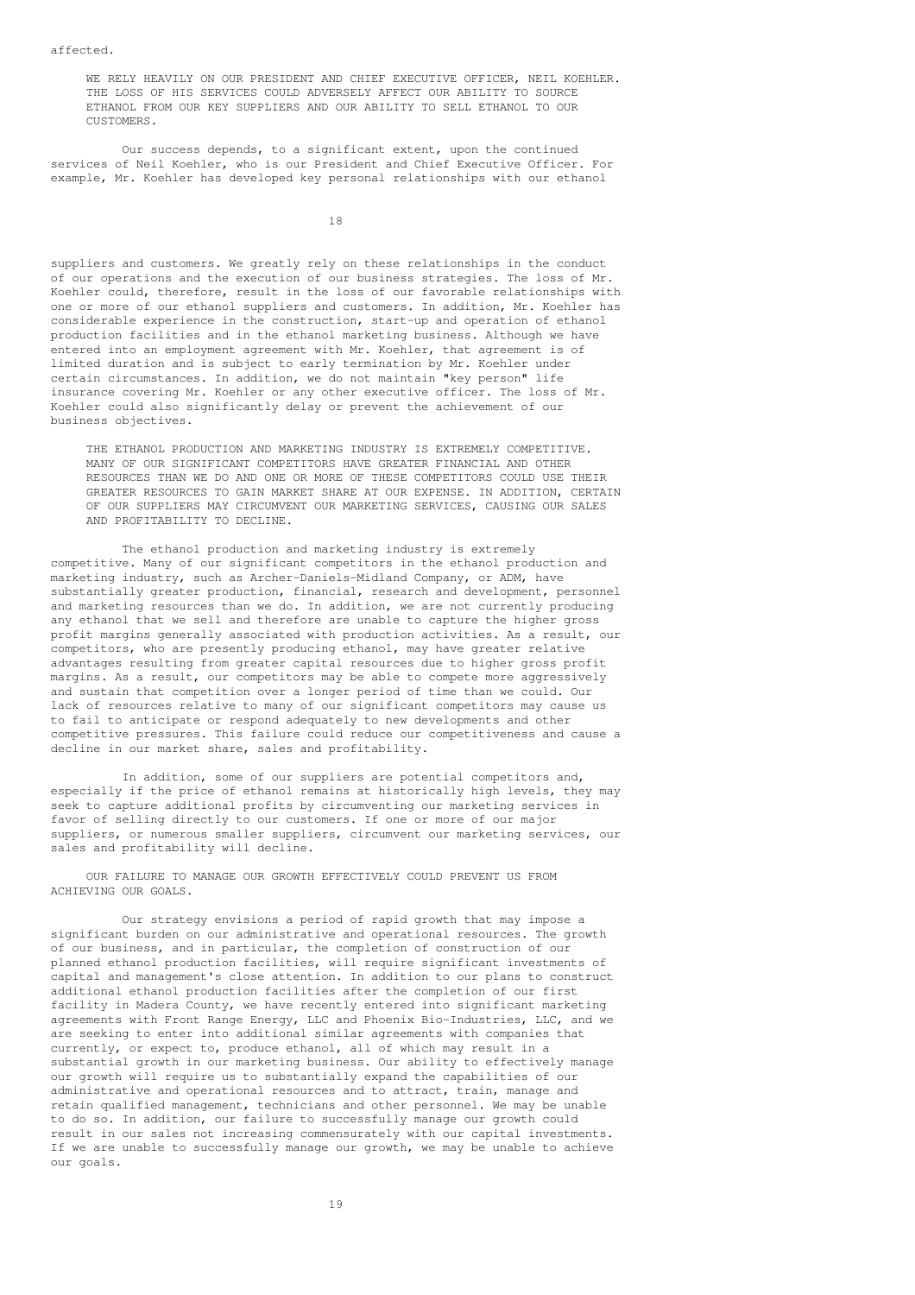WE RELY HEAVILY ON OUR PRESIDENT AND CHIEF EXECUTIVE OFFICER, NEIL KOEHLER. THE LOSS OF HIS SERVICES COULD ADVERSELY AFFECT OUR ABILITY TO SOURCE ETHANOL FROM OUR KEY SUPPLIERS AND OUR ABILITY TO SELL ETHANOL TO OUR CUSTOMERS.

Our success depends, to a significant extent, upon the continued services of Neil Koehler, who is our President and Chief Executive Officer. For example, Mr. Koehler has developed key personal relationships with our ethanol

18

suppliers and customers. We greatly rely on these relationships in the conduct of our operations and the execution of our business strategies. The loss of Mr. Koehler could, therefore, result in the loss of our favorable relationships with one or more of our ethanol suppliers and customers. In addition, Mr. Koehler has considerable experience in the construction, start-up and operation of ethanol production facilities and in the ethanol marketing business. Although we have entered into an employment agreement with Mr. Koehler, that agreement is of limited duration and is subject to early termination by Mr. Koehler under certain circumstances. In addition, we do not maintain "key person" life insurance covering Mr. Koehler or any other executive officer. The loss of Mr. Koehler could also significantly delay or prevent the achievement of our business objectives.

THE ETHANOL PRODUCTION AND MARKETING INDUSTRY IS EXTREMELY COMPETITIVE. MANY OF OUR SIGNIFICANT COMPETITORS HAVE GREATER FINANCIAL AND OTHER RESOURCES THAN WE DO AND ONE OR MORE OF THESE COMPETITORS COULD USE THEIR GREATER RESOURCES TO GAIN MARKET SHARE AT OUR EXPENSE. IN ADDITION, CERTAIN OF OUR SUPPLIERS MAY CIRCUMVENT OUR MARKETING SERVICES, CAUSING OUR SALES AND PROFITABILITY TO DECLINE.

The ethanol production and marketing industry is extremely competitive. Many of our significant competitors in the ethanol production and marketing industry, such as Archer-Daniels-Midland Company, or ADM, have substantially greater production, financial, research and development, personnel and marketing resources than we do. In addition, we are not currently producing any ethanol that we sell and therefore are unable to capture the higher gross profit margins generally associated with production activities. As a result, our competitors, who are presently producing ethanol, may have greater relative advantages resulting from greater capital resources due to higher gross profit margins. As a result, our competitors may be able to compete more aggressively and sustain that competition over a longer period of time than we could. Our lack of resources relative to many of our significant competitors may cause us to fail to anticipate or respond adequately to new developments and other competitive pressures. This failure could reduce our competitiveness and cause a decline in our market share, sales and profitability.

In addition, some of our suppliers are potential competitors and, especially if the price of ethanol remains at historically high levels, they may seek to capture additional profits by circumventing our marketing services in favor of selling directly to our customers. If one or more of our major suppliers, or numerous smaller suppliers, circumvent our marketing services, our sales and profitability will decline.

OUR FAILURE TO MANAGE OUR GROWTH EFFECTIVELY COULD PREVENT US FROM ACHIEVING OUR GOALS

Our strategy envisions a period of rapid growth that may impose a significant burden on our administrative and operational resources. The growth of our business, and in particular, the completion of construction of our planned ethanol production facilities, will require significant investments of capital and management's close attention. In addition to our plans to construct additional ethanol production facilities after the completion of our first facility in Madera County, we have recently entered into significant marketing agreements with Front Range Energy, LLC and Phoenix Bio-Industries, LLC, and we are seeking to enter into additional similar agreements with companies that currently, or expect to, produce ethanol, all of which may result in a substantial growth in our marketing business. Our ability to effectively manage our growth will require us to substantially expand the capabilities of our administrative and operational resources and to attract, train, manage and retain qualified management, technicians and other personnel. We may be unable to do so. In addition, our failure to successfully manage our growth could result in our sales not increasing commensurately with our capital investments. If we are unable to successfully manage our growth, we may be unable to achieve our goals.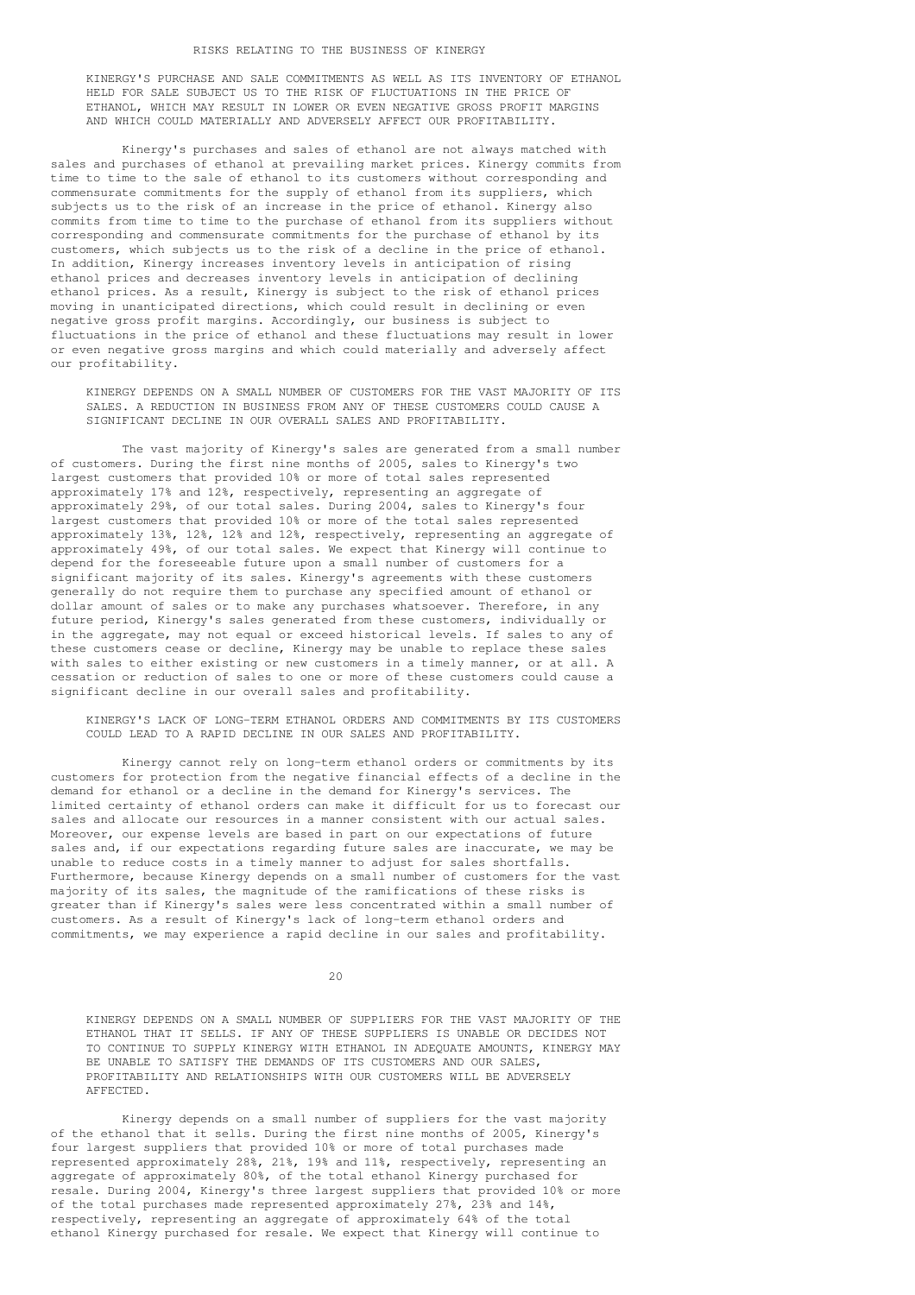KINERGY'S PURCHASE AND SALE COMMITMENTS AS WELL AS ITS INVENTORY OF ETHANOL HELD FOR SALE SUBJECT US TO THE RISK OF FLUCTUATIONS IN THE PRICE OF ETHANOL, WHICH MAY RESULT IN LOWER OR EVEN NEGATIVE GROSS PROFIT MARGINS AND WHICH COULD MATERIALLY AND ADVERSELY AFFECT OUR PROFITABILITY.

Kinergy's purchases and sales of ethanol are not always matched with sales and purchases of ethanol at prevailing market prices. Kinergy commits from time to time to the sale of ethanol to its customers without corresponding and commensurate commitments for the supply of ethanol from its suppliers, which subjects us to the risk of an increase in the price of ethanol. Kinergy also commits from time to time to the purchase of ethanol from its suppliers without corresponding and commensurate commitments for the purchase of ethanol by its customers, which subjects us to the risk of a decline in the price of ethanol. In addition, Kinergy increases inventory levels in anticipation of rising ethanol prices and decreases inventory levels in anticipation of declining ethanol prices. As a result, Kinergy is subject to the risk of ethanol prices moving in unanticipated directions, which could result in declining or even negative gross profit margins. Accordingly, our business is subject to fluctuations in the price of ethanol and these fluctuations may result in lower or even negative gross margins and which could materially and adversely affect our profitability.

KINERGY DEPENDS ON A SMALL NUMBER OF CUSTOMERS FOR THE VAST MAJORITY OF ITS SALES. A REDUCTION IN BUSINESS FROM ANY OF THESE CUSTOMERS COULD CAUSE A SIGNIFICANT DECLINE IN OUR OVERALL SALES AND PROFITABILITY.

The vast majority of Kinergy's sales are generated from a small number of customers. During the first nine months of 2005, sales to Kinergy's two largest customers that provided 10% or more of total sales represented approximately 17% and 12%, respectively, representing an aggregate of approximately 29%, of our total sales. During 2004, sales to Kinergy's four largest customers that provided 10% or more of the total sales represented approximately 13%, 12%, 12% and 12%, respectively, representing an aggregate of approximately 49%, of our total sales. We expect that Kinergy will continue to depend for the foreseeable future upon a small number of customers for a significant majority of its sales. Kinergy's agreements with these customers generally do not require them to purchase any specified amount of ethanol or dollar amount of sales or to make any purchases whatsoever. Therefore, in any future period, Kinergy's sales generated from these customers, individually or in the aggregate, may not equal or exceed historical levels. If sales to any of these customers cease or decline, Kinergy may be unable to replace these sales with sales to either existing or new customers in a timely manner, or at all. A cessation or reduction of sales to one or more of these customers could cause a significant decline in our overall sales and profitability.

KINERGY'S LACK OF LONG-TERM ETHANOL ORDERS AND COMMITMENTS BY ITS CUSTOMERS COULD LEAD TO A RAPID DECLINE IN OUR SALES AND PROFITABILITY.

Kinergy cannot rely on long-term ethanol orders or commitments by its customers for protection from the negative financial effects of a decline in the demand for ethanol or a decline in the demand for Kinergy's services. The limited certainty of ethanol orders can make it difficult for us to forecast our sales and allocate our resources in a manner consistent with our actual sales. Moreover, our expense levels are based in part on our expectations of future sales and, if our expectations regarding future sales are inaccurate, we may be unable to reduce costs in a timely manner to adjust for sales shortfalls. Furthermore, because Kinergy depends on a small number of customers for the vast majority of its sales, the magnitude of the ramifications of these risks is greater than if Kinergy's sales were less concentrated within a small number of customers. As a result of Kinergy's lack of long-term ethanol orders and commitments, we may experience a rapid decline in our sales and profitability.

 $20$ 

KINERGY DEPENDS ON A SMALL NUMBER OF SUPPLIERS FOR THE VAST MAJORITY OF THE ETHANOL THAT IT SELLS. IF ANY OF THESE SUPPLIERS IS UNABLE OR DECIDES NOT TO CONTINUE TO SUPPLY KINERGY WITH ETHANOL IN ADEQUATE AMOUNTS, KINERGY MAY BE UNABLE TO SATISFY THE DEMANDS OF ITS CUSTOMERS AND OUR SALES, PROFITABILITY AND RELATIONSHIPS WITH OUR CUSTOMERS WILL BE ADVERSELY AFFECTED.

Kinergy depends on a small number of suppliers for the vast majority of the ethanol that it sells. During the first nine months of 2005, Kinergy's four largest suppliers that provided 10% or more of total purchases made represented approximately 28%, 21%, 19% and 11%, respectively, representing an aggregate of approximately 80%, of the total ethanol Kinergy purchased for resale. During 2004, Kinergy's three largest suppliers that provided 10% or more of the total purchases made represented approximately 27%, 23% and 14%, respectively, representing an aggregate of approximately 64% of the total ethanol Kinergy purchased for resale. We expect that Kinergy will continue to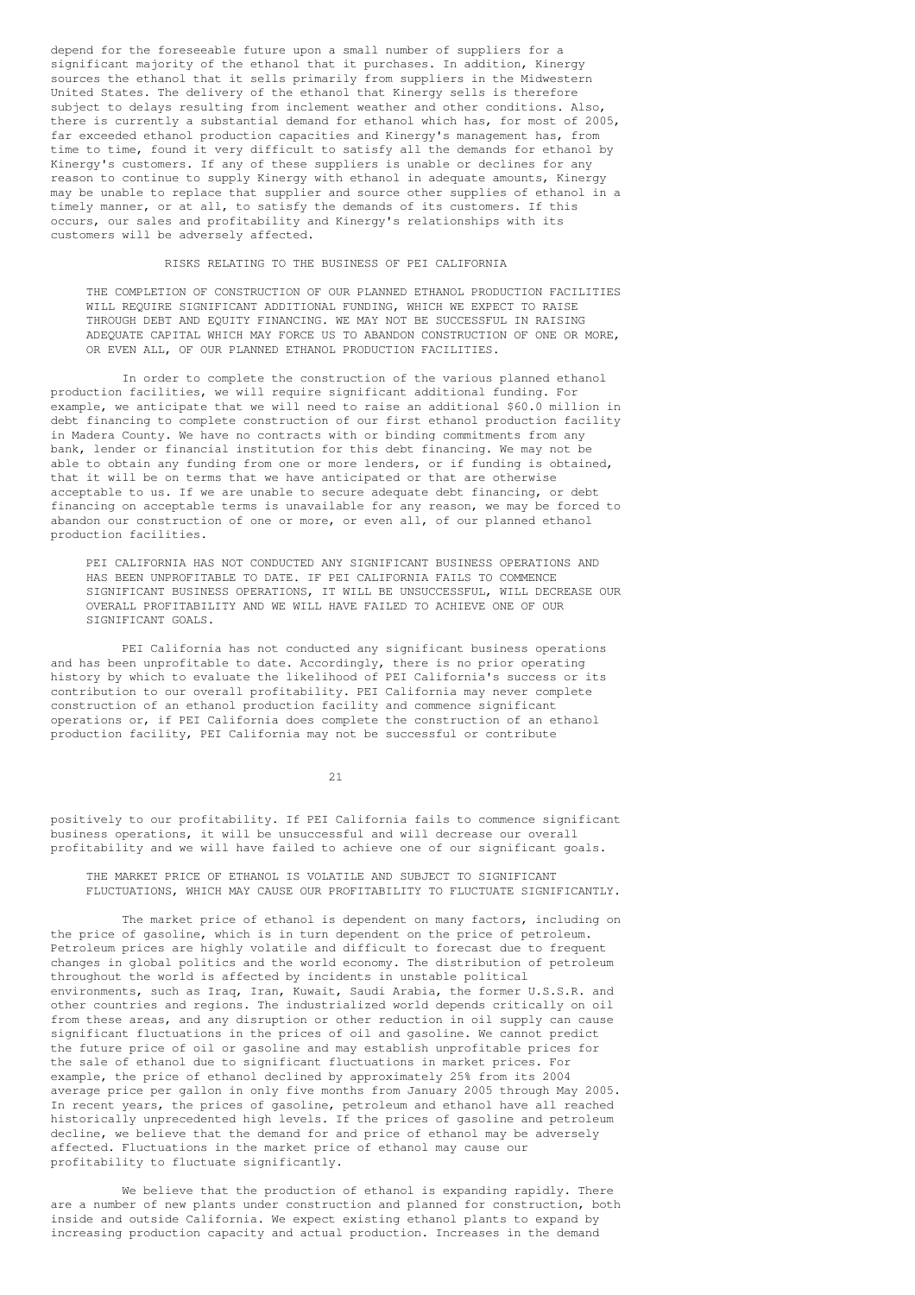depend for the foreseeable future upon a small number of suppliers for a significant majority of the ethanol that it purchases. In addition, Kinergy sources the ethanol that it sells primarily from suppliers in the Midwestern United States. The delivery of the ethanol that Kinergy sells is therefore subject to delays resulting from inclement weather and other conditions. Also, there is currently a substantial demand for ethanol which has, for most of 2005, far exceeded ethanol production capacities and Kinergy's management has, from time to time, found it very difficult to satisfy all the demands for ethanol by Kinergy's customers. If any of these suppliers is unable or declines for any reason to continue to supply Kinergy with ethanol in adequate amounts, Kinergy may be unable to replace that supplier and source other supplies of ethanol in a timely manner, or at all, to satisfy the demands of its customers. If this occurs, our sales and profitability and Kinergy's relationships with its customers will be adversely affected.

RISKS RELATING TO THE BUSINESS OF PEI CALIFORNIA

THE COMPLETION OF CONSTRUCTION OF OUR PLANNED ETHANOL PRODUCTION FACILITIES WILL REQUIRE SIGNIFICANT ADDITIONAL FUNDING, WHICH WE EXPECT TO RAISE THROUGH DEBT AND EQUITY FINANCING. WE MAY NOT BE SUCCESSFUL IN RAISING ADEQUATE CAPITAL WHICH MAY FORCE US TO ABANDON CONSTRUCTION OF ONE OR MORE, OR EVEN ALL, OF OUR PLANNED ETHANOL PRODUCTION FACILITIES.

In order to complete the construction of the various planned ethanol production facilities, we will require significant additional funding. For example, we anticipate that we will need to raise an additional \$60.0 million in debt financing to complete construction of our first ethanol production facility in Madera County. We have no contracts with or binding commitments from any bank, lender or financial institution for this debt financing. We may not be able to obtain any funding from one or more lenders, or if funding is obtained, that it will be on terms that we have anticipated or that are otherwise acceptable to us. If we are unable to secure adequate debt financing, or debt financing on acceptable terms is unavailable for any reason, we may be forced to abandon our construction of one or more, or even all, of our planned ethanol production facilities.

PEI CALIFORNIA HAS NOT CONDUCTED ANY SIGNIFICANT BUSINESS OPERATIONS AND HAS BEEN UNPROFITABLE TO DATE. IF PEI CALIFORNIA FAILS TO COMMENCE SIGNIFICANT BUSINESS OPERATIONS, IT WILL BE UNSUCCESSFUL, WILL DECREASE OUR OVERALL PROFITABILITY AND WE WILL HAVE FAILED TO ACHIEVE ONE OF OUR SIGNIFICANT GOALS

PEI California has not conducted any significant business operations and has been unprofitable to date. Accordingly, there is no prior operating history by which to evaluate the likelihood of PEI California's success or its contribution to our overall profitability. PEI California may never complete construction of an ethanol production facility and commence significant operations or, if PEI California does complete the construction of an ethanol production facility, PEI California may not be successful or contribute

21

positively to our profitability. If PEI California fails to commence significant business operations, it will be unsuccessful and will decrease our overall profitability and we will have failed to achieve one of our significant goals.

THE MARKET PRICE OF ETHANOL IS VOLATILE AND SUBJECT TO SIGNIFICANT FLUCTUATIONS, WHICH MAY CAUSE OUR PROFITABILITY TO FLUCTUATE SIGNIFICANTLY.

The market price of ethanol is dependent on many factors, including on the price of gasoline, which is in turn dependent on the price of petroleum. Petroleum prices are highly volatile and difficult to forecast due to frequent changes in global politics and the world economy. The distribution of petroleum throughout the world is affected by incidents in unstable political environments, such as Iraq, Iran, Kuwait, Saudi Arabia, the former U.S.S.R. and other countries and regions. The industrialized world depends critically on oil from these areas, and any disruption or other reduction in oil supply can cause significant fluctuations in the prices of oil and gasoline. We cannot predict the future price of oil or gasoline and may establish unprofitable prices for the sale of ethanol due to significant fluctuations in market prices. For example, the price of ethanol declined by approximately 25% from its 2004 average price per gallon in only five months from January 2005 through May 2005. In recent years, the prices of gasoline, petroleum and ethanol have all reached historically unprecedented high levels. If the prices of gasoline and petroleum decline, we believe that the demand for and price of ethanol may be adversely affected. Fluctuations in the market price of ethanol may cause our profitability to fluctuate significantly.

We believe that the production of ethanol is expanding rapidly. There are a number of new plants under construction and planned for construction, both inside and outside California. We expect existing ethanol plants to expand by increasing production capacity and actual production. Increases in the demand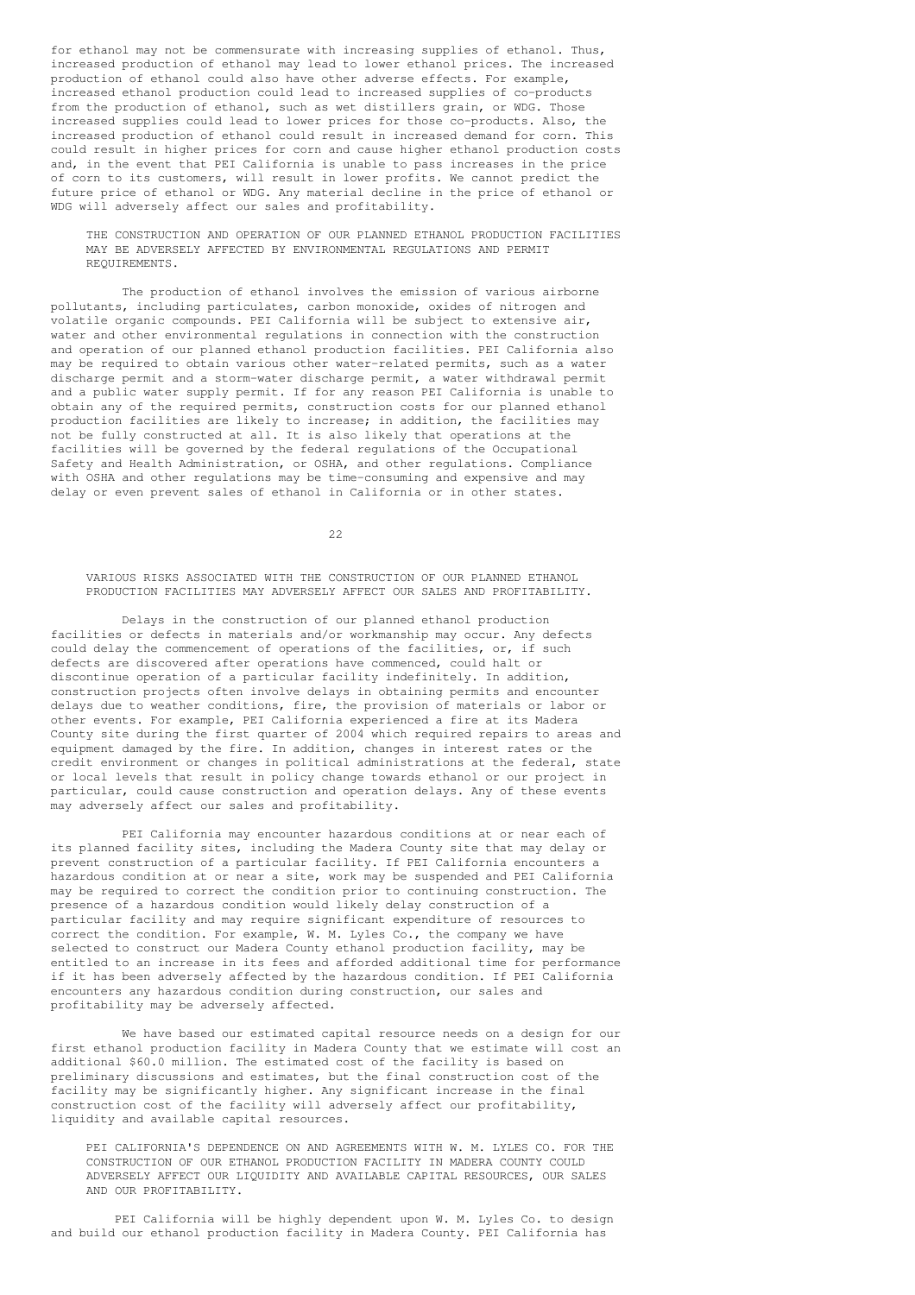for ethanol may not be commensurate with increasing supplies of ethanol. Thus, increased production of ethanol may lead to lower ethanol prices. The increased production of ethanol could also have other adverse effects. For example, increased ethanol production could lead to increased supplies of co-products from the production of ethanol, such as wet distillers grain, or WDG. Those increased supplies could lead to lower prices for those co-products. Also, the increased production of ethanol could result in increased demand for corn. This could result in higher prices for corn and cause higher ethanol production costs and, in the event that PEI California is unable to pass increases in the price of corn to its customers, will result in lower profits. We cannot predict the future price of ethanol or WDG. Any material decline in the price of ethanol or WDG will adversely affect our sales and profitability.

THE CONSTRUCTION AND OPERATION OF OUR PLANNED ETHANOL PRODUCTION FACILITIES MAY BE ADVERSELY AFFECTED BY ENVIRONMENTAL REGULATIONS AND PERMIT REQUIREMENTS.

The production of ethanol involves the emission of various airborne pollutants, including particulates, carbon monoxide, oxides of nitrogen and volatile organic compounds. PEI California will be subject to extensive air, water and other environmental regulations in connection with the construction and operation of our planned ethanol production facilities. PEI California also may be required to obtain various other water-related permits, such as a water discharge permit and a storm-water discharge permit, a water withdrawal permit and a public water supply permit. If for any reason PEI California is unable to obtain any of the required permits, construction costs for our planned ethanol production facilities are likely to increase; in addition, the facilities may not be fully constructed at all. It is also likely that operations at the facilities will be governed by the federal regulations of the Occupational Safety and Health Administration, or OSHA, and other regulations. Compliance with OSHA and other regulations may be time-consuming and expensive and may delay or even prevent sales of ethanol in California or in other states.

22

VARIOUS RISKS ASSOCIATED WITH THE CONSTRUCTION OF OUR PLANNED ETHANOL PRODUCTION FACILITIES MAY ADVERSELY AFFECT OUR SALES AND PROFITABILITY.

Delays in the construction of our planned ethanol production facilities or defects in materials and/or workmanship may occur. Any defects could delay the commencement of operations of the facilities, or, if such defects are discovered after operations have commenced, could halt or discontinue operation of a particular facility indefinitely. In addition, construction projects often involve delays in obtaining permits and encounter delays due to weather conditions, fire, the provision of materials or labor or other events. For example, PEI California experienced a fire at its Madera County site during the first quarter of 2004 which required repairs to areas and equipment damaged by the fire. In addition, changes in interest rates or the credit environment or changes in political administrations at the federal, state or local levels that result in policy change towards ethanol or our project in particular, could cause construction and operation delays. Any of these events may adversely affect our sales and profitability.

PEI California may encounter hazardous conditions at or near each of its planned facility sites, including the Madera County site that may delay or prevent construction of a particular facility. If PEI California encounters a hazardous condition at or near a site, work may be suspended and PEI California may be required to correct the condition prior to continuing construction. The presence of a hazardous condition would likely delay construction of a particular facility and may require significant expenditure of resources to correct the condition. For example, W. M. Lyles Co., the company we have selected to construct our Madera County ethanol production facility, may be entitled to an increase in its fees and afforded additional time for performance if it has been adversely affected by the hazardous condition. If PEI California encounters any hazardous condition during construction, our sales and profitability may be adversely affected.

We have based our estimated capital resource needs on a design for our first ethanol production facility in Madera County that we estimate will cost an additional \$60.0 million. The estimated cost of the facility is based on preliminary discussions and estimates, but the final construction cost of the facility may be significantly higher. Any significant increase in the final construction cost of the facility will adversely affect our profitability, liquidity and available capital resources.

PEI CALIFORNIA'S DEPENDENCE ON AND AGREEMENTS WITH W. M. LYLES CO. FOR THE CONSTRUCTION OF OUR ETHANOL PRODUCTION FACILITY IN MADERA COUNTY COULD ADVERSELY AFFECT OUR LIQUIDITY AND AVAILABLE CAPITAL RESOURCES, OUR SALES AND OUR PROFITABILITY.

PEI California will be highly dependent upon W. M. Lyles Co. to design and build our ethanol production facility in Madera County. PEI California has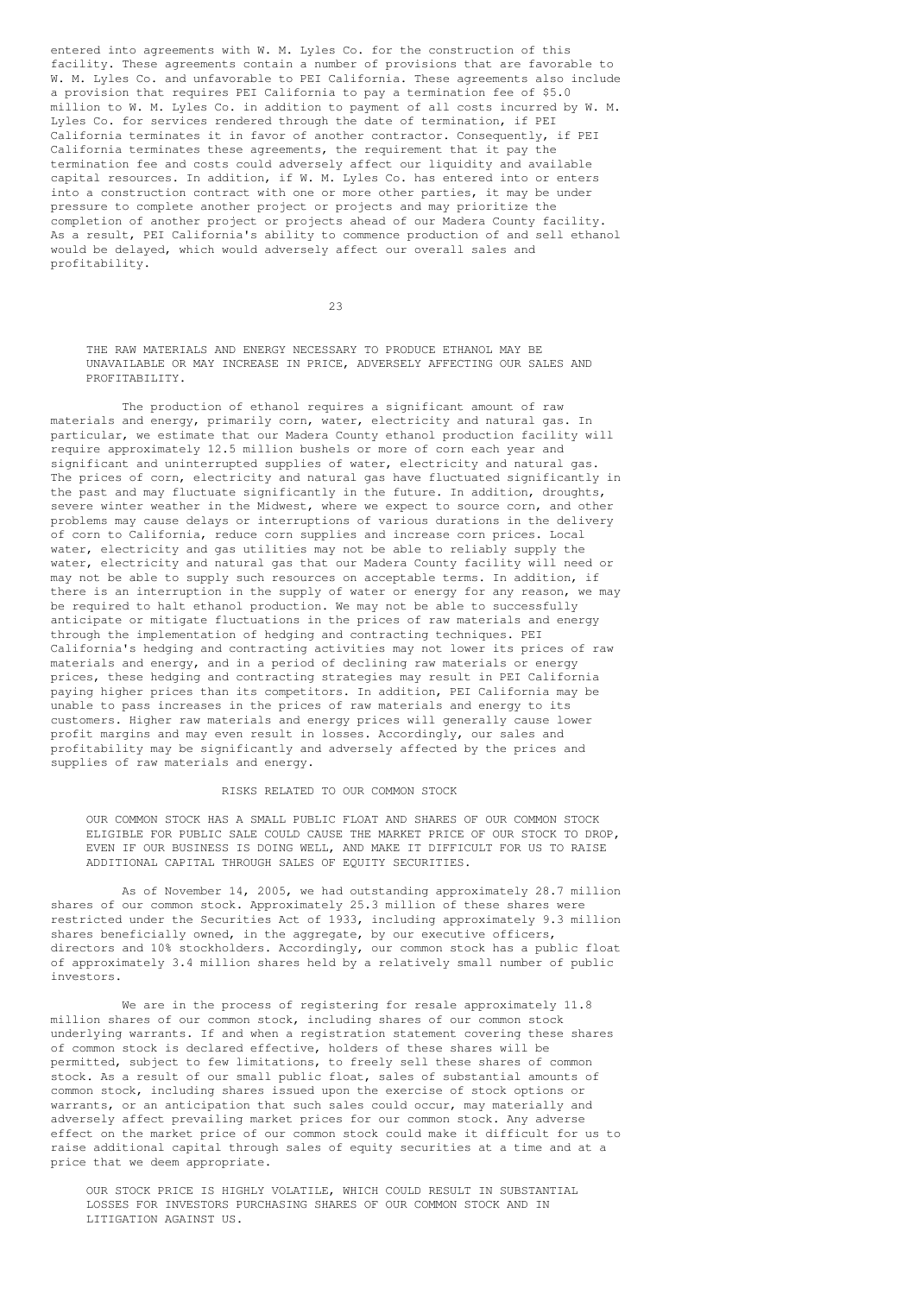entered into agreements with W. M. Lyles Co. for the construction of this facility. These agreements contain a number of provisions that are favorable to W. M. Lyles Co. and unfavorable to PEI California. These agreements also include a provision that requires PEI California to pay a termination fee of \$5.0 million to W. M. Lyles Co. in addition to payment of all costs incurred by W. M. Lyles Co. for services rendered through the date of termination, if PEI California terminates it in favor of another contractor. Consequently, if PEI California terminates these agreements, the requirement that it pay the termination fee and costs could adversely affect our liquidity and available capital resources. In addition, if W. M. Lyles Co. has entered into or enters into a construction contract with one or more other parties, it may be under pressure to complete another project or projects and may prioritize the completion of another project or projects ahead of our Madera County facility. As a result, PEI California's ability to commence production of and sell ethanol would be delayed, which would adversely affect our overall sales and profitability.

 $23$ 

THE RAW MATERIALS AND ENERGY NECESSARY TO PRODUCE ETHANOL MAY BE UNAVAILABLE OR MAY INCREASE IN PRICE, ADVERSELY AFFECTING OUR SALES AND PROFITABILITY.

The production of ethanol requires a significant amount of raw materials and energy, primarily corn, water, electricity and natural gas. In particular, we estimate that our Madera County ethanol production facility will require approximately 12.5 million bushels or more of corn each year and significant and uninterrupted supplies of water, electricity and natural gas. The prices of corn, electricity and natural gas have fluctuated significantly in the past and may fluctuate significantly in the future. In addition, droughts, severe winter weather in the Midwest, where we expect to source corn, and other problems may cause delays or interruptions of various durations in the delivery of corn to California, reduce corn supplies and increase corn prices. Local water, electricity and gas utilities may not be able to reliably supply the water, electricity and natural gas that our Madera County facility will need or may not be able to supply such resources on acceptable terms. In addition, if there is an interruption in the supply of water or energy for any reason, we may be required to halt ethanol production. We may not be able to successfully anticipate or mitigate fluctuations in the prices of raw materials and energy through the implementation of hedging and contracting techniques. PEI California's hedging and contracting activities may not lower its prices of raw materials and energy, and in a period of declining raw materials or energy prices, these hedging and contracting strategies may result in PEI California paying higher prices than its competitors. In addition, PEI California may be unable to pass increases in the prices of raw materials and energy to its customers. Higher raw materials and energy prices will generally cause lower profit margins and may even result in losses. Accordingly, our sales and profitability may be significantly and adversely affected by the prices and supplies of raw materials and energy.

## RISKS RELATED TO OUR COMMON STOCK

OUR COMMON STOCK HAS A SMALL PUBLIC FLOAT AND SHARES OF OUR COMMON STOCK ELIGIBLE FOR PUBLIC SALE COULD CAUSE THE MARKET PRICE OF OUR STOCK TO DROP, EVEN IF OUR BUSINESS IS DOING WELL, AND MAKE IT DIFFICULT FOR US TO RAISE ADDITIONAL CAPITAL THROUGH SALES OF EQUITY SECURITIES.

As of November 14, 2005, we had outstanding approximately 28.7 million shares of our common stock. Approximately 25.3 million of these shares were restricted under the Securities Act of 1933, including approximately 9.3 million shares beneficially owned, in the aggregate, by our executive officers, directors and 10% stockholders. Accordingly, our common stock has a public float of approximately 3.4 million shares held by a relatively small number of public investors.

We are in the process of registering for resale approximately 11.8 million shares of our common stock, including shares of our common stock underlying warrants. If and when a registration statement covering these shares of common stock is declared effective, holders of these shares will be permitted, subject to few limitations, to freely sell these shares of common stock. As a result of our small public float, sales of substantial amounts of common stock, including shares issued upon the exercise of stock options or warrants, or an anticipation that such sales could occur, may materially and adversely affect prevailing market prices for our common stock. Any adverse effect on the market price of our common stock could make it difficult for us to raise additional capital through sales of equity securities at a time and at a price that we deem appropriate.

OUR STOCK PRICE IS HIGHLY VOLATILE, WHICH COULD RESULT IN SUBSTANTIAL LOSSES FOR INVESTORS PURCHASING SHARES OF OUR COMMON STOCK AND IN LITIGATION AGAINST US.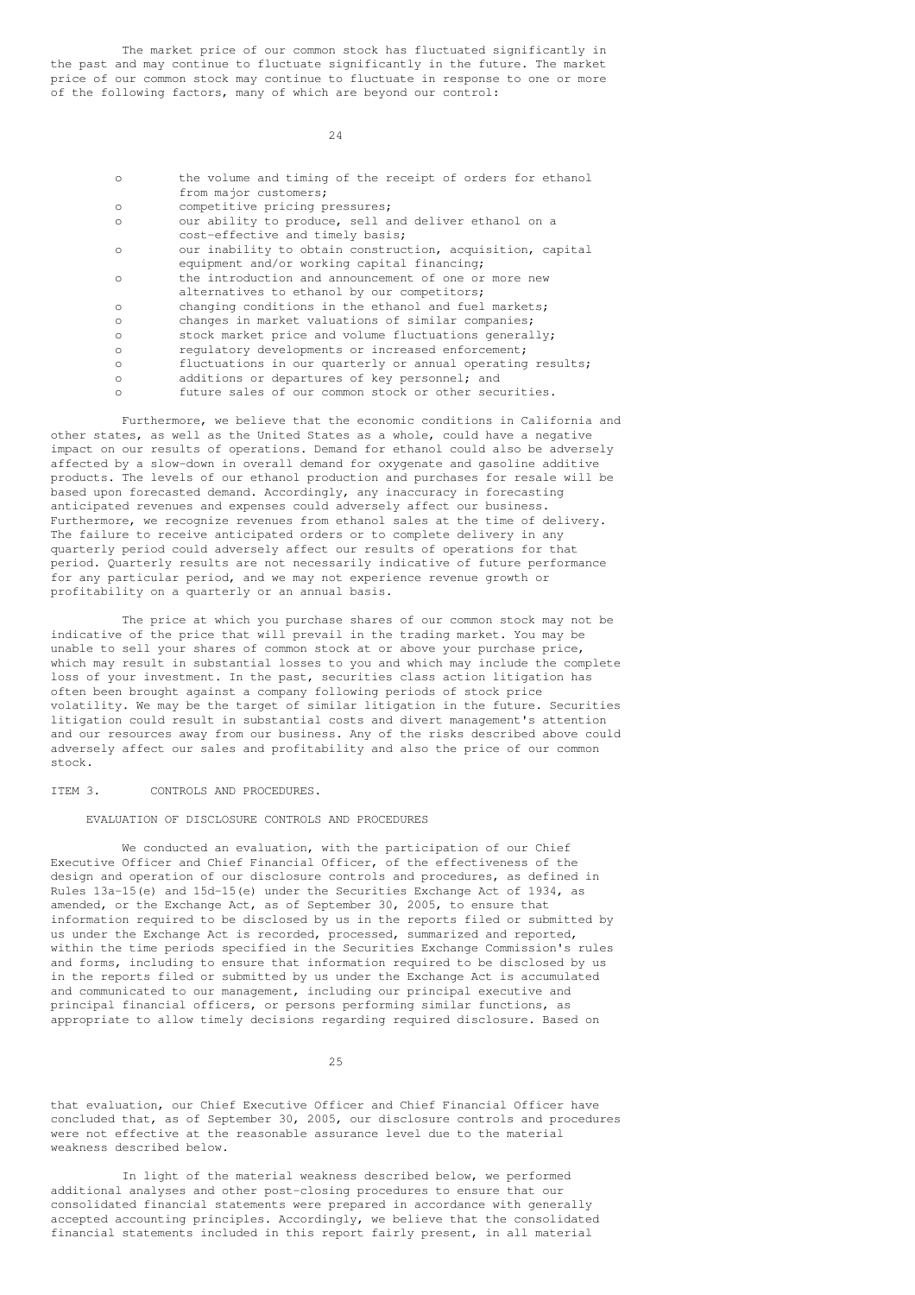The market price of our common stock has fluctuated significantly in the past and may continue to fluctuate significantly in the future. The market price of our common stock may continue to fluctuate in response to one or more of the following factors, many of which are beyond our control:

 $24$ 

| $\circ$ | the volume and timing of the receipt of orders for ethanol |
|---------|------------------------------------------------------------|
|         | from major customers;                                      |
| $\circ$ | competitive pricing pressures;                             |
| $\circ$ | our ability to produce, sell and deliver ethanol on a      |
|         | cost-effective and timely basis;                           |
| $\circ$ | our inability to obtain construction, acquisition, capital |
|         | equipment and/or working capital financing;                |
| $\circ$ | the introduction and announcement of one or more new       |
|         | alternatives to ethanol by our competitors;                |
| $\circ$ | changing conditions in the ethanol and fuel markets;       |
| $\circ$ | changes in market valuations of similar companies;         |
| $\circ$ | stock market price and volume fluctuations generally;      |
| $\circ$ | requiatory developments or increased enforcement;          |
| $\circ$ | fluctuations in our quarterly or annual operating results; |
| $\circ$ | additions or departures of key personnel; and              |
| $\circ$ | future sales of our common stock or other securities.      |

Furthermore, we believe that the economic conditions in California and other states, as well as the United States as a whole, could have a negative impact on our results of operations. Demand for ethanol could also be adversely affected by a slow-down in overall demand for oxygenate and gasoline additive products. The levels of our ethanol production and purchases for resale will be based upon forecasted demand. Accordingly, any inaccuracy in forecasting anticipated revenues and expenses could adversely affect our business. Furthermore, we recognize revenues from ethanol sales at the time of delivery. The failure to receive anticipated orders or to complete delivery in any quarterly period could adversely affect our results of operations for that period. Quarterly results are not necessarily indicative of future performance for any particular period, and we may not experience revenue growth or profitability on a quarterly or an annual basis.

The price at which you purchase shares of our common stock may not be indicative of the price that will prevail in the trading market. You may be unable to sell your shares of common stock at or above your purchase price, which may result in substantial losses to you and which may include the complete loss of your investment. In the past, securities class action litigation has often been brought against a company following periods of stock price volatility. We may be the target of similar litigation in the future. Securities litigation could result in substantial costs and divert management's attention and our resources away from our business. Any of the risks described above could adversely affect our sales and profitability and also the price of our common stock.

ITEM 3. CONTROLS AND PROCEDURES.

EVALUATION OF DISCLOSURE CONTROLS AND PROCEDURES

We conducted an evaluation, with the participation of our Chief Executive Officer and Chief Financial Officer, of the effectiveness of the design and operation of our disclosure controls and procedures, as defined in Rules 13a-15(e) and 15d-15(e) under the Securities Exchange Act of 1934, as amended, or the Exchange Act, as of September 30, 2005, to ensure that information required to be disclosed by us in the reports filed or submitted by us under the Exchange Act is recorded, processed, summarized and reported, within the time periods specified in the Securities Exchange Commission's rules and forms, including to ensure that information required to be disclosed by us in the reports filed or submitted by us under the Exchange Act is accumulated and communicated to our management, including our principal executive and principal financial officers, or persons performing similar functions, as appropriate to allow timely decisions regarding required disclosure. Based on

 $25$ 

that evaluation, our Chief Executive Officer and Chief Financial Officer have concluded that, as of September 30, 2005, our disclosure controls and procedures were not effective at the reasonable assurance level due to the material weakness described below.

In light of the material weakness described below, we performed additional analyses and other post-closing procedures to ensure that our consolidated financial statements were prepared in accordance with generally accepted accounting principles. Accordingly, we believe that the consolidated financial statements included in this report fairly present, in all material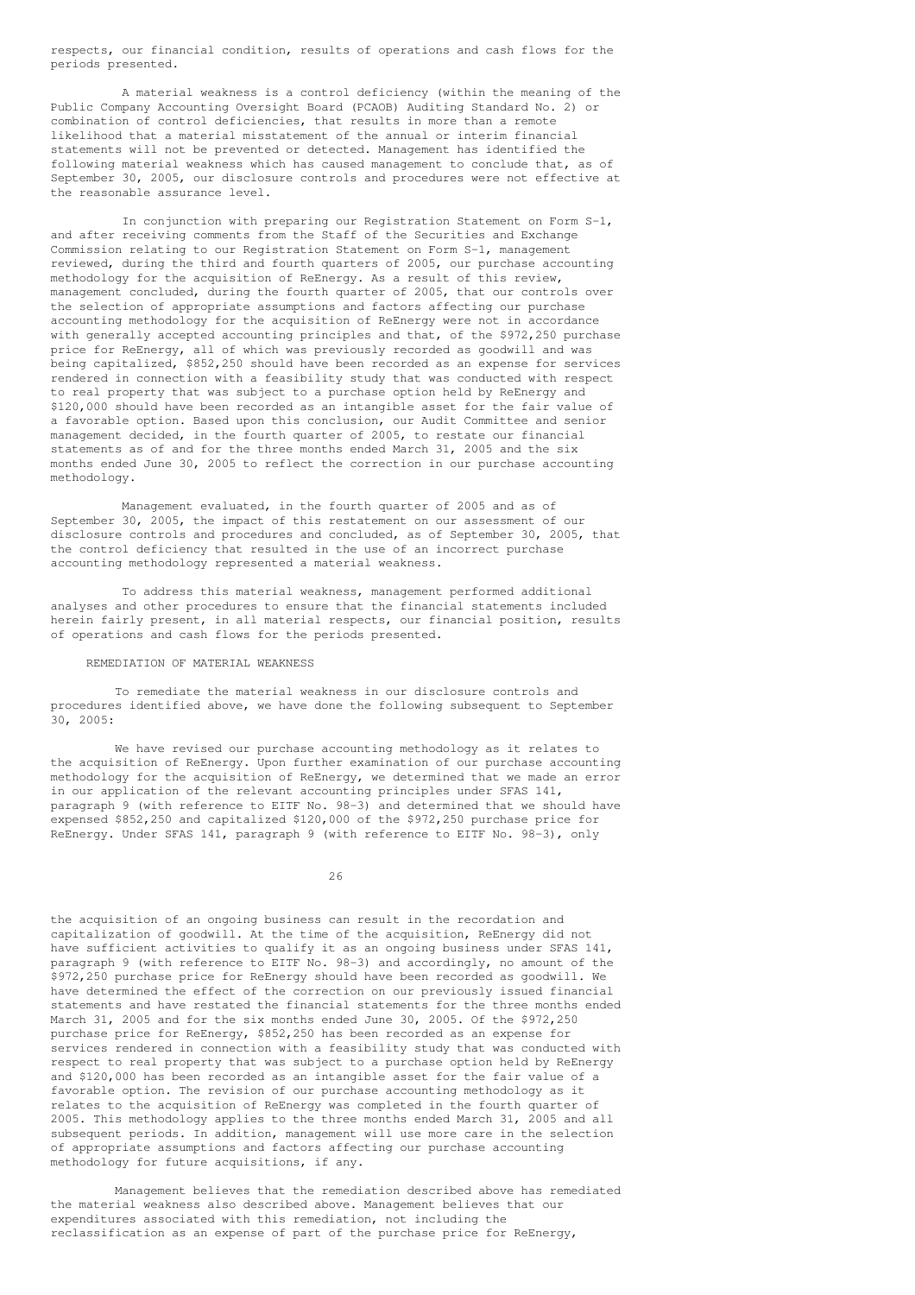respects, our financial condition, results of operations and cash flows for the periods presented.

A material weakness is a control deficiency (within the meaning of the Public Company Accounting Oversight Board (PCAOB) Auditing Standard No. 2) or combination of control deficiencies, that results in more than a remote likelihood that a material misstatement of the annual or interim financial statements will not be prevented or detected. Management has identified the following material weakness which has caused management to conclude that, as of September 30, 2005, our disclosure controls and procedures were not effective at the reasonable assurance level.

In conjunction with preparing our Registration Statement on Form S-1, and after receiving comments from the Staff of the Securities and Exchange Commission relating to our Registration Statement on Form S-1, management reviewed, during the third and fourth quarters of 2005, our purchase accounting methodology for the acquisition of ReEnergy. As a result of this review, management concluded, during the fourth quarter of 2005, that our controls over the selection of appropriate assumptions and factors affecting our purchase accounting methodology for the acquisition of ReEnergy were not in accordance with generally accepted accounting principles and that, of the \$972,250 purchase price for ReEnergy, all of which was previously recorded as goodwill and was being capitalized, \$852,250 should have been recorded as an expense for services rendered in connection with a feasibility study that was conducted with respect to real property that was subject to a purchase option held by ReEnergy and \$120,000 should have been recorded as an intangible asset for the fair value of a favorable option. Based upon this conclusion, our Audit Committee and senior management decided, in the fourth quarter of 2005, to restate our financial statements as of and for the three months ended March 31, 2005 and the six months ended June 30, 2005 to reflect the correction in our purchase accounting methodology.

Management evaluated, in the fourth quarter of 2005 and as of September 30, 2005, the impact of this restatement on our assessment of our disclosure controls and procedures and concluded, as of September 30, 2005, that the control deficiency that resulted in the use of an incorrect purchase accounting methodology represented a material weakness.

To address this material weakness, management performed additional analyses and other procedures to ensure that the financial statements included herein fairly present, in all material respects, our financial position, results of operations and cash flows for the periods presented.

## REMEDIATION OF MATERIAL WEAKNESS

To remediate the material weakness in our disclosure controls and procedures identified above, we have done the following subsequent to September 30, 2005:

We have revised our purchase accounting methodology as it relates to the acquisition of ReEnergy. Upon further examination of our purchase accounting methodology for the acquisition of ReEnergy, we determined that we made an error in our application of the relevant accounting principles under SFAS 141, paragraph 9 (with reference to EITF No. 98-3) and determined that we should have expensed \$852,250 and capitalized \$120,000 of the \$972,250 purchase price for ReEnergy. Under SFAS 141, paragraph 9 (with reference to EITF No. 98-3), only

26

the acquisition of an ongoing business can result in the recordation and capitalization of goodwill. At the time of the acquisition, ReEnergy did not have sufficient activities to qualify it as an ongoing business under SFAS 141, paragraph 9 (with reference to EITF No. 98-3) and accordingly, no amount of the \$972,250 purchase price for ReEnergy should have been recorded as goodwill. We have determined the effect of the correction on our previously issued financial statements and have restated the financial statements for the three months ended March 31, 2005 and for the six months ended June 30, 2005. Of the \$972,250 purchase price for ReEnergy, \$852,250 has been recorded as an expense for services rendered in connection with a feasibility study that was conducted with respect to real property that was subject to a purchase option held by ReEnergy and \$120,000 has been recorded as an intangible asset for the fair value of a favorable option. The revision of our purchase accounting methodology as it relates to the acquisition of ReEnergy was completed in the fourth quarter of 2005. This methodology applies to the three months ended March 31, 2005 and all subsequent periods. In addition, management will use more care in the selection of appropriate assumptions and factors affecting our purchase accounting methodology for future acquisitions, if any.

Management believes that the remediation described above has remediated the material weakness also described above. Management believes that our expenditures associated with this remediation, not including the reclassification as an expense of part of the purchase price for ReEnergy,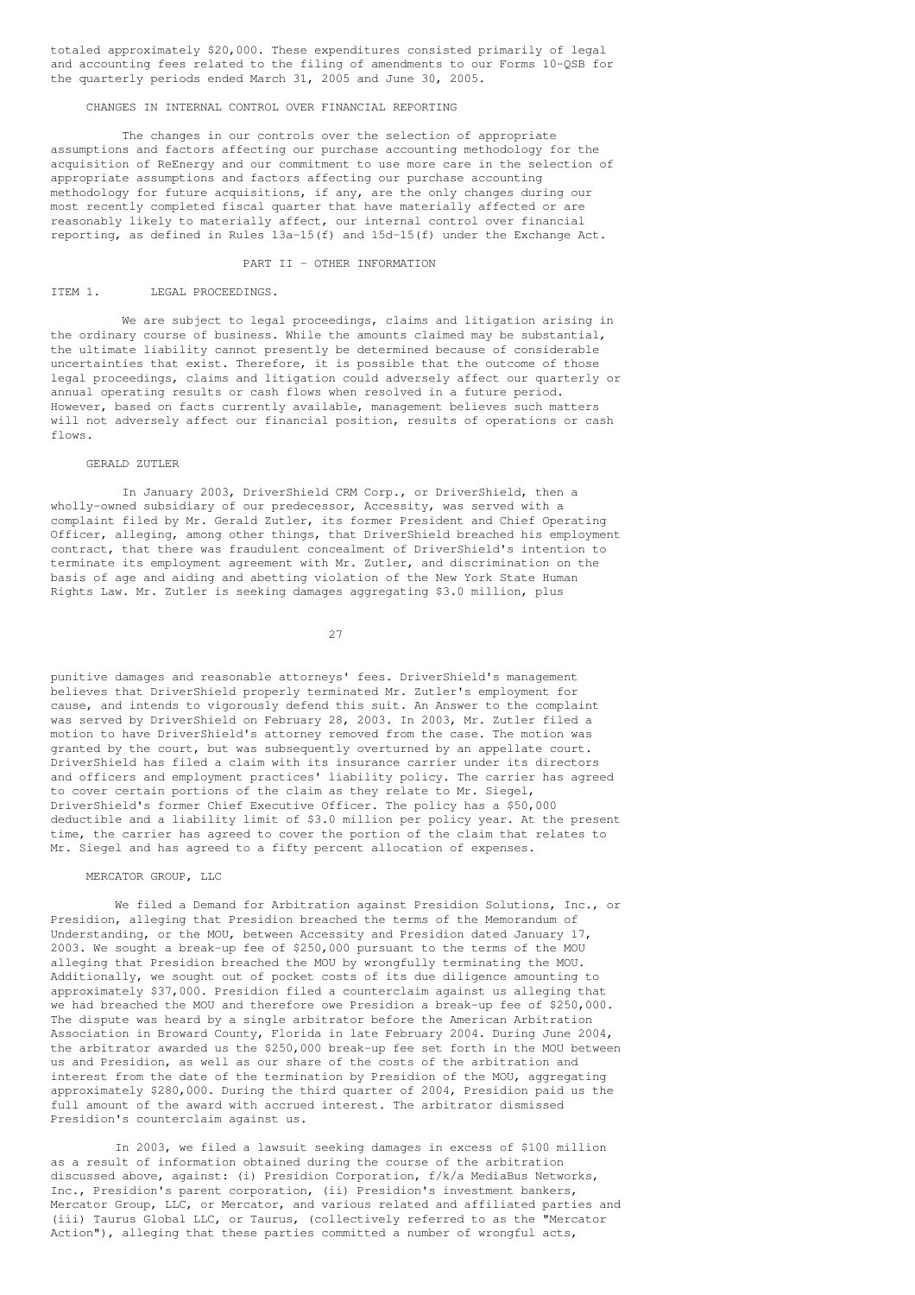totaled approximately \$20,000. These expenditures consisted primarily of legal and accounting fees related to the filing of amendments to our Forms 10-QSB for the quarterly periods ended March 31, 2005 and June 30, 2005.

# CHANGES IN INTERNAL CONTROL OVER FINANCIAL REPORTING

The changes in our controls over the selection of appropriate assumptions and factors affecting our purchase accounting methodology for the acquisition of ReEnergy and our commitment to use more care in the selection of appropriate assumptions and factors affecting our purchase accounting methodology for future acquisitions, if any, are the only changes during our most recently completed fiscal quarter that have materially affected or are reasonably likely to materially affect, our internal control over financial reporting, as defined in Rules  $13a-15(f)$  and  $15d-15(f)$  under the Exchange Act.

## PART II - OTHER INFORMATION

#### ITEM 1. LEGAL PROCEEDINGS.

We are subject to legal proceedings, claims and litigation arising in the ordinary course of business. While the amounts claimed may be substantial, the ultimate liability cannot presently be determined because of considerable uncertainties that exist. Therefore, it is possible that the outcome of those legal proceedings, claims and litigation could adversely affect our quarterly or annual operating results or cash flows when resolved in a future period. However, based on facts currently available, management believes such matters will not adversely affect our financial position, results of operations or cash flows.

## GERALD ZUTLER

In January 2003, DriverShield CRM Corp., or DriverShield, then a wholly-owned subsidiary of our predecessor, Accessity, was served with a complaint filed by Mr. Gerald Zutler, its former President and Chief Operating Officer, alleging, among other things, that DriverShield breached his employment contract, that there was fraudulent concealment of DriverShield's intention to terminate its employment agreement with Mr. Zutler, and discrimination on the basis of age and aiding and abetting violation of the New York State Human Rights Law. Mr. Zutler is seeking damages aggregating \$3.0 million, plus

27

punitive damages and reasonable attorneys' fees. DriverShield's management believes that DriverShield properly terminated Mr. Zutler's employment for cause, and intends to vigorously defend this suit. An Answer to the complaint was served by DriverShield on February 28, 2003. In 2003, Mr. Zutler filed a motion to have DriverShield's attorney removed from the case. The motion was granted by the court, but was subsequently overturned by an appellate court. DriverShield has filed a claim with its insurance carrier under its directors and officers and employment practices' liability policy. The carrier has agreed to cover certain portions of the claim as they relate to Mr. Siegel, DriverShield's former Chief Executive Officer. The policy has a \$50,000 deductible and a liability limit of \$3.0 million per policy year. At the present time, the carrier has agreed to cover the portion of the claim that relates to Mr. Siegel and has agreed to a fifty percent allocation of expenses.

## MERCATOR GROUP, LLC

We filed a Demand for Arbitration against Presidion Solutions, Inc., or Presidion, alleging that Presidion breached the terms of the Memorandum of Understanding, or the MOU, between Accessity and Presidion dated January 17, 2003. We sought a break-up fee of \$250,000 pursuant to the terms of the MOU alleging that Presidion breached the MOU by wrongfully terminating the MOU. Additionally, we sought out of pocket costs of its due diligence amounting to approximately \$37,000. Presidion filed a counterclaim against us alleging that we had breached the MOU and therefore owe Presidion a break-up fee of \$250,000. The dispute was heard by a single arbitrator before the American Arbitration Association in Broward County, Florida in late February 2004. During June 2004, the arbitrator awarded us the \$250,000 break-up fee set forth in the MOU between us and Presidion, as well as our share of the costs of the arbitration and interest from the date of the termination by Presidion of the MOU, aggregating approximately \$280,000. During the third quarter of 2004, Presidion paid us the full amount of the award with accrued interest. The arbitrator dismissed Presidion's counterclaim against us.

In 2003, we filed a lawsuit seeking damages in excess of \$100 million as a result of information obtained during the course of the arbitration discussed above, against: (i) Presidion Corporation, f/k/a MediaBus Networks, Inc., Presidion's parent corporation, (ii) Presidion's investment bankers, Mercator Group, LLC, or Mercator, and various related and affiliated parties and (iii) Taurus Global LLC, or Taurus, (collectively referred to as the "Mercator Action"), alleging that these parties committed a number of wrongful acts,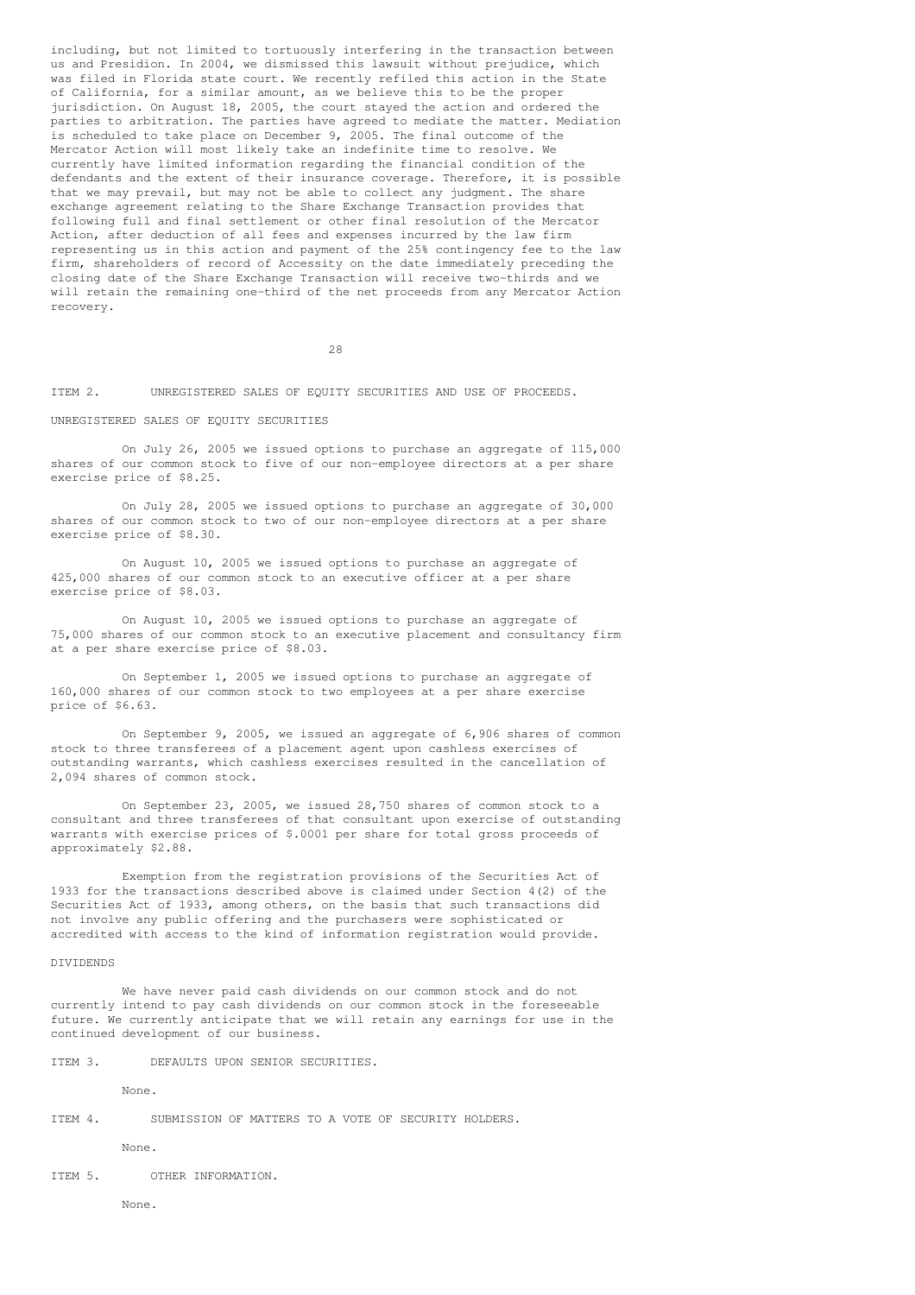including, but not limited to tortuously interfering in the transaction between us and Presidion. In 2004, we dismissed this lawsuit without prejudice, which was filed in Florida state court. We recently refiled this action in the State of California, for a similar amount, as we believe this to be the proper jurisdiction. On August 18, 2005, the court stayed the action and ordered the parties to arbitration. The parties have agreed to mediate the matter. Mediation is scheduled to take place on December 9, 2005. The final outcome of the Mercator Action will most likely take an indefinite time to resolve. We currently have limited information regarding the financial condition of the defendants and the extent of their insurance coverage. Therefore, it is possible that we may prevail, but may not be able to collect any judgment. The share exchange agreement relating to the Share Exchange Transaction provides that following full and final settlement or other final resolution of the Mercator Action, after deduction of all fees and expenses incurred by the law firm representing us in this action and payment of the 25% contingency fee to the law firm, shareholders of record of Accessity on the date immediately preceding the closing date of the Share Exchange Transaction will receive two-thirds and we will retain the remaining one-third of the net proceeds from any Mercator Action recovery.

28

ITEM 2. UNREGISTERED SALES OF EQUITY SECURITIES AND USE OF PROCEEDS.

#### UNREGISTERED SALES OF EQUITY SECURITIES

On July 26, 2005 we issued options to purchase an aggregate of 115,000 shares of our common stock to five of our non-employee directors at a per share exercise price of \$8.25.

On July 28, 2005 we issued options to purchase an aggregate of 30,000 shares of our common stock to two of our non-employee directors at a per share exercise price of \$8.30.

On August 10, 2005 we issued options to purchase an aggregate of 425,000 shares of our common stock to an executive officer at a per share exercise price of \$8.03.

On August 10, 2005 we issued options to purchase an aggregate of 75,000 shares of our common stock to an executive placement and consultancy firm at a per share exercise price of \$8.03.

On September 1, 2005 we issued options to purchase an aggregate of 160,000 shares of our common stock to two employees at a per share exercise price of \$6.63.

On September 9, 2005, we issued an aggregate of 6,906 shares of common stock to three transferees of a placement agent upon cashless exercises of outstanding warrants, which cashless exercises resulted in the cancellation of 2,094 shares of common stock.

On September 23, 2005, we issued 28,750 shares of common stock to a consultant and three transferees of that consultant upon exercise of outstanding warrants with exercise prices of \$.0001 per share for total gross proceeds of approximately \$2.88.

Exemption from the registration provisions of the Securities Act of 1933 for the transactions described above is claimed under Section 4(2) of the Securities Act of 1933, among others, on the basis that such transactions did not involve any public offering and the purchasers were sophisticated or accredited with access to the kind of information registration would provide.

#### DIVIDENDS

We have never paid cash dividends on our common stock and do not currently intend to pay cash dividends on our common stock in the foreseeable future. We currently anticipate that we will retain any earnings for use in the continued development of our business.

ITEM 3. DEFAULTS UPON SENIOR SECURITIES.

None.

## ITEM 4. SUBMISSION OF MATTERS TO A VOTE OF SECURITY HOLDERS.

None.

ITEM 5. OTHER INFORMATION.

None.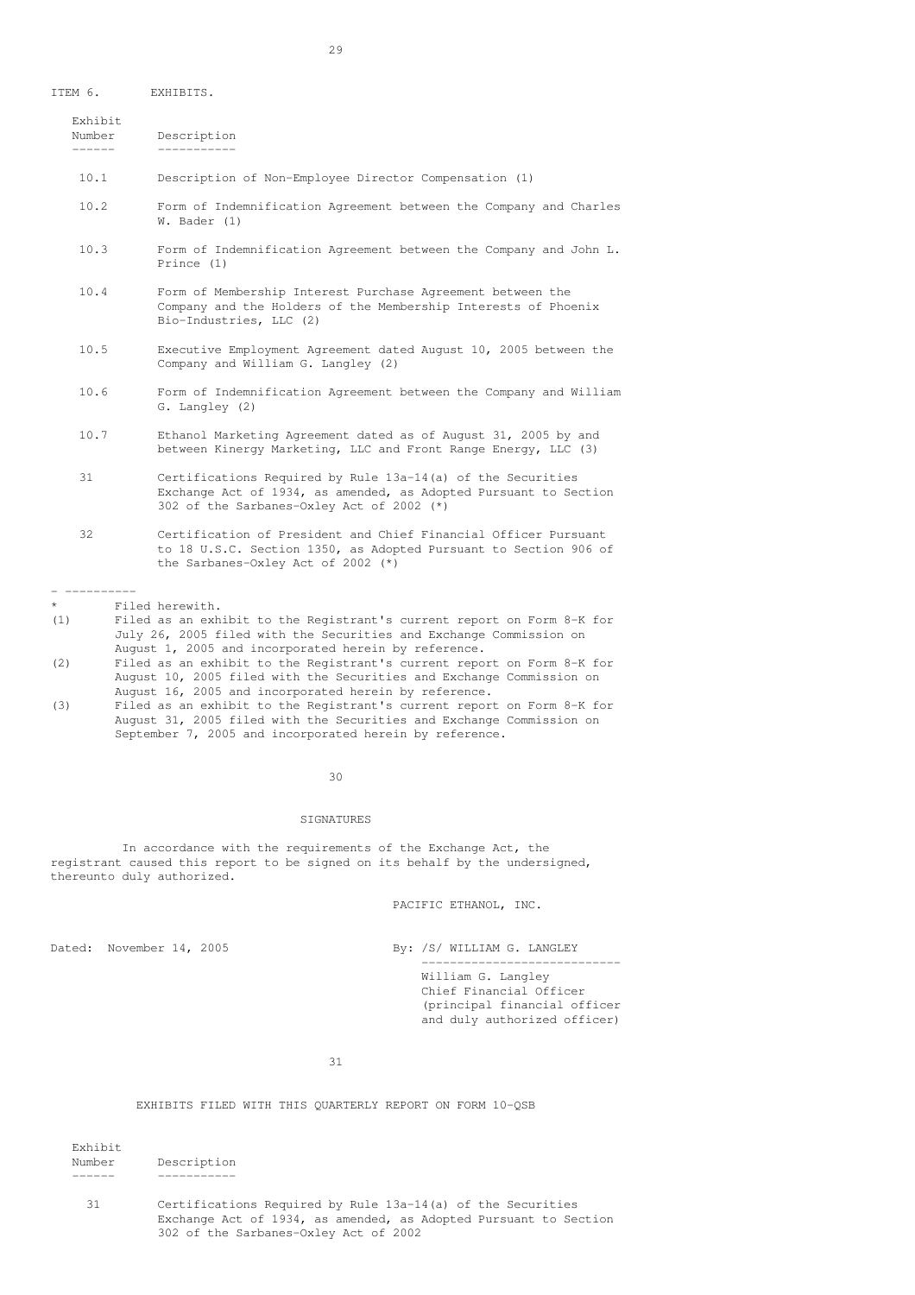ITEM 6. EXHIBITS.

| Exhibit<br>Number<br>------ | Description                                                                                                                                                                    |
|-----------------------------|--------------------------------------------------------------------------------------------------------------------------------------------------------------------------------|
| 10.1                        | Description of Non-Employee Director Compensation (1)                                                                                                                          |
| 10.2                        | Form of Indemnification Agreement between the Company and Charles<br>$W.$ Bader $(1)$                                                                                          |
| 10.3                        | Form of Indemnification Agreement between the Company and John L.<br>Prince (1)                                                                                                |
| 10.4                        | Form of Membership Interest Purchase Agreement between the<br>Company and the Holders of the Membership Interests of Phoenix<br>Bio-Industries, LLC (2)                        |
| 10.5                        | Executive Employment Agreement dated August 10, 2005 between the<br>Company and William G. Langley (2)                                                                         |
| 10.6                        | Form of Indemnification Agreement between the Company and William<br>G. Langley (2)                                                                                            |
| 10.7                        | Ethanol Marketing Agreement dated as of August 31, 2005 by and<br>between Kinergy Marketing, LLC and Front Range Energy, LLC (3)                                               |
| 31                          | Certifications Required by Rule $13a-14(a)$ of the Securities<br>Exchange Act of 1934, as amended, as Adopted Pursuant to Section<br>302 of the Sarbanes-Oxley Act of 2002 (*) |
| 32                          | Certification of President and Chief Financial Officer Pursuant<br>to 18 U.S.C. Section 1350, as Adopted Pursuant to Section 906 of<br>the Sarbanes-Oxley Act of 2002 $(*)$    |

## (1) Filed as an exhibit to the Registrant's current report on Form 8-K for July 26, 2005 filed with the Securities and Exchange Commission on August 1, 2005 and incorporated herein by reference.

(2) Filed as an exhibit to the Registrant's current report on Form 8-K for August 10, 2005 filed with the Securities and Exchange Commission on August 16, 2005 and incorporated herein by reference.

(3) Filed as an exhibit to the Registrant's current report on Form 8-K for August 31, 2005 filed with the Securities and Exchange Commission on September 7, 2005 and incorporated herein by reference.

## 30

#### SIGNATURES

In accordance with the requirements of the Exchange Act, the registrant caused this report to be signed on its behalf by the undersigned, thereunto duly authorized.

PACIFIC ETHANOL, INC.

Dated: November 14, 2005 By: /S/ WILLIAM G. LANGLEY

---------------------------- William G. Langley Chief Financial Officer (principal financial officer and duly authorized officer)

31

# EXHIBITS FILED WITH THIS QUARTERLY REPORT ON FORM 10-QSB

Exhibit Description ------ -----------

31 Certifications Required by Rule 13a-14(a) of the Securities Exchange Act of 1934, as amended, as Adopted Pursuant to Section 302 of the Sarbanes-Oxley Act of 2002

29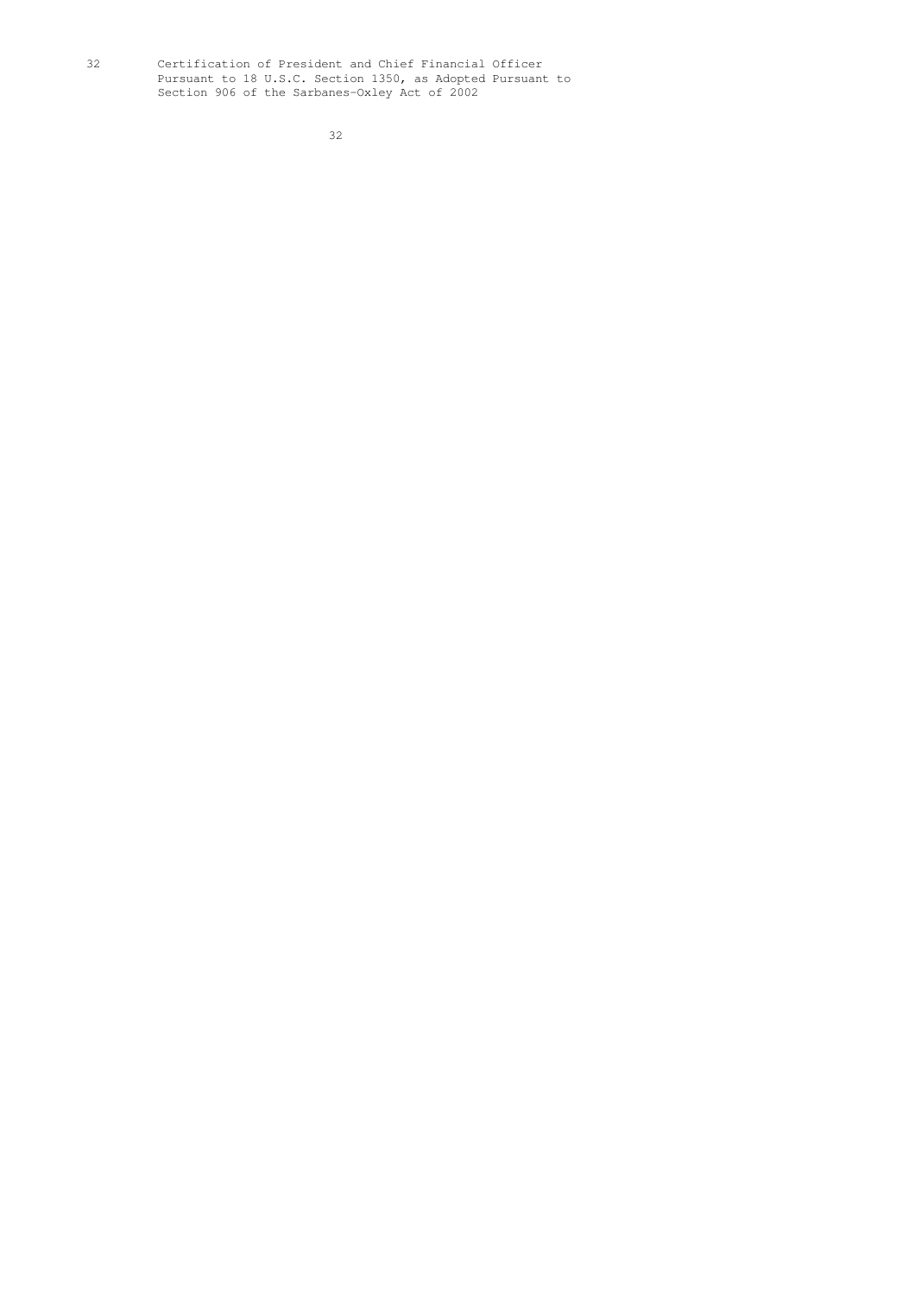32 Certification of President and Chief Financial Officer Pursuant to 18 U.S.C. Section 1350, as Adopted Pursuant to Section 906 of the Sarbanes-Oxley Act of 2002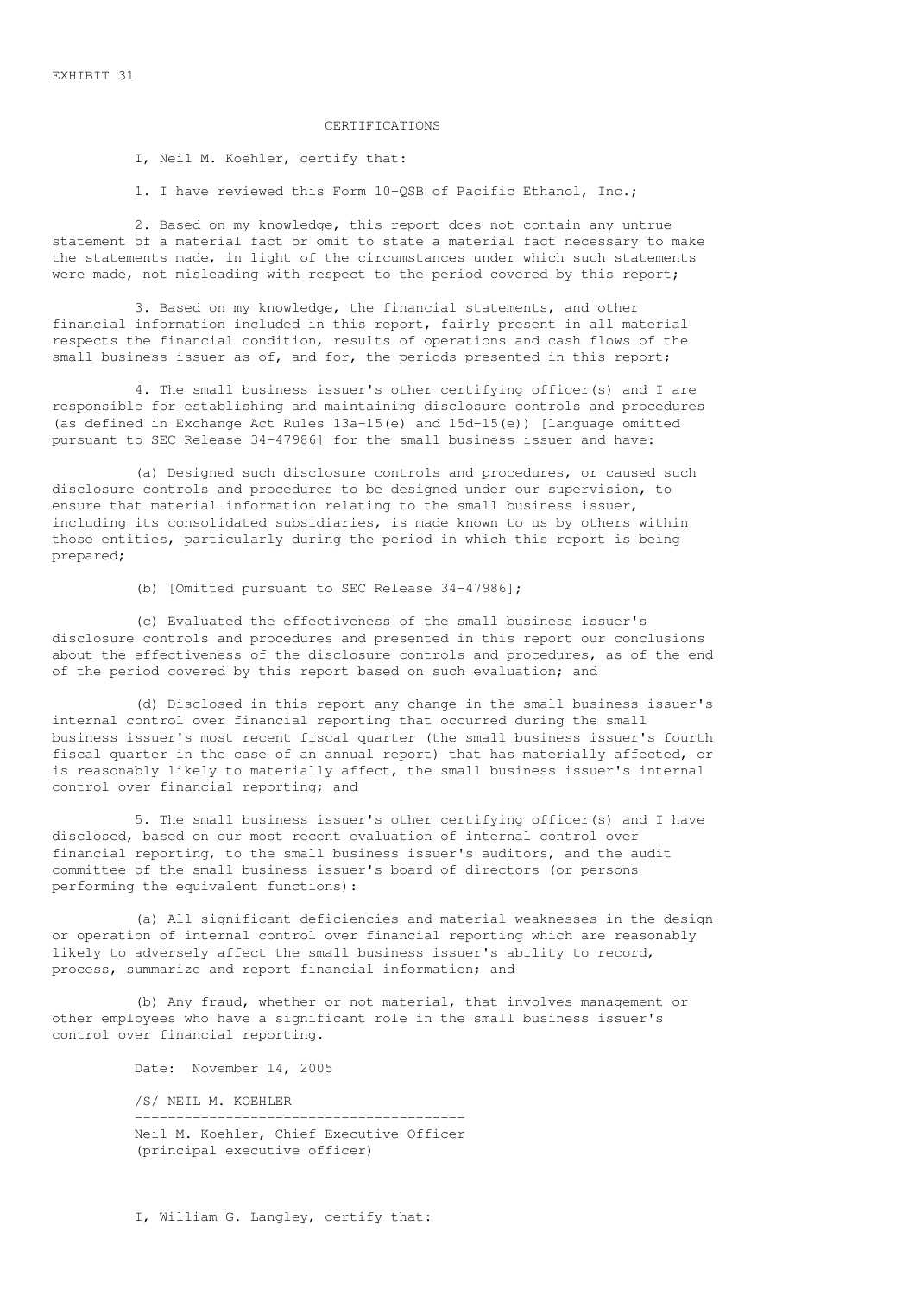## CERTIFICATIONS

I, Neil M. Koehler, certify that:

1. I have reviewed this Form 10-QSB of Pacific Ethanol, Inc.;

2. Based on my knowledge, this report does not contain any untrue statement of a material fact or omit to state a material fact necessary to make the statements made, in light of the circumstances under which such statements were made, not misleading with respect to the period covered by this report;

3. Based on my knowledge, the financial statements, and other financial information included in this report, fairly present in all material respects the financial condition, results of operations and cash flows of the small business issuer as of, and for, the periods presented in this report;

4. The small business issuer's other certifying officer(s) and I are responsible for establishing and maintaining disclosure controls and procedures (as defined in Exchange Act Rules 13a-15(e) and 15d-15(e)) [language omitted pursuant to SEC Release 34-47986] for the small business issuer and have:

(a) Designed such disclosure controls and procedures, or caused such disclosure controls and procedures to be designed under our supervision, to ensure that material information relating to the small business issuer, including its consolidated subsidiaries, is made known to us by others within those entities, particularly during the period in which this report is being prepared;

(b) [Omitted pursuant to SEC Release 34-47986];

(c) Evaluated the effectiveness of the small business issuer's disclosure controls and procedures and presented in this report our conclusions about the effectiveness of the disclosure controls and procedures, as of the end of the period covered by this report based on such evaluation; and

(d) Disclosed in this report any change in the small business issuer's internal control over financial reporting that occurred during the small business issuer's most recent fiscal quarter (the small business issuer's fourth fiscal quarter in the case of an annual report) that has materially affected, or is reasonably likely to materially affect, the small business issuer's internal control over financial reporting; and

5. The small business issuer's other certifying officer(s) and I have disclosed, based on our most recent evaluation of internal control over financial reporting, to the small business issuer's auditors, and the audit committee of the small business issuer's board of directors (or persons performing the equivalent functions):

(a) All significant deficiencies and material weaknesses in the design or operation of internal control over financial reporting which are reasonably likely to adversely affect the small business issuer's ability to record, process, summarize and report financial information; and

(b) Any fraud, whether or not material, that involves management or other employees who have a significant role in the small business issuer's control over financial reporting.

Date: November 14, 2005

/S/ NEIL M. KOEHLER

---------------------------------------- Neil M. Koehler, Chief Executive Officer (principal executive officer)

I, William G. Langley, certify that: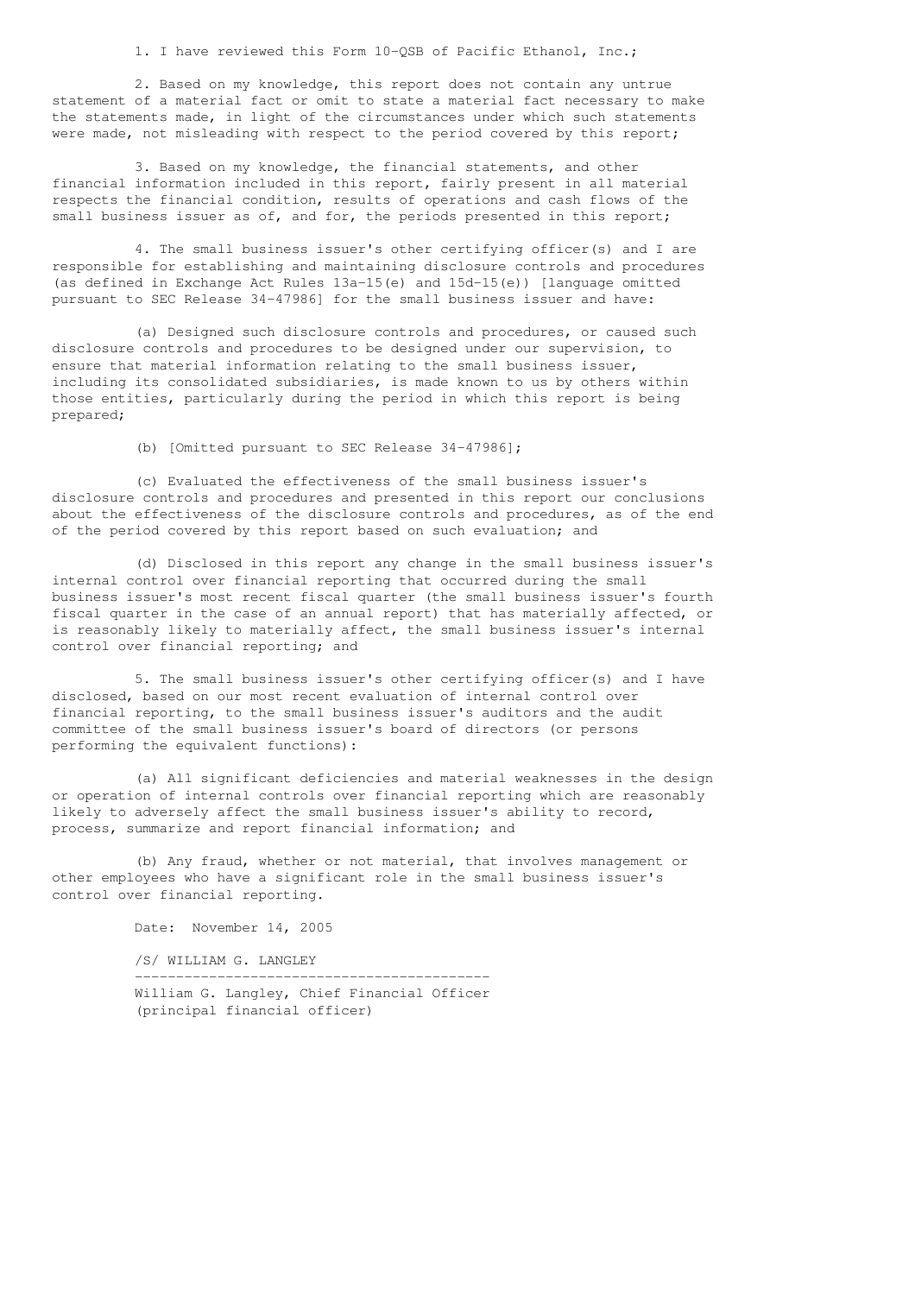1. I have reviewed this Form 10-QSB of Pacific Ethanol, Inc.;

2. Based on my knowledge, this report does not contain any untrue statement of a material fact or omit to state a material fact necessary to make the statements made, in light of the circumstances under which such statements were made, not misleading with respect to the period covered by this report;

3. Based on my knowledge, the financial statements, and other financial information included in this report, fairly present in all material respects the financial condition, results of operations and cash flows of the small business issuer as of, and for, the periods presented in this report;

4. The small business issuer's other certifying officer(s) and I are responsible for establishing and maintaining disclosure controls and procedures (as defined in Exchange Act Rules 13a-15(e) and 15d-15(e)) [language omitted pursuant to SEC Release 34-47986] for the small business issuer and have:

(a) Designed such disclosure controls and procedures, or caused such disclosure controls and procedures to be designed under our supervision, to ensure that material information relating to the small business issuer, including its consolidated subsidiaries, is made known to us by others within those entities, particularly during the period in which this report is being prepared;

(b) [Omitted pursuant to SEC Release 34-47986];

(c) Evaluated the effectiveness of the small business issuer's disclosure controls and procedures and presented in this report our conclusions about the effectiveness of the disclosure controls and procedures, as of the end of the period covered by this report based on such evaluation; and

(d) Disclosed in this report any change in the small business issuer's internal control over financial reporting that occurred during the small business issuer's most recent fiscal quarter (the small business issuer's fourth fiscal quarter in the case of an annual report) that has materially affected, or is reasonably likely to materially affect, the small business issuer's internal control over financial reporting; and

5. The small business issuer's other certifying officer(s) and I have disclosed, based on our most recent evaluation of internal control over financial reporting, to the small business issuer's auditors and the audit committee of the small business issuer's board of directors (or persons performing the equivalent functions):

(a) All significant deficiencies and material weaknesses in the design or operation of internal controls over financial reporting which are reasonably likely to adversely affect the small business issuer's ability to record, process, summarize and report financial information; and

(b) Any fraud, whether or not material, that involves management or other employees who have a significant role in the small business issuer's control over financial reporting.

Date: November 14, 2005

/S/ WILLIAM G. LANGLEY -------------------------------------------

William G. Langley, Chief Financial Officer (principal financial officer)